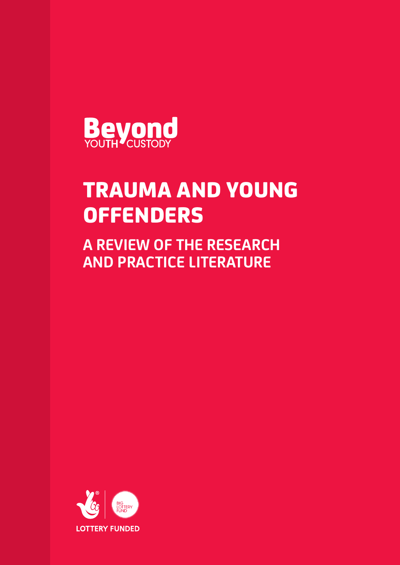

# TRAUMA AND YOUNG **OFFENDERS**

**A REVIEW OF THE RESEARCH AND PRACTICE LITERATURE**

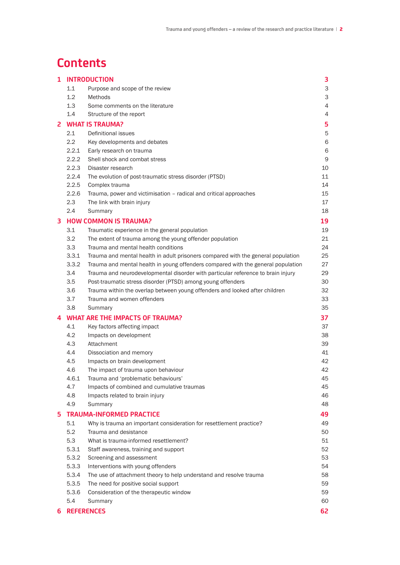# **Contents**

| 1 | <b>INTRODUCTION</b>    |                                                                                  |    |  |
|---|------------------------|----------------------------------------------------------------------------------|----|--|
|   | 1.1                    | Purpose and scope of the review                                                  | 3  |  |
|   | 1.2                    | Methods                                                                          | 3  |  |
|   | 1.3                    | Some comments on the literature                                                  | 4  |  |
|   | 1.4                    | Structure of the report                                                          | 4  |  |
| 2 | <b>WHAT IS TRAUMA?</b> |                                                                                  |    |  |
|   | 2.1                    | Definitional issues                                                              | 5  |  |
|   | 2.2                    | Key developments and debates                                                     | 6  |  |
|   | 2.2.1                  | Early research on trauma                                                         | 6  |  |
|   | 2.2.2                  | Shell shock and combat stress                                                    | 9  |  |
|   | 2.2.3                  | Disaster research                                                                | 10 |  |
|   | 2.2.4                  | The evolution of post-traumatic stress disorder (PTSD)                           | 11 |  |
|   | 2.2.5                  | Complex trauma                                                                   | 14 |  |
|   | 2.2.6                  | Trauma, power and victimisation - radical and critical approaches                | 15 |  |
|   | 2.3                    | The link with brain injury                                                       | 17 |  |
|   | 2.4                    | Summary                                                                          | 18 |  |
| 3 |                        | <b>HOW COMMON IS TRAUMA?</b>                                                     | 19 |  |
|   | 3.1                    | Traumatic experience in the general population                                   | 19 |  |
|   | 3.2                    | The extent of trauma among the young offender population                         | 21 |  |
|   | 3.3                    | Trauma and mental health conditions                                              | 24 |  |
|   | 3.3.1                  | Trauma and mental health in adult prisoners compared with the general population | 25 |  |
|   | 3.3.2                  | Trauma and mental health in young offenders compared with the general population | 27 |  |
|   | 3.4                    | Trauma and neurodevelopmental disorder with particular reference to brain injury | 29 |  |
|   | 3.5                    | Post-traumatic stress disorder (PTSD) among young offenders                      | 30 |  |
|   | 3.6                    | Trauma within the overlap between young offenders and looked after children      | 32 |  |
|   | 3.7                    | Trauma and women offenders                                                       | 33 |  |
|   | 3.8                    | Summary                                                                          | 35 |  |
| 4 |                        | <b>WHAT ARE THE IMPACTS OF TRAUMA?</b>                                           | 37 |  |
|   | 4.1                    | Key factors affecting impact                                                     | 37 |  |
|   | 4.2                    | Impacts on development                                                           | 38 |  |
|   | 4.3                    | Attachment                                                                       | 39 |  |
|   | 4.4                    | Dissociation and memory                                                          | 41 |  |
|   | 4.5                    | Impacts on brain development                                                     | 42 |  |
|   | 4.6                    | The impact of trauma upon behaviour                                              | 42 |  |
|   | 4.6.1                  | Trauma and 'problematic behaviours'                                              | 45 |  |
|   | 4.7                    | Impacts of combined and cumulative traumas                                       | 45 |  |
|   | 4.8                    | Impacts related to brain injury                                                  | 46 |  |
|   | 4.9                    | Summary                                                                          | 48 |  |
|   |                        | <b>TRAUMA-INFORMED PRACTICE</b>                                                  |    |  |
| 5 |                        |                                                                                  | 49 |  |
|   | 5.1<br>5.2             | Why is trauma an important consideration for resettlement practice?              | 49 |  |
|   |                        | Trauma and desistance                                                            | 50 |  |
|   | 5.3                    | What is trauma-informed resettlement?                                            | 51 |  |
|   | 5.3.1                  | Staff awareness, training and support                                            | 52 |  |
|   | 5.3.2                  | Screening and assessment                                                         | 53 |  |
|   | 5.3.3                  | Interventions with young offenders                                               | 54 |  |
|   | 5.3.4                  | The use of attachment theory to help understand and resolve trauma               | 58 |  |
|   | 5.3.5                  | The need for positive social support                                             | 59 |  |
|   | 5.3.6                  | Consideration of the therapeutic window                                          | 59 |  |
|   | 5.4                    | Summary                                                                          | 60 |  |
| 6 |                        | <b>REFERENCES</b><br>62                                                          |    |  |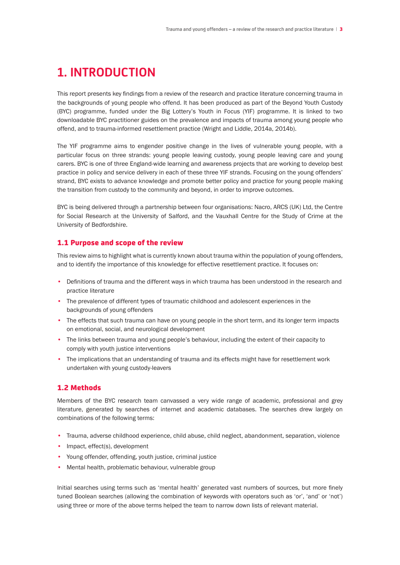# **1. INTRODUCTION**

This report presents key findings from a review of the research and practice literature concerning trauma in the backgrounds of young people who offend. It has been produced as part of the Beyond Youth Custody (BYC) programme, funded under the Big Lottery's Youth in Focus (YIF) programme. It is linked to two downloadable BYC practitioner guides on the prevalence and impacts of trauma among young people who offend, and to trauma-informed resettlement practice (Wright and Liddle, 2014a, 2014b).

The YIF programme aims to engender positive change in the lives of vulnerable young people, with a particular focus on three strands: young people leaving custody, young people leaving care and young carers. BYC is one of three England-wide learning and awareness projects that are working to develop best practice in policy and service delivery in each of these three YIF strands. Focusing on the young offenders' strand, BYC exists to advance knowledge and promote better policy and practice for young people making the transition from custody to the community and beyond, in order to improve outcomes.

BYC is being delivered through a partnership between four organisations: Nacro, ARCS (UK) Ltd, the Centre for Social Research at the University of Salford, and the Vauxhall Centre for the Study of Crime at the University of Bedfordshire.

### 1.1 Purpose and scope of the review

This review aims to highlight what is currently known about trauma within the population of young offenders, and to identify the importance of this knowledge for effective resettlement practice. It focuses on:

- Definitions of trauma and the different ways in which trauma has been understood in the research and practice literature
- The prevalence of different types of traumatic childhood and adolescent experiences in the backgrounds of young offenders
- The effects that such trauma can have on young people in the short term, and its longer term impacts on emotional, social, and neurological development
- The links between trauma and young people's behaviour, including the extent of their capacity to comply with youth justice interventions
- The implications that an understanding of trauma and its effects might have for resettlement work undertaken with young custody-leavers

### 1.2 Methods

Members of the BYC research team canvassed a very wide range of academic, professional and grey literature, generated by searches of internet and academic databases. The searches drew largely on combinations of the following terms:

- Trauma, adverse childhood experience, child abuse, child neglect, abandonment, separation, violence
- Impact, effect(s), development
- Young offender, offending, youth justice, criminal justice
- Mental health, problematic behaviour, vulnerable group

Initial searches using terms such as 'mental health' generated vast numbers of sources, but more finely tuned Boolean searches (allowing the combination of keywords with operators such as 'or', 'and' or 'not') using three or more of the above terms helped the team to narrow down lists of relevant material.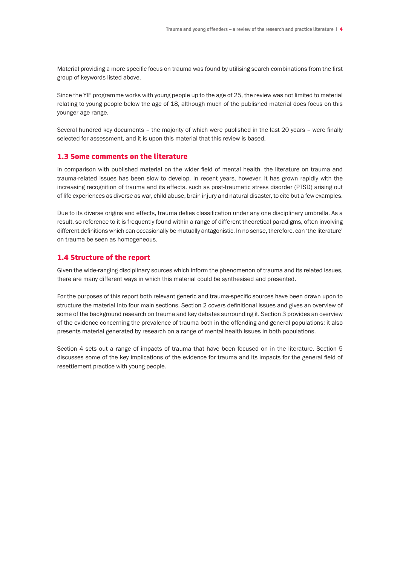Material providing a more specific focus on trauma was found by utilising search combinations from the first group of keywords listed above.

Since the YIF programme works with young people up to the age of 25, the review was not limited to material relating to young people below the age of 18, although much of the published material does focus on this younger age range.

Several hundred key documents – the majority of which were published in the last 20 years – were finally selected for assessment, and it is upon this material that this review is based.

#### 1.3 Some comments on the literature

In comparison with published material on the wider field of mental health, the literature on trauma and trauma-related issues has been slow to develop. In recent years, however, it has grown rapidly with the increasing recognition of trauma and its effects, such as post-traumatic stress disorder (PTSD) arising out of life experiences as diverse as war, child abuse, brain injury and natural disaster, to cite but a few examples.

Due to its diverse origins and effects, trauma defies classification under any one disciplinary umbrella. As a result, so reference to it is frequently found within a range of different theoretical paradigms, often involving different definitions which can occasionally be mutually antagonistic. In no sense, therefore, can 'the literature' on trauma be seen as homogeneous.

#### 1.4 Structure of the report

Given the wide-ranging disciplinary sources which inform the phenomenon of trauma and its related issues, there are many different ways in which this material could be synthesised and presented.

For the purposes of this report both relevant generic and trauma-specific sources have been drawn upon to structure the material into four main sections. Section 2 covers definitional issues and gives an overview of some of the background research on trauma and key debates surrounding it. Section 3 provides an overview of the evidence concerning the prevalence of trauma both in the offending and general populations; it also presents material generated by research on a range of mental health issues in both populations.

Section 4 sets out a range of impacts of trauma that have been focused on in the literature. Section 5 discusses some of the key implications of the evidence for trauma and its impacts for the general field of resettlement practice with young people.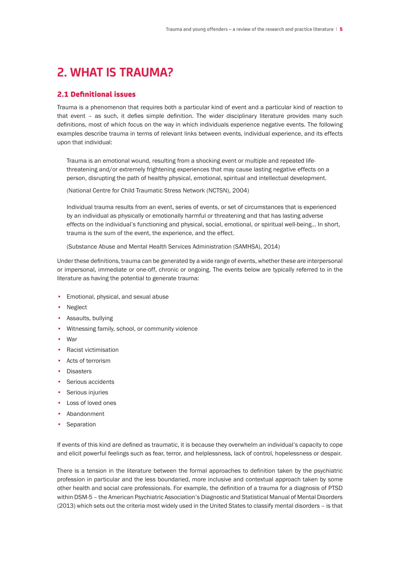# **2. WHAT IS TRAUMA?**

# 2.1 Definitional issues

Trauma is a phenomenon that requires both a particular kind of event and a particular kind of reaction to that event – as such, it defies simple definition. The wider disciplinary literature provides many such definitions, most of which focus on the way in which individuals experience negative events. The following examples describe trauma in terms of relevant links between events, individual experience, and its effects upon that individual:

 Trauma is an emotional wound, resulting from a shocking event or multiple and repeated lifethreatening and/or extremely frightening experiences that may cause lasting negative effects on a person, disrupting the path of healthy physical, emotional, spiritual and intellectual development.

 (National Centre for Child Traumatic Stress Network (NCTSN), 2004)

 Individual trauma results from an event, series of events, or set of circumstances that is experienced by an individual as physically or emotionally harmful or threatening and that has lasting adverse effects on the individual's functioning and physical, social, emotional, or spiritual well-being… In short, trauma is the sum of the event, the experience, and the effect.

(Substance Abuse and Mental Health Services Administration (SAMHSA), 2014)

Under these definitions, trauma can be generated by a wide range of events, whether these are interpersonal or impersonal, immediate or one-off, chronic or ongoing. The events below are typically referred to in the literature as having the potential to generate trauma:

- Emotional, physical, and sexual abuse
- Neglect
- Assaults, bullying
- Witnessing family, school, or community violence
- War
- Racist victimisation
- Acts of terrorism
- Disasters
- Serious accidents
- Serious injuries
- Loss of loved ones
- Abandonment
- **Separation**

If events of this kind are defined as traumatic, it is because they overwhelm an individual's capacity to cope and elicit powerful feelings such as fear, terror, and helplessness, lack of control, hopelessness or despair.

There is a tension in the literature between the formal approaches to definition taken by the psychiatric profession in particular and the less boundaried, more inclusive and contextual approach taken by some other health and social care professionals. For example, the definition of a trauma for a diagnosis of PTSD within DSM-5 – the American Psychiatric Association's Diagnostic and Statistical Manual of Mental Disorders (2013) which sets out the criteria most widely used in the United States to classify mental disorders – is that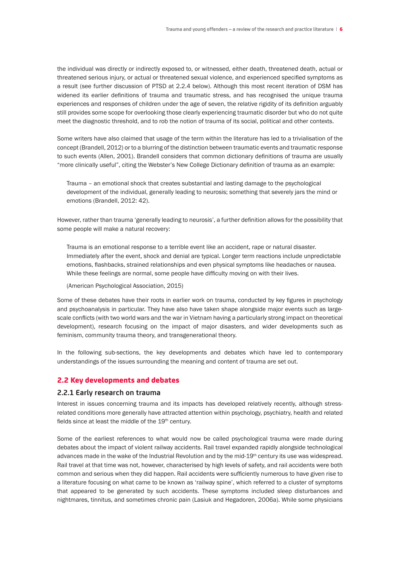the individual was directly or indirectly exposed to, or witnessed, either death, threatened death, actual or threatened serious injury, or actual or threatened sexual violence, and experienced specified symptoms as a result (see further discussion of PTSD at 2.2.4 below). Although this most recent iteration of DSM has widened its earlier definitions of trauma and traumatic stress, and has recognised the unique trauma experiences and responses of children under the age of seven, the relative rigidity of its definition arguably still provides some scope for overlooking those clearly experiencing traumatic disorder but who do not quite meet the diagnostic threshold, and to rob the notion of trauma of its social, political and other contexts.

Some writers have also claimed that usage of the term within the literature has led to a trivialisation of the concept (Brandell, 2012) or to a blurring of the distinction between traumatic events and traumatic response to such events (Allen, 2001). Brandell considers that common dictionary definitions of trauma are usually "more clinically useful", citing the Webster's New College Dictionary definition of trauma as an example:

 Trauma – an emotional shock that creates substantial and lasting damage to the psychological development of the individual, generally leading to neurosis; something that severely jars the mind or emotions (Brandell, 2012: 42).

However, rather than trauma 'generally leading to neurosis', a further definition allows for the possibility that some people will make a natural recovery:

Trauma is an emotional response to a terrible event like an accident, rape or natural disaster. Immediately after the event, shock and denial are typical. Longer term reactions include unpredictable emotions, flashbacks, strained relationships and even physical symptoms like headaches or nausea. While these feelings are normal, some people have difficulty moving on with their lives.

(American Psychological Association, 2015)

Some of these debates have their roots in earlier work on trauma, conducted by key figures in psychology and psychoanalysis in particular. They have also have taken shape alongside major events such as largescale conflicts (with two world wars and the war in Vietnam having a particularly strong impact on theoretical development), research focusing on the impact of major disasters, and wider developments such as feminism, community trauma theory, and transgenerational theory.

In the following sub-sections, the key developments and debates which have led to contemporary understandings of the issues surrounding the meaning and content of trauma are set out.

#### 2.2 Key developments and debates

#### **2.2.1 Early research on trauma**

Interest in issues concerning trauma and its impacts has developed relatively recently, although stressrelated conditions more generally have attracted attention within psychology, psychiatry, health and related fields since at least the middle of the 19<sup>th</sup> century.

Some of the earliest references to what would now be called psychological trauma were made during debates about the impact of violent railway accidents. Rail travel expanded rapidly alongside technological advances made in the wake of the Industrial Revolution and by the mid-19<sup>th</sup> century its use was widespread. Rail travel at that time was not, however, characterised by high levels of safety, and rail accidents were both common and serious when they did happen. Rail accidents were sufficiently numerous to have given rise to a literature focusing on what came to be known as 'railway spine', which referred to a cluster of symptoms that appeared to be generated by such accidents. These symptoms included sleep disturbances and nightmares, tinnitus, and sometimes chronic pain (Lasiuk and Hegadoren, 2006a). While some physicians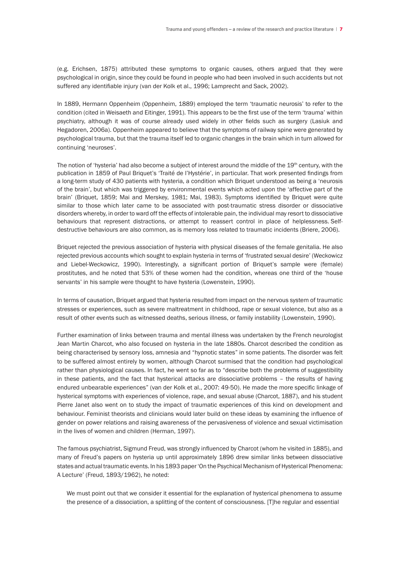(e.g. Erichsen, 1875) attributed these symptoms to organic causes, others argued that they were psychological in origin, since they could be found in people who had been involved in such accidents but not suffered any identifiable injury (van der Kolk et al., 1996; Lamprecht and Sack, 2002).

In 1889, Hermann Oppenheim (Oppenheim, 1889) employed the term 'traumatic neurosis' to refer to the condition (cited in Weisaeth and Eitinger, 1991). This appears to be the first use of the term 'trauma' within psychiatry, although it was of course already used widely in other fields such as surgery (Lasiuk and Hegadoren, 2006a). Oppenheim appeared to believe that the symptoms of railway spine were generated by psychological trauma, but that the trauma itself led to organic changes in the brain which in turn allowed for continuing 'neuroses'.

The notion of 'hysteria' had also become a subject of interest around the middle of the 19th century, with the publication in 1859 of Paul Briquet's 'Traité de l'Hystérie', in particular. That work presented findings from a long-term study of 430 patients with hysteria, a condition which Briquet understood as being a 'neurosis of the brain', but which was triggered by environmental events which acted upon the 'affective part of the brain' (Briquet, 1859; Mai and Merskey, 1981; Mai, 1983). Symptoms identified by Briquet were quite similar to those which later came to be associated with post-traumatic stress disorder or dissociative disorders whereby, in order to ward off the effects of intolerable pain, the individual may resort to dissociative behaviours that represent distractions, or attempt to reassert control in place of helplessness. Selfdestructive behaviours are also common, as is memory loss related to traumatic incidents (Briere, 2006).

Briquet rejected the previous association of hysteria with physical diseases of the female genitalia. He also rejected previous accounts which sought to explain hysteria in terms of 'frustrated sexual desire' (Weckowicz and Liebel-Weckowicz, 1990). Interestingly, a significant portion of Briquet's sample were (female) prostitutes, and he noted that 53% of these women had the condition, whereas one third of the 'house servants' in his sample were thought to have hysteria (Lowenstein, 1990).

In terms of causation, Briquet argued that hysteria resulted from impact on the nervous system of traumatic stresses or experiences, such as severe maltreatment in childhood, rape or sexual violence, but also as a result of other events such as witnessed deaths, serious illness, or family instability (Lowenstein, 1990).

Further examination of links between trauma and mental illness was undertaken by the French neurologist Jean Martin Charcot, who also focused on hysteria in the late 1880s. Charcot described the condition as being characterised by sensory loss, amnesia and "hypnotic states" in some patients. The disorder was felt to be suffered almost entirely by women, although Charcot surmised that the condition had psychological rather than physiological causes. In fact, he went so far as to "describe both the problems of suggestibility in these patients, and the fact that hysterical attacks are dissociative problems – the results of having endured unbearable experiences" (van der Kolk et al., 2007: 49-50). He made the more specific linkage of hysterical symptoms with experiences of violence, rape, and sexual abuse (Charcot, 1887), and his student Pierre Janet also went on to study the impact of traumatic experiences of this kind on development and behaviour. Feminist theorists and clinicians would later build on these ideas by examining the influence of gender on power relations and raising awareness of the pervasiveness of violence and sexual victimisation in the lives of women and children (Herman, 1997).

The famous psychiatrist, Sigmund Freud, was strongly influenced by Charcot (whom he visited in 1885), and many of Freud's papers on hysteria up until approximately 1896 drew similar links between dissociative states and actual traumatic events. In his 1893 paper 'On the Psychical Mechanism of Hysterical Phenomena: A Lecture' (Freud, 1893/1962), he noted:

 We must point out that we consider it essential for the explanation of hysterical phenomena to assume the presence of a dissociation, a splitting of the content of consciousness. [T]he regular and essential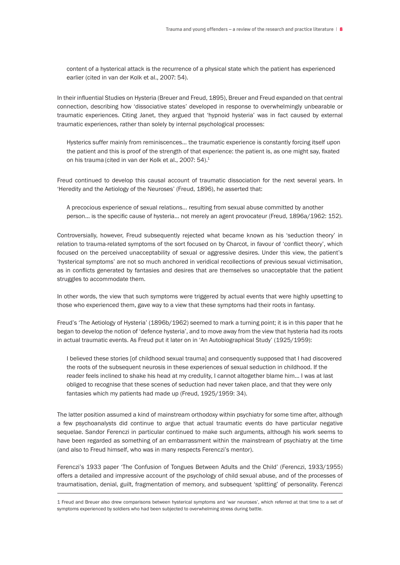content of a hysterical attack is the recurrence of a physical state which the patient has experienced earlier (cited in van der Kolk et al., 2007: 54).

In their influential Studies on Hysteria (Breuer and Freud, 1895), Breuer and Freud expanded on that central connection, describing how 'dissociative states' developed in response to overwhelmingly unbearable or traumatic experiences. Citing Janet, they argued that 'hypnoid hysteria' was in fact caused by external traumatic experiences, rather than solely by internal psychological processes:

 Hysterics suffer mainly from reminiscences… the traumatic experience is constantly forcing itself upon the patient and this is proof of the strength of that experience: the patient is, as one might say, fixated on his trauma (cited in van der Kolk et al., 2007: 54).<sup>1</sup>

Freud continued to develop this causal account of traumatic dissociation for the next several years. In 'Heredity and the Aetiology of the Neuroses' (Freud, 1896), he asserted that:

 A precocious experience of sexual relations… resulting from sexual abuse committed by another person… is the specific cause of hysteria… not merely an agent provocateur (Freud, 1896a/1962: 152).

Controversially, however, Freud subsequently rejected what became known as his 'seduction theory' in relation to trauma-related symptoms of the sort focused on by Charcot, in favour of 'conflict theory', which focused on the perceived unacceptability of sexual or aggressive desires. Under this view, the patient's 'hysterical symptoms' are not so much anchored in veridical recollections of previous sexual victimisation, as in conflicts generated by fantasies and desires that are themselves so unacceptable that the patient struggles to accommodate them.

In other words, the view that such symptoms were triggered by actual events that were highly upsetting to those who experienced them, gave way to a view that these symptoms had their roots in fantasy.

Freud's 'The Aetiology of Hysteria' (1896b/1962) seemed to mark a turning point; it is in this paper that he began to develop the notion of 'defence hysteria', and to move away from the view that hysteria had its roots in actual traumatic events. As Freud put it later on in 'An Autobiographical Study' (1925/1959):

 I believed these stories [of childhood sexual trauma] and consequently supposed that I had discovered the roots of the subsequent neurosis in these experiences of sexual seduction in childhood. If the reader feels inclined to shake his head at my credulity, I cannot altogether blame him… I was at last obliged to recognise that these scenes of seduction had never taken place, and that they were only fantasies which my patients had made up (Freud, 1925/1959: 34).

The latter position assumed a kind of mainstream orthodoxy within psychiatry for some time after, although a few psychoanalysts did continue to argue that actual traumatic events do have particular negative sequelae. Sandor Ferenczi in particular continued to make such arguments, although his work seems to have been regarded as something of an embarrassment within the mainstream of psychiatry at the time (and also to Freud himself, who was in many respects Ferenczi's mentor).

Ferenczi's 1933 paper 'The Confusion of Tongues Between Adults and the Child' (Ferenczi, 1933/1955) offers a detailed and impressive account of the psychology of child sexual abuse, and of the processes of traumatisation, denial, guilt, fragmentation of memory, and subsequent 'splitting' of personality. Ferenczi

1 Freud and Breuer also drew comparisons between hysterical symptoms and 'war neuroses', which referred at that time to a set of symptoms experienced by soldiers who had been subjected to overwhelming stress during battle.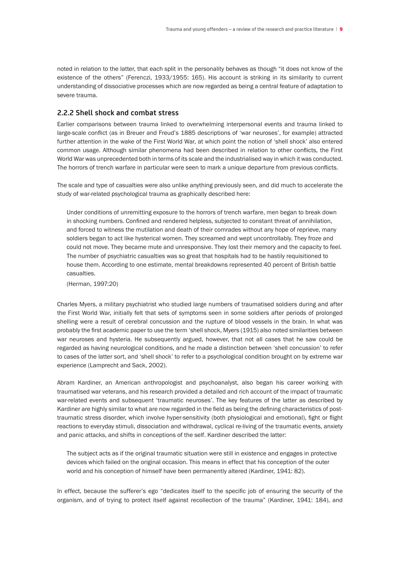noted in relation to the latter, that each split in the personality behaves as though "it does not know of the existence of the others" (Ferenczi, 1933/1955: 165). His account is striking in its similarity to current understanding of dissociative processes which are now regarded as being a central feature of adaptation to severe trauma.

# **2.2.2 Shell shock and combat stress**

Earlier comparisons between trauma linked to overwhelming interpersonal events and trauma linked to large-scale conflict (as in Breuer and Freud's 1885 descriptions of 'war neuroses', for example) attracted further attention in the wake of the First World War, at which point the notion of 'shell shock' also entered common usage. Although similar phenomena had been described in relation to other conflicts, the First World War was unprecedented both in terms of its scale and the industrialised way in which it was conducted. The horrors of trench warfare in particular were seen to mark a unique departure from previous conflicts.

The scale and type of casualties were also unlike anything previously seen, and did much to accelerate the study of war-related psychological trauma as graphically described here:

 Under conditions of unremitting exposure to the horrors of trench warfare, men began to break down in shocking numbers. Confined and rendered helpless, subjected to constant threat of annihilation, and forced to witness the mutilation and death of their comrades without any hope of reprieve, many soldiers began to act like hysterical women. They screamed and wept uncontrollably. They froze and could not move. They became mute and unresponsive. They lost their memory and the capacity to feel. The number of psychiatric casualties was so great that hospitals had to be hastily requisitioned to house them. According to one estimate, mental breakdowns represented 40 percent of British battle casualties.

(Herman, 1997:20)

Charles Myers, a military psychiatrist who studied large numbers of traumatised soldiers during and after the First World War, initially felt that sets of symptoms seen in some soldiers after periods of prolonged shelling were a result of cerebral concussion and the rupture of blood vessels in the brain. In what was probably the first academic paper to use the term 'shell shock, Myers (1915) also noted similarities between war neuroses and hysteria. He subsequently argued, however, that not all cases that he saw could be regarded as having neurological conditions, and he made a distinction between 'shell concussion' to refer to cases of the latter sort, and 'shell shock' to refer to a psychological condition brought on by extreme war experience (Lamprecht and Sack, 2002).

Abram Kardiner, an American anthropologist and psychoanalyst, also began his career working with traumatised war veterans, and his research provided a detailed and rich account of the impact of traumatic war-related events and subsequent 'traumatic neuroses'. The key features of the latter as described by Kardiner are highly similar to what are now regarded in the field as being the defining characteristics of posttraumatic stress disorder, which involve hyper-sensitivity (both physiological and emotional), fight or flight reactions to everyday stimuli, dissociation and withdrawal, cyclical re-living of the traumatic events, anxiety and panic attacks, and shifts in conceptions of the self. Kardiner described the latter:

 The subject acts as if the original traumatic situation were still in existence and engages in protective devices which failed on the original occasion. This means in effect that his conception of the outer world and his conception of himself have been permanently altered (Kardiner, 1941: 82).

In effect, because the sufferer's ego "dedicates itself to the specific job of ensuring the security of the organism, and of trying to protect itself against recollection of the trauma" (Kardiner, 1941: 184), and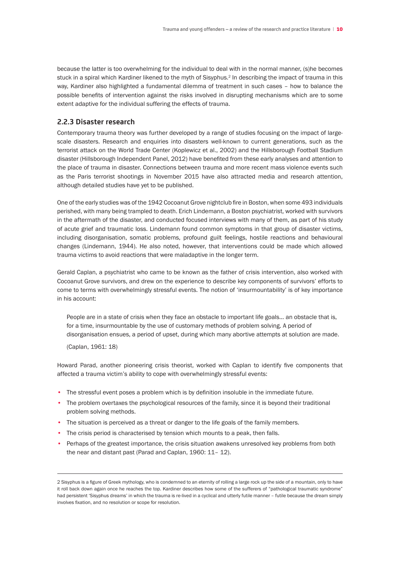because the latter is too overwhelming for the individual to deal with in the normal manner, (s)he becomes stuck in a spiral which Kardiner likened to the myth of Sisyphus.<sup>2</sup> In describing the impact of trauma in this way, Kardiner also highlighted a fundamental dilemma of treatment in such cases – how to balance the possible benefits of intervention against the risks involved in disrupting mechanisms which are to some extent adaptive for the individual suffering the effects of trauma.

### **2.2.3 Disaster research**

Contemporary trauma theory was further developed by a range of studies focusing on the impact of largescale disasters. Research and enquiries into disasters well-known to current generations, such as the terrorist attack on the World Trade Center (Koplewicz et al., 2002) and the Hillsborough Football Stadium disaster (Hillsborough Independent Panel, 2012) have benefited from these early analyses and attention to the place of trauma in disaster. Connections between trauma and more recent mass violence events such as the Paris terrorist shootings in November 2015 have also attracted media and research attention, although detailed studies have yet to be published.

One of the early studies was of the 1942 Cocoanut Grove nightclub fire in Boston, when some 493 individuals perished, with many being trampled to death. Erich Lindemann, a Boston psychiatrist, worked with survivors in the aftermath of the disaster, and conducted focused interviews with many of them, as part of his study of acute grief and traumatic loss. Lindemann found common symptoms in that group of disaster victims, including disorganisation, somatic problems, profound guilt feelings, hostile reactions and behavioural changes (Lindemann, 1944). He also noted, however, that interventions could be made which allowed trauma victims to avoid reactions that were maladaptive in the longer term.

Gerald Caplan, a psychiatrist who came to be known as the father of crisis intervention, also worked with Cocoanut Grove survivors, and drew on the experience to describe key components of survivors' efforts to come to terms with overwhelmingly stressful events. The notion of 'insurmountability' is of key importance in his account:

 People are in a state of crisis when they face an obstacle to important life goals… an obstacle that is, for a time, insurmountable by the use of customary methods of problem solving. A period of disorganisation ensues, a period of upset, during which many abortive attempts at solution are made.

 (Caplan, 1961: 18)

Howard Parad, another pioneering crisis theorist, worked with Caplan to identify five components that affected a trauma victim's ability to cope with overwhelmingly stressful events:

- The stressful event poses a problem which is by definition insoluble in the immediate future.
- The problem overtaxes the psychological resources of the family, since it is beyond their traditional problem solving methods.
- The situation is perceived as a threat or danger to the life goals of the family members.
- The crisis period is characterised by tension which mounts to a peak, then falls.
- Perhaps of the greatest importance, the crisis situation awakens unresolved key problems from both the near and distant past (Parad and Caplan, 1960: 11– 12).

<sup>2</sup> Sisyphus is a figure of Greek mythology, who is condemned to an eternity of rolling a large rock up the side of a mountain, only to have it roll back down again once he reaches the top. Kardiner describes how some of the sufferers of "pathological traumatic syndrome" had persistent 'Sisyphus dreams' in which the trauma is re-lived in a cyclical and utterly futile manner – futile because the dream simply involves fixation, and no resolution or scope for resolution.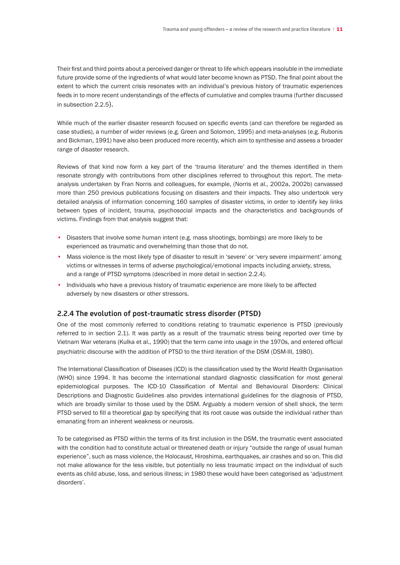Their first and third points about a perceived danger or threat to life which appears insoluble in the immediate future provide some of the ingredients of what would later become known as PTSD. The final point about the extent to which the current crisis resonates with an individual's previous history of traumatic experiences feeds in to more recent understandings of the effects of cumulative and complex trauma (further discussed in subsection 2.2.5).

While much of the earlier disaster research focused on specific events (and can therefore be regarded as case studies), a number of wider reviews (e.g. Green and Solomon, 1995) and meta-analyses (e.g. Rubonis and Bickman, 1991) have also been produced more recently, which aim to synthesise and assess a broader range of disaster research.

Reviews of that kind now form a key part of the 'trauma literature' and the themes identified in them resonate strongly with contributions from other disciplines referred to throughout this report. The metaanalysis undertaken by Fran Norris and colleagues, for example, (Norris et al., 2002a, 2002b) canvassed more than 250 previous publications focusing on disasters and their impacts. They also undertook very detailed analysis of information concerning 160 samples of disaster victims, in order to identify key links between types of incident, trauma, psychosocial impacts and the characteristics and backgrounds of victims. Findings from that analysis suggest that:

- Disasters that involve some human intent (e.g. mass shootings, bombings) are more likely to be experienced as traumatic and overwhelming than those that do not.
- Mass violence is the most likely type of disaster to result in 'severe' or 'very severe impairment' among victims or witnesses in terms of adverse psychological/emotional impacts including anxiety, stress, and a range of PTSD symptoms (described in more detail in section 2.2.4).
- Individuals who have a previous history of traumatic experience are more likely to be affected adversely by new disasters or other stressors.

# **2.2.4 The evolution of post-traumatic stress disorder (PTSD)**

One of the most commonly referred to conditions relating to traumatic experience is PTSD (previously referred to in section 2.1). It was partly as a result of the traumatic stress being reported over time by Vietnam War veterans (Kulka et al., 1990) that the term came into usage in the 1970s, and entered official psychiatric discourse with the addition of PTSD to the third iteration of the DSM (DSM-III, 1980).

The International Classification of Diseases (ICD) is the classification used by the World Health Organisation (WHO) since 1994. It has become the international standard diagnostic classification for most general epidemiological purposes. The ICD-10 Classification of Mental and Behavioural Disorders: Clinical Descriptions and Diagnostic Guidelines also provides international guidelines for the diagnosis of PTSD, which are broadly similar to those used by the DSM. Arguably a modern version of shell shock, the term PTSD served to fill a theoretical gap by specifying that its root cause was outside the individual rather than emanating from an inherent weakness or neurosis.

To be categorised as PTSD within the terms of its first inclusion in the DSM, the traumatic event associated with the condition had to constitute actual or threatened death or injury "outside the range of usual human experience", such as mass violence, the Holocaust, Hiroshima, earthquakes, air crashes and so on. This did not make allowance for the less visible, but potentially no less traumatic impact on the individual of such events as child abuse, loss, and serious illness; in 1980 these would have been categorised as 'adjustment disorders'.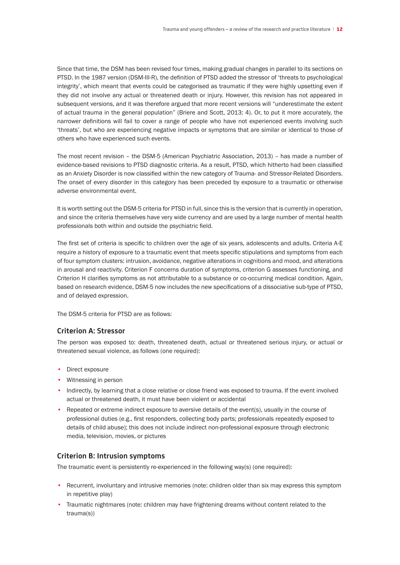Since that time, the DSM has been revised four times, making gradual changes in parallel to its sections on PTSD. In the 1987 version (DSM-III-R), the definition of PTSD added the stressor of 'threats to psychological integrity', which meant that events could be categorised as traumatic if they were highly upsetting even if they did not involve any actual or threatened death or injury. However, this revision has not appeared in subsequent versions, and it was therefore argued that more recent versions will "underestimate the extent of actual trauma in the general population" (Briere and Scott, 2013: 4). Or, to put it more accurately, the narrower definitions will fail to cover a range of people who have not experienced events involving such 'threats', but who are experiencing negative impacts or symptoms that are similar or identical to those of others who have experienced such events.

The most recent revision – the DSM-5 (American Psychiatric Association, 2013) – has made a number of evidence-based revisions to PTSD diagnostic criteria. As a result, PTSD, which hitherto had been classified as an Anxiety Disorder is now classified within the new category of Trauma- and Stressor-Related Disorders. The onset of every disorder in this category has been preceded by exposure to a traumatic or otherwise adverse environmental event.

It is worth setting out the DSM-5 criteria for PTSD in full, since this is the version that is currently in operation, and since the criteria themselves have very wide currency and are used by a large number of mental health professionals both within and outside the psychiatric field.

The first set of criteria is specific to children over the age of six years, adolescents and adults. Criteria A-E require a history of exposure to a traumatic event that meets specific stipulations and symptoms from each of four symptom clusters: intrusion, avoidance, negative alterations in cognitions and mood, and alterations in arousal and reactivity. Criterion F concerns duration of symptoms, criterion G assesses functioning, and Criterion H clarifies symptoms as not attributable to a substance or co-occurring medical condition. Again, based on research evidence, DSM-5 now includes the new specifications of a dissociative sub-type of PTSD, and of delayed expression.

The DSM-5 criteria for PTSD are as follows:

### **Criterion A: Stressor**

The person was exposed to: death, threatened death, actual or threatened serious injury, or actual or threatened sexual violence, as follows (one required):

- Direct exposure
- Witnessing in person
- Indirectly, by learning that a close relative or close friend was exposed to trauma. If the event involved actual or threatened death, it must have been violent or accidental
- Repeated or extreme indirect exposure to aversive details of the event(s), usually in the course of professional duties (e.g., first responders, collecting body parts; professionals repeatedly exposed to details of child abuse); this does not include indirect non-professional exposure through electronic media, television, movies, or pictures

# **Criterion B: Intrusion symptoms**

The traumatic event is persistently re-experienced in the following way(s) (one required):

- Recurrent, involuntary and intrusive memories (note: children older than six may express this symptom in repetitive play)
- Traumatic nightmares (note: children may have frightening dreams without content related to the trauma(s))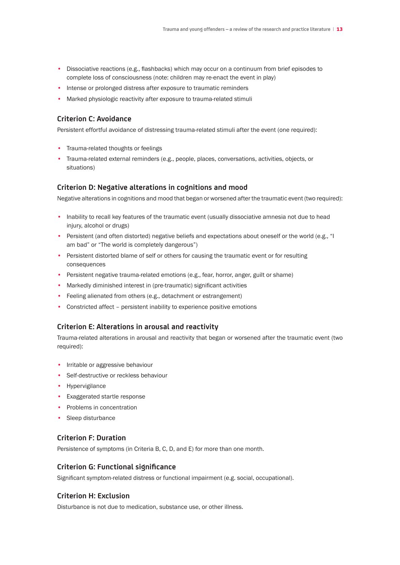- Dissociative reactions (e.g., flashbacks) which may occur on a continuum from brief episodes to complete loss of consciousness (note: children may re-enact the event in play)
- Intense or prolonged distress after exposure to traumatic reminders
- Marked physiologic reactivity after exposure to trauma-related stimuli

# **Criterion C: Avoidance**

Persistent effortful avoidance of distressing trauma-related stimuli after the event (one required):

- Trauma-related thoughts or feelings
- Trauma-related external reminders (e.g., people, places, conversations, activities, objects, or situations)

# **Criterion D: Negative alterations in cognitions and mood**

Negative alterations in cognitions and mood that began or worsened after the traumatic event (two required):

- Inability to recall key features of the traumatic event (usually dissociative amnesia not due to head injury, alcohol or drugs)
- Persistent (and often distorted) negative beliefs and expectations about oneself or the world (e.g., "I am bad" or "The world is completely dangerous")
- Persistent distorted blame of self or others for causing the traumatic event or for resulting consequences
- Persistent negative trauma-related emotions (e.g., fear, horror, anger, guilt or shame)
- Markedly diminished interest in (pre-traumatic) significant activities
- Feeling alienated from others (e.g., detachment or estrangement)
- Constricted affect persistent inability to experience positive emotions

# **Criterion E: Alterations in arousal and reactivity**

Trauma-related alterations in arousal and reactivity that began or worsened after the traumatic event (two required):

- Irritable or aggressive behaviour
- Self-destructive or reckless behaviour
- Hypervigilance
- Exaggerated startle response
- Problems in concentration
- Sleep disturbance

# **Criterion F: Duration**

Persistence of symptoms (in Criteria B, C, D, and E) for more than one month.

# **Criterion G: Functional significance**

Significant symptom-related distress or functional impairment (e.g. social, occupational).

# **Criterion H: Exclusion**

Disturbance is not due to medication, substance use, or other illness.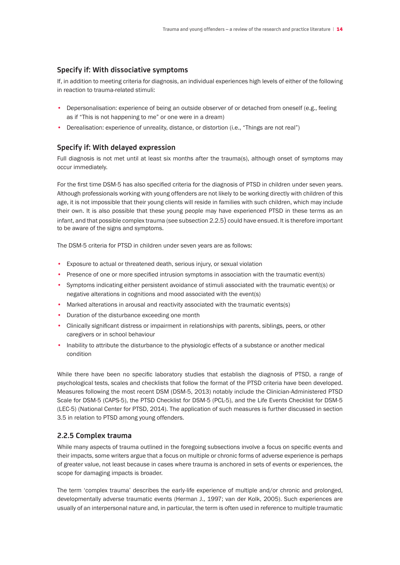# **Specify if: With dissociative symptoms**

If, in addition to meeting criteria for diagnosis, an individual experiences high levels of either of the following in reaction to trauma-related stimuli:

- Depersonalisation: experience of being an outside observer of or detached from oneself (e.g., feeling as if "This is not happening to me" or one were in a dream)
- Derealisation: experience of unreality, distance, or distortion (i.e., "Things are not real")

# **Specify if: With delayed expression**

Full diagnosis is not met until at least six months after the trauma(s), although onset of symptoms may occur immediately.

For the first time DSM-5 has also specified criteria for the diagnosis of PTSD in children under seven years. Although professionals working with young offenders are not likely to be working directly with children of this age, it is not impossible that their young clients will reside in families with such children, which may include their own. It is also possible that these young people may have experienced PTSD in these terms as an infant, and that possible complex trauma (see subsection 2.2.5) could have ensued. It is therefore important to be aware of the signs and symptoms.

The DSM-5 criteria for PTSD in children under seven years are as follows:

- Exposure to actual or threatened death, serious injury, or sexual violation
- Presence of one or more specified intrusion symptoms in association with the traumatic event(s)
- Symptoms indicating either persistent avoidance of stimuli associated with the traumatic event(s) or negative alterations in cognitions and mood associated with the event(s)
- Marked alterations in arousal and reactivity associated with the traumatic events(s)
- Duration of the disturbance exceeding one month
- Clinically significant distress or impairment in relationships with parents, siblings, peers, or other caregivers or in school behaviour
- Inability to attribute the disturbance to the physiologic effects of a substance or another medical condition

While there have been no specific laboratory studies that establish the diagnosis of PTSD, a range of psychological tests, scales and checklists that follow the format of the PTSD criteria have been developed. Measures following the most recent DSM (DSM-5, 2013) notably include the Clinician-Administered PTSD Scale for DSM-5 (CAPS-5), the PTSD Checklist for DSM-5 (PCL-5), and the Life Events Checklist for DSM-5 (LEC-5) (National Center for PTSD, 2014). The application of such measures is further discussed in section 3.5 in relation to PTSD among young offenders.

# **2.2.5 Complex trauma**

While many aspects of trauma outlined in the foregoing subsections involve a focus on specific events and their impacts, some writers argue that a focus on multiple or chronic forms of adverse experience is perhaps of greater value, not least because in cases where trauma is anchored in sets of events or experiences, the scope for damaging impacts is broader.

The term 'complex trauma' describes the early-life experience of multiple and/or chronic and prolonged, developmentally adverse traumatic events (Herman J., 1997; van der Kolk, 2005). Such experiences are usually of an interpersonal nature and, in particular, the term is often used in reference to multiple traumatic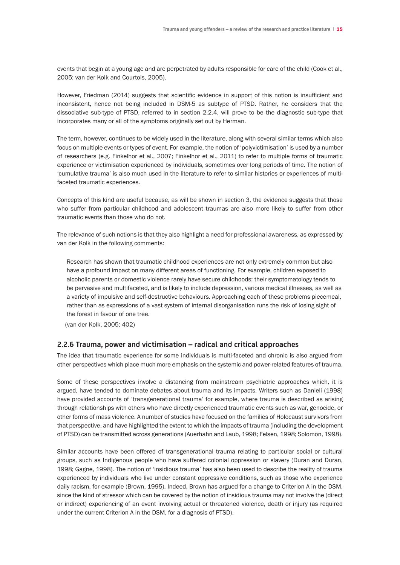events that begin at a young age and are perpetrated by adults responsible for care of the child (Cook et al., 2005; van der Kolk and Courtois, 2005).

However, Friedman (2014) suggests that scientific evidence in support of this notion is insufficient and inconsistent, hence not being included in DSM-5 as subtype of PTSD. Rather, he considers that the dissociative sub-type of PTSD, referred to in section 2.2.4, will prove to be the diagnostic sub-type that incorporates many or all of the symptoms originally set out by Herman.

The term, however, continues to be widely used in the literature, along with several similar terms which also focus on multiple events or types of event. For example, the notion of 'polyvictimisation' is used by a number of researchers (e.g. Finkelhor et al., 2007; Finkelhor et al., 2011) to refer to multiple forms of traumatic experience or victimisation experienced by individuals, sometimes over long periods of time. The notion of 'cumulative trauma' is also much used in the literature to refer to similar histories or experiences of multifaceted traumatic experiences.

Concepts of this kind are useful because, as will be shown in section 3, the evidence suggests that those who suffer from particular childhood and adolescent traumas are also more likely to suffer from other traumatic events than those who do not.

The relevance of such notions is that they also highlight a need for professional awareness, as expressed by van der Kolk in the following comments:

 Research has shown that traumatic childhood experiences are not only extremely common but also have a profound impact on many different areas of functioning. For example, children exposed to alcoholic parents or domestic violence rarely have secure childhoods; their symptomatology tends to be pervasive and multifaceted, and is likely to include depression, various medical illnesses, as well as a variety of impulsive and self-destructive behaviours. Approaching each of these problems piecemeal, rather than as expressions of a vast system of internal disorganisation runs the risk of losing sight of the forest in favour of one tree.

(van der Kolk, 2005: 402)

#### **2.2.6 Trauma, power and victimisation – radical and critical approaches**

The idea that traumatic experience for some individuals is multi-faceted and chronic is also argued from other perspectives which place much more emphasis on the systemic and power-related features of trauma.

Some of these perspectives involve a distancing from mainstream psychiatric approaches which, it is argued, have tended to dominate debates about trauma and its impacts. Writers such as Danieli (1998) have provided accounts of 'transgenerational trauma' for example, where trauma is described as arising through relationships with others who have directly experienced traumatic events such as war, genocide, or other forms of mass violence. A number of studies have focused on the families of Holocaust survivors from that perspective, and have highlighted the extent to which the impacts of trauma (including the development of PTSD) can be transmitted across generations (Auerhahn and Laub, 1998; Felsen, 1998; Solomon, 1998).

Similar accounts have been offered of transgenerational trauma relating to particular social or cultural groups, such as Indigenous people who have suffered colonial oppression or slavery (Duran and Duran, 1998; Gagne, 1998). The notion of 'insidious trauma' has also been used to describe the reality of trauma experienced by individuals who live under constant oppressive conditions, such as those who experience daily racism, for example (Brown, 1995). Indeed, Brown has argued for a change to Criterion A in the DSM, since the kind of stressor which can be covered by the notion of insidious trauma may not involve the (direct or indirect) experiencing of an event involving actual or threatened violence, death or injury (as required under the current Criterion A in the DSM, for a diagnosis of PTSD).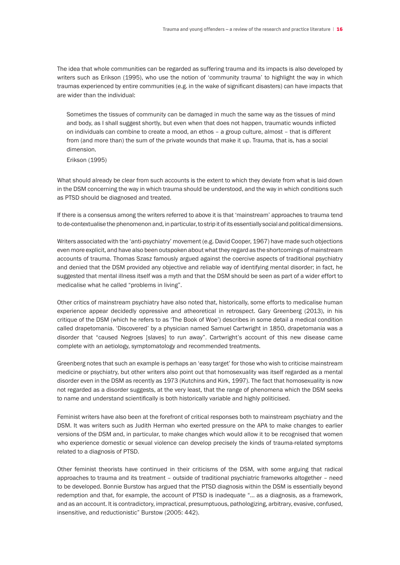The idea that whole communities can be regarded as suffering trauma and its impacts is also developed by writers such as Erikson (1995), who use the notion of 'community trauma' to highlight the way in which traumas experienced by entire communities (e.g. in the wake of significant disasters) can have impacts that are wider than the individual:

 Sometimes the tissues of community can be damaged in much the same way as the tissues of mind and body, as I shall suggest shortly, but even when that does not happen, traumatic wounds inflicted on individuals can combine to create a mood, an ethos – a group culture, almost – that is different from (and more than) the sum of the private wounds that make it up. Trauma, that is, has a social dimension.

 Erikson (1995)

What should already be clear from such accounts is the extent to which they deviate from what is laid down in the DSM concerning the way in which trauma should be understood, and the way in which conditions such as PTSD should be diagnosed and treated.

If there is a consensus among the writers referred to above it is that 'mainstream' approaches to trauma tend to de-contextualise the phenomenon and, in particular, to strip it of its essentially social and political dimensions.

Writers associated with the 'anti-psychiatry' movement (e.g. David Cooper, 1967) have made such objections even more explicit, and have also been outspoken aboutwhat they regard as the shortcomings of mainstream accounts of trauma. Thomas Szasz famously argued against the coercive aspects of traditional psychiatry and denied that the DSM provided any objective and reliable way of identifying mental disorder; in fact, he suggested that mental illness itself was a myth and that the DSM should be seen as part of a wider effort to medicalise what he called "problems in living".

Other critics of mainstream psychiatry have also noted that, historically, some efforts to medicalise human experience appear decidedly oppressive and atheoretical in retrospect. Gary Greenberg (2013), in his critique of the DSM (which he refers to as 'The Book of Woe') describes in some detail a medical condition called drapetomania. 'Discovered' by a physician named Samuel Cartwright in 1850, drapetomania was a disorder that "caused Negroes [slaves] to run away". Cartwright's account of this new disease came complete with an aetiology, symptomatology and recommended treatments.

Greenberg notes that such an example is perhaps an 'easy target' for those who wish to criticise mainstream medicine or psychiatry, but other writers also point out that homosexuality was itself regarded as a mental disorder even in the DSM as recently as 1973 (Kutchins and Kirk, 1997). The fact that homosexuality is now not regarded as a disorder suggests, at the very least, that the range of phenomena which the DSM seeks to name and understand scientifically is both historically variable and highly politicised.

Feminist writers have also been at the forefront of critical responses both to mainstream psychiatry and the DSM. It was writers such as Judith Herman who exerted pressure on the APA to make changes to earlier versions of the DSM and, in particular, to make changes which would allow it to be recognised that women who experience domestic or sexual violence can develop precisely the kinds of trauma-related symptoms related to a diagnosis of PTSD.

Other feminist theorists have continued in their criticisms of the DSM, with some arguing that radical approaches to trauma and its treatment – outside of traditional psychiatric frameworks altogether – need to be developed. Bonnie Burstow has argued that the PTSD diagnosis within the DSM is essentially beyond redemption and that, for example, the account of PTSD is inadequate "… as a diagnosis, as a framework, and as an account. It is contradictory, impractical, presumptuous, pathologizing, arbitrary, evasive, confused, insensitive, and reductionistic" Burstow (2005: 442).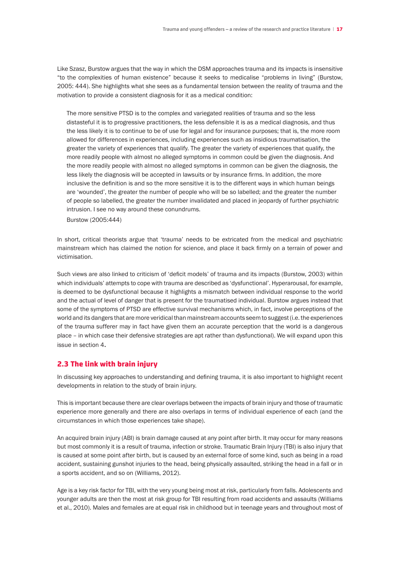Like Szasz, Burstow argues that the way in which the DSM approaches trauma and its impacts is insensitive "to the complexities of human existence" because it seeks to medicalise "problems in living" (Burstow, 2005: 444). She highlights what she sees as a fundamental tension between the reality of trauma and the motivation to provide a consistent diagnosis for it as a medical condition:

 The more sensitive PTSD is to the complex and variegated realities of trauma and so the less distasteful it is to progressive practitioners, the less defensible it is as a medical diagnosis, and thus the less likely it is to continue to be of use for legal and for insurance purposes; that is, the more room allowed for differences in experiences, including experiences such as insidious traumatisation, the greater the variety of experiences that qualify. The greater the variety of experiences that qualify, the more readily people with almost no alleged symptoms in common could be given the diagnosis. And the more readily people with almost no alleged symptoms in common can be given the diagnosis, the less likely the diagnosis will be accepted in lawsuits or by insurance firms. In addition, the more inclusive the definition is and so the more sensitive it is to the different ways in which human beings are 'wounded', the greater the number of people who will be so labelled; and the greater the number of people so labelled, the greater the number invalidated and placed in jeopardy of further psychiatric intrusion. I see no way around these conundrums.

 Burstow (2005:444)

In short, critical theorists argue that 'trauma' needs to be extricated from the medical and psychiatric mainstream which has claimed the notion for science, and place it back firmly on a terrain of power and victimisation.

Such views are also linked to criticism of 'deficit models' of trauma and its impacts (Burstow, 2003) within which individuals' attempts to cope with trauma are described as 'dysfunctional'. Hyperarousal, for example, is deemed to be dysfunctional because it highlights a mismatch between individual response to the world and the actual of level of danger that is present for the traumatised individual. Burstow argues instead that some of the symptoms of PTSD are effective survival mechanisms which, in fact, involve perceptions of the world and its dangers that are more veridical than mainstream accounts seem to suggest (i.e. the experiences of the trauma sufferer may in fact have given them an accurate perception that the world is a dangerous place – in which case their defensive strategies are apt rather than dysfunctional). We will expand upon this issue in section 4.

# 2.3 The link with brain injury

In discussing key approaches to understanding and defining trauma, it is also important to highlight recent developments in relation to the study of brain injury.

This is important because there are clear overlaps between the impacts of brain injury and those of traumatic experience more generally and there are also overlaps in terms of individual experience of each (and the circumstances in which those experiences take shape).

An acquired brain injury (ABI) is brain damage caused at any point after birth. It may occur for many reasons but most commonly it is a result of trauma, infection or stroke. Traumatic Brain Injury (TBI) is also injury that is caused at some point after birth, but is caused by an external force of some kind, such as being in a road accident, sustaining gunshot injuries to the head, being physically assaulted, striking the head in a fall or in a sports accident, and so on (Williams, 2012).

Age is a key risk factor for TBI, with the very young being most at risk, particularly from falls. Adolescents and younger adults are then the most at risk group for TBI resulting from road accidents and assaults (Williams et al., 2010). Males and females are at equal risk in childhood but in teenage years and throughout most of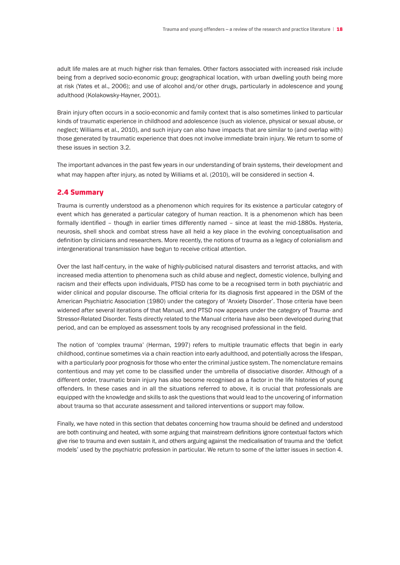adult life males are at much higher risk than females. Other factors associated with increased risk include being from a deprived socio-economic group; geographical location, with urban dwelling youth being more at risk (Yates et al., 2006); and use of alcohol and/or other drugs, particularly in adolescence and young adulthood (Kolakowsky-Hayner, 2001).

Brain injury often occurs in a socio-economic and family context that is also sometimes linked to particular kinds of traumatic experience in childhood and adolescence (such as violence, physical or sexual abuse, or neglect; Williams et al., 2010), and such injury can also have impacts that are similar to (and overlap with) those generated by traumatic experience that does not involve immediate brain injury. We return to some of these issues in section 3.2.

The important advances in the past few years in our understanding of brain systems, their development and what may happen after injury, as noted by Williams et al. (2010), will be considered in section 4.

### 2.4 Summary

Trauma is currently understood as a phenomenon which requires for its existence a particular category of event which has generated a particular category of human reaction. It is a phenomenon which has been formally identified – though in earlier times differently named – since at least the mid-1880s. Hysteria, neurosis, shell shock and combat stress have all held a key place in the evolving conceptualisation and definition by clinicians and researchers. More recently, the notions of trauma as a legacy of colonialism and intergenerational transmission have begun to receive critical attention.

Over the last half-century, in the wake of highly-publicised natural disasters and terrorist attacks, and with increased media attention to phenomena such as child abuse and neglect, domestic violence, bullying and racism and their effects upon individuals, PTSD has come to be a recognised term in both psychiatric and wider clinical and popular discourse. The official criteria for its diagnosis first appeared in the DSM of the American Psychiatric Association (1980) under the category of 'Anxiety Disorder'. Those criteria have been widened after several iterations of that Manual, and PTSD now appears under the category of Trauma- and Stressor-Related Disorder. Tests directly related to the Manual criteria have also been developed during that period, and can be employed as assessment tools by any recognised professional in the field.

The notion of 'complex trauma' (Herman, 1997) refers to multiple traumatic effects that begin in early childhood, continue sometimes via a chain reaction into early adulthood, and potentially across the lifespan, with a particularly poor prognosis for those who enter the criminal justice system. The nomenclature remains contentious and may yet come to be classified under the umbrella of dissociative disorder. Although of a different order, traumatic brain injury has also become recognised as a factor in the life histories of young offenders. In these cases and in all the situations referred to above, it is crucial that professionals are equipped with the knowledge and skills to ask the questions that would lead to the uncovering of information about trauma so that accurate assessment and tailored interventions or support may follow.

Finally, we have noted in this section that debates concerning how trauma should be defined and understood are both continuing and heated, with some arguing that mainstream definitions ignore contextual factors which give rise to trauma and even sustain it, and others arguing against the medicalisation of trauma and the 'deficit models' used by the psychiatric profession in particular. We return to some of the latter issues in section 4.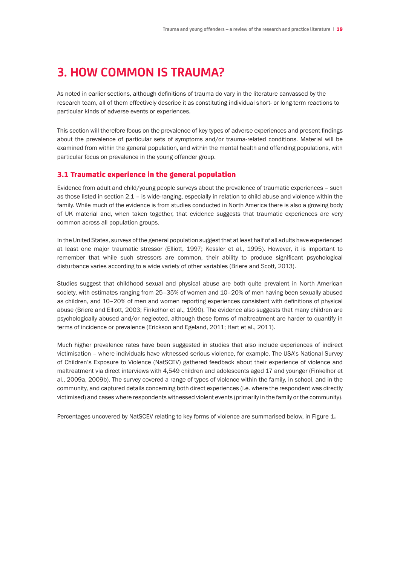# **3. HOW COMMON IS TRAUMA?**

As noted in earlier sections, although definitions of trauma do vary in the literature canvassed by the research team, all of them effectively describe it as constituting individual short- or long-term reactions to particular kinds of adverse events or experiences.

This section will therefore focus on the prevalence of key types of adverse experiences and present findings about the prevalence of particular sets of symptoms and/or trauma-related conditions. Material will be examined from within the general population, and within the mental health and offending populations, with particular focus on prevalence in the young offender group.

# 3.1 Traumatic experience in the general population

Evidence from adult and child/young people surveys about the prevalence of traumatic experiences – such as those listed in section 2.1 – is wide-ranging, especially in relation to child abuse and violence within the family. While much of the evidence is from studies conducted in North America there is also a growing body of UK material and, when taken together, that evidence suggests that traumatic experiences are very common across all population groups.

In the United States, surveys of the general population suggest that at least half of all adults have experienced at least one major traumatic stressor (Elliott, 1997; Kessler et al., 1995). However, it is important to remember that while such stressors are common, their ability to produce significant psychological disturbance varies according to a wide variety of other variables (Briere and Scott, 2013).

Studies suggest that childhood sexual and physical abuse are both quite prevalent in North American society, with estimates ranging from 25–35% of women and 10–20% of men having been sexually abused as children, and 10–20% of men and women reporting experiences consistent with definitions of physical abuse (Briere and Elliott, 2003; Finkelhor et al., 1990). The evidence also suggests that many children are psychologically abused and/or neglected, although these forms of maltreatment are harder to quantify in terms of incidence or prevalence (Erickson and Egeland, 2011; Hart et al., 2011).

Much higher prevalence rates have been suggested in studies that also include experiences of indirect victimisation – where individuals have witnessed serious violence, for example. The USA's National Survey of Children's Exposure to Violence (NatSCEV) gathered feedback about their experience of violence and maltreatment via direct interviews with 4,549 children and adolescents aged 17 and younger (Finkelhor et al., 2009a, 2009b). The survey covered a range of types of violence within the family, in school, and in the community, and captured details concerning both direct experiences (i.e. where the respondent was directly victimised) and cases where respondents witnessed violent events (primarily in the family or the community).

Percentages uncovered by NatSCEV relating to key forms of violence are summarised below, in Figure 1.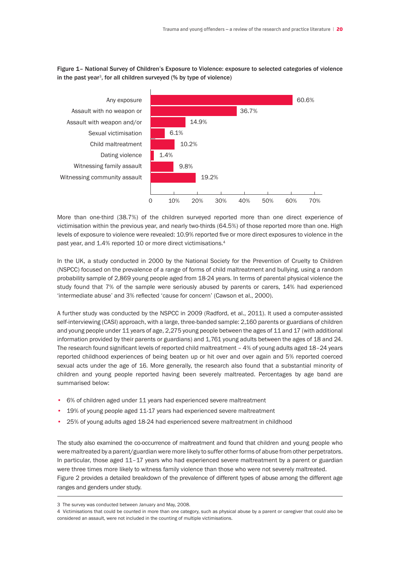# Figure 1– National Survey of Children's Exposure to Violence: exposure to selected categories of violence in the past year<sup>3</sup>, for all children surveyed  $%$  by type of violence)



More than one-third (38.7%) of the children surveyed reported more than one direct experience of victimisation within the previous year, and nearly two-thirds (64.5%) of those reported more than one. High levels of exposure to violence were revealed: 10.9% reported five or more direct exposures to violence in the past year, and 1.4% reported 10 or more direct victimisations.<sup>4</sup>

In the UK, a study conducted in 2000 by the National Society for the Prevention of Cruelty to Children (NSPCC) focused on the prevalence of a range of forms of child maltreatment and bullying, using a random probability sample of 2,869 young people aged from 18-24 years. In terms of parental physical violence the study found that 7% of the sample were seriously abused by parents or carers, 14% had experienced 'intermediate abuse' and 3% reflected 'cause for concern' (Cawson et al., 2000).

A further study was conducted by the NSPCC in 2009 (Radford, et al., 2011). It used a computer-assisted self-interviewing (CASI) approach, with a large, three-banded sample: 2,160 parents or guardians of children and young people under 11 years of age, 2,275 young people between the ages of 11 and 17 (with additional information provided by their parents or guardians) and 1,761 young adults between the ages of 18 and 24. The research found significant levels of reported child maltreatment – 4% of young adults aged 18–24 years reported childhood experiences of being beaten up or hit over and over again and 5% reported coerced sexual acts under the age of 16. More generally, the research also found that a substantial minority of children and young people reported having been severely maltreated. Percentages by age band are summarised below:

- 6% of children aged under 11 years had experienced severe maltreatment
- 19% of young people aged 11-17 years had experienced severe maltreatment
- 25% of young adults aged 18-24 had experienced severe maltreatment in childhood

The study also examined the co-occurrence of maltreatment and found that children and young people who were maltreated by a parent/guardian were more likely to suffer other forms of abuse from other perpetrators. In particular, those aged 11–17 years who had experienced severe maltreatment by a parent or guardian were three times more likely to witness family violence than those who were not severely maltreated. Figure 2 provides a detailed breakdown of the prevalence of different types of abuse among the different age ranges and genders under study.

<sup>3</sup> The survey was conducted between January and May, 2008.

<sup>4</sup> Victimisations that could be counted in more than one category, such as physical abuse by a parent or caregiver that could also be considered an assault, were not included in the counting of multiple victimisations.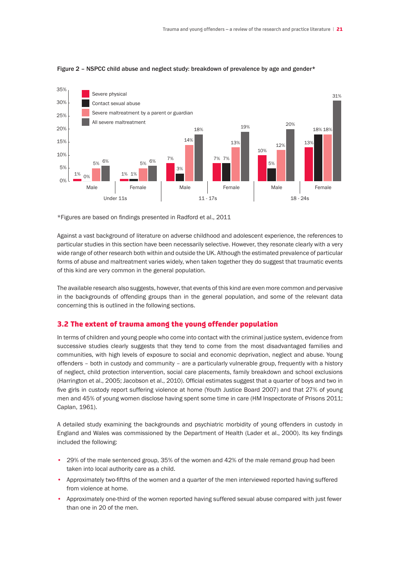

#### Figure 2 - NSPCC child abuse and neglect study: breakdown of prevalence by age and gender\*

\*Figures are based on findings presented in Radford et al., 2011

Against a vast background of literature on adverse childhood and adolescent experience, the references to particular studies in this section have been necessarily selective. However, they resonate clearly with a very wide range of other research both within and outside the UK. Although the estimated prevalence of particular forms of abuse and maltreatment varies widely, when taken together they do suggest that traumatic events of this kind are very common in the general population.

The available research also suggests, however, that events of this kind are even more common and pervasive in the backgrounds of offending groups than in the general population, and some of the relevant data concerning this is outlined in the following sections.

#### 3.2 The extent of trauma among the young offender population

In terms of children and young people who come into contact with the criminal justice system, evidence from successive studies clearly suggests that they tend to come from the most disadvantaged families and communities, with high levels of exposure to social and economic deprivation, neglect and abuse. Young offenders – both in custody and community – are a particularly vulnerable group, frequently with a history of neglect, child protection intervention, social care placements, family breakdown and school exclusions (Harrington et al., 2005; Jacobson et al., 2010). Official estimates suggest that a quarter of boys and two in five girls in custody report suffering violence at home (Youth Justice Board 2007) and that 27% of young men and 45% of young women disclose having spent some time in care (HM Inspectorate of Prisons 2011; Caplan, 1961).

A detailed study examining the backgrounds and psychiatric morbidity of young offenders in custody in England and Wales was commissioned by the Department of Health (Lader et al., 2000). Its key findings included the following:

- 29% of the male sentenced group, 35% of the women and 42% of the male remand group had been taken into local authority care as a child.
- Approximately two-fifths of the women and a quarter of the men interviewed reported having suffered from violence at home.
- Approximately one-third of the women reported having suffered sexual abuse compared with just fewer than one in 20 of the men.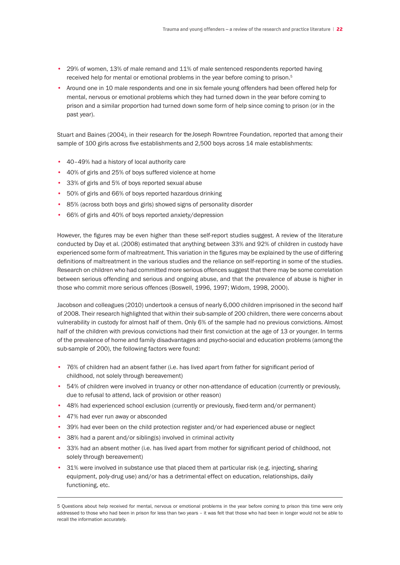- 29% of women, 13% of male remand and 11% of male sentenced respondents reported having received help for mental or emotional problems in the year before coming to prison.<sup>5</sup>
- Around one in 10 male respondents and one in six female young offenders had been offered help for mental, nervous or emotional problems which they had turned down in the year before coming to prison and a similar proportion had turned down some form of help since coming to prison (or in the past year).

Stuart and Baines (2004), in their research for theJoseph Rowntree Foundation, reported that among their sample of 100 girls across five establishments and 2,500 boys across 14 male establishments:

- 40–49% had a history of local authority care
- 40% of girls and 25% of boys suffered violence at home
- 33% of girls and 5% of boys reported sexual abuse
- 50% of girls and 66% of boys reported hazardous drinking
- 85% (across both boys and girls) showed signs of personality disorder
- 66% of girls and 40% of boys reported anxiety/depression

However, the figures may be even higher than these self-report studies suggest. A review of the literature conducted by Day et al. (2008) estimated that anything between 33% and 92% of children in custody have experienced some form of maltreatment. This variation in the figures may be explained by the use of differing definitions of maltreatment in the various studies and the reliance on self-reporting in some of the studies. Research on children who had committed more serious offences suggest that there may be some correlation between serious offending and serious and ongoing abuse, and that the prevalence of abuse is higher in those who commit more serious offences (Boswell, 1996, 1997; Widom, 1998, 2000).

Jacobson and colleagues (2010) undertook a census of nearly 6,000 children imprisoned in the second half of 2008. Their research highlighted that within their sub-sample of 200 children, there were concerns about vulnerability in custody for almost half of them. Only 6% of the sample had no previous convictions. Almost half of the children with previous convictions had their first conviction at the age of 13 or younger. In terms of the prevalence of home and family disadvantages and psycho-social and education problems (among the sub-sample of 200), the following factors were found:

- 76% of children had an absent father (i.e. has lived apart from father for significant period of childhood, not solely through bereavement)
- 54% of children were involved in truancy or other non-attendance of education (currently or previously, due to refusal to attend, lack of provision or other reason)
- 48% had experienced school exclusion (currently or previously, fixed-term and/or permanent)
- 47% had ever run away or absconded
- 39% had ever been on the child protection register and/or had experienced abuse or neglect
- 38% had a parent and/or sibling(s) involved in criminal activity
- 33% had an absent mother (i.e. has lived apart from mother for significant period of childhood, not solely through bereavement)
- 31% were involved in substance use that placed them at particular risk (e.g. injecting, sharing equipment, poly-drug use) and/or has a detrimental effect on education, relationships, daily functioning, etc.

<sup>5</sup> Questions about help received for mental, nervous or emotional problems in the year before coming to prison this time were only addressed to those who had been in prison for less than two years – it was felt that those who had been in longer would not be able to recall the information accurately.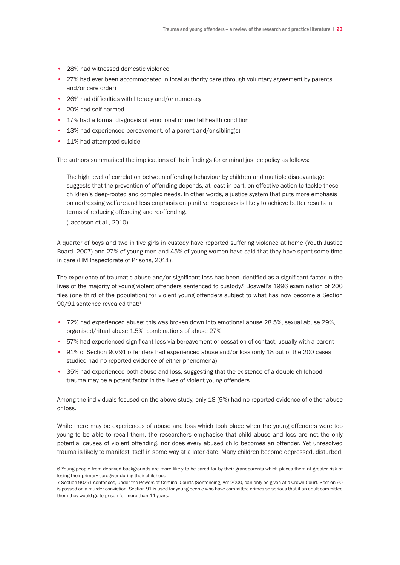- 28% had witnessed domestic violence
- 27% had ever been accommodated in local authority care (through voluntary agreement by parents and/or care order)
- 26% had difficulties with literacy and/or numeracy
- 20% had self-harmed
- 17% had a formal diagnosis of emotional or mental health condition
- 13% had experienced bereavement, of a parent and/or sibling(s)
- 11% had attempted suicide

The authors summarised the implications of their findings for criminal justice policy as follows:

 The high level of correlation between offending behaviour by children and multiple disadvantage suggests that the prevention of offending depends, at least in part, on effective action to tackle these children's deep-rooted and complex needs. In other words, a justice system that puts more emphasis on addressing welfare and less emphasis on punitive responses is likely to achieve better results in terms of reducing offending and reoffending.

(Jacobson et al., 2010)

A quarter of boys and two in five girls in custody have reported suffering violence at home (Youth Justice Board, 2007) and 27% of young men and 45% of young women have said that they have spent some time in care (HM Inspectorate of Prisons, 2011).

The experience of traumatic abuse and/or significant loss has been identified as a significant factor in the lives of the majority of young violent offenders sentenced to custody.<sup>6</sup> Boswell's 1996 examination of 200 files (one third of the population) for violent young offenders subject to what has now become a Section 90/91 sentence revealed that:<sup>7</sup>

- 72% had experienced abuse; this was broken down into emotional abuse 28.5%, sexual abuse 29%, organised/ritual abuse 1.5%, combinations of abuse 27%
- 57% had experienced significant loss via bereavement or cessation of contact, usually with a parent
- 91% of Section 90/91 offenders had experienced abuse and/or loss (only 18 out of the 200 cases studied had no reported evidence of either phenomena)
- 35% had experienced both abuse and loss, suggesting that the existence of a double childhood trauma may be a potent factor in the lives of violent young offenders

Among the individuals focused on the above study, only 18 (9%) had no reported evidence of either abuse or loss.

While there may be experiences of abuse and loss which took place when the young offenders were too young to be able to recall them, the researchers emphasise that child abuse and loss are not the only potential causes of violent offending, nor does every abused child becomes an offender. Yet unresolved trauma is likely to manifest itself in some way at a later date. Many children become depressed, disturbed,

<sup>6</sup> Young people from deprived backgrounds are more likely to be cared for by their grandparents which places them at greater risk of losing their primary caregiver during their childhood.

<sup>7</sup> Section 90/91 sentences, under the Powers of Criminal Courts (Sentencing) Act 2000, can only be given at a Crown Court. Section 90 is passed on a murder conviction. Section 91 is used for young people who have committed crimes so serious that if an adult committed them they would go to prison for more than 14 years.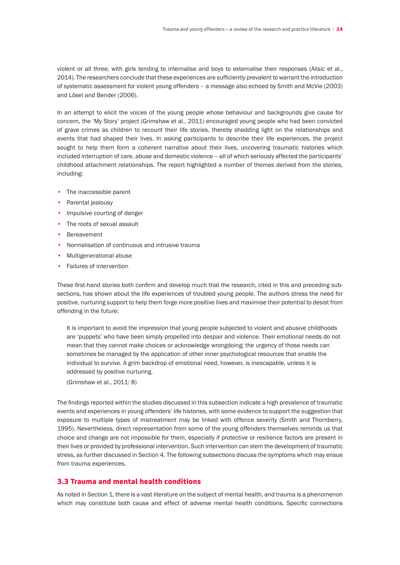violent or all three, with girls tending to internalise and boys to externalise their responses (Alisic et al., 2014). The researchers conclude that these experiences are sufficiently prevalent to warrant the introduction of systematic assessment for violent young offenders – a message also echoed by Smith and McVie (2003) and Lösel and Bender (2006).

In an attempt to elicit the voices of the young people whose behaviour and backgrounds give cause for concern, the 'My Story' project (Grimshaw et al., 2011) encouraged young people who had been convicted of grave crimes as children to recount their life stories, thereby shedding light on the relationships and events that had shaped their lives. In asking participants to describe their life experiences, the project sought to help them form a coherent narrative about their lives, uncovering traumatic histories which included interruption of care, abuse and domestic violence – all of which seriously affected the participants' childhood attachment relationships. The report highlighted a number of themes derived from the stories, including:

- The inaccessible parent
- Parental jealousy
- Impulsive courting of danger
- The roots of sexual assault
- Bereavement
- Normalisation of continuous and intrusive trauma
- Multigenerational abuse
- Failures of intervention

These first-hand stories both confirm and develop much that the research, cited in this and preceding subsections, has shown about the life experiences of troubled young people. The authors stress the need for positive, nurturing support to help them forge more positive lives and maximise their potential to desist from offending in the future:

 It is important to avoid the impression that young people subjected to violent and abusive childhoods are 'puppets' who have been simply propelled into despair and violence. Their emotional needs do not mean that they cannot make choices or acknowledge wrongdoing; the urgency of those needs can sometimes be managed by the application of other inner psychological resources that enable the individual to survive. A grim backdrop of emotional need, however, is inescapable, unless it is addressed by positive nurturing.

(Grimshaw et al., 2011: 8)

The findings reported within the studies discussed in this subsection indicate a high prevalence of traumatic events and experiences in young offenders' life histories, with some evidence to support the suggestion that exposure to multiple types of mistreatment may be linked with offence severity (Smith and Thornberry, 1995). Nevertheless, direct representation from some of the young offenders themselves reminds us that choice and change are not impossible for them, especially if protective or resilience factors are present in their lives or provided by professional intervention. Such intervention can stem the development of traumatic stress, as further discussed in Section 4. The following subsections discuss the symptoms which may ensue from trauma experiences.

# 3.3 Trauma and mental health conditions

As noted in Section 1, there is a vast literature on the subject of mental health, and trauma is a phenomenon which may constitute both cause and effect of adverse mental health conditions. Specific connections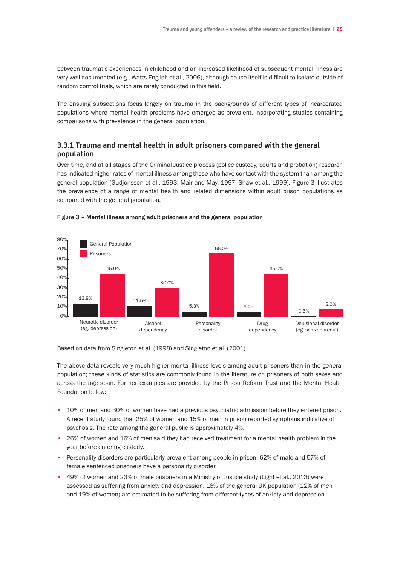between traumatic experiences in childhood and an increased likelihood of subsequent mental illness are very well documented (e.g., Watts-English et al., 2006), although cause itself is difficult to isolate outside of random control trials, which are rarely conducted in this field.

The ensuing subsections focus largely on trauma in the backgrounds of different types of incarcerated populations where mental health problems have emerged as prevalent, incorporating studies containing comparisons with prevalence in the general population.

# **3.3.1 Trauma and mental health in adult prisoners compared with the general population**

Over time, and at all stages of the Criminal Justice process (police custody, courts and probation) research has indicated higher rates of mental illness among those who have contact with the system than among the general population (Gudjonsson et al., 1993; Mair and May, 1997; Shaw et al., 1999). Figure 3 illustrates the prevalence of a range of mental health and related dimensions within adult prison populations as compared with the general population.





Based on data from Singleton et al. (1998) and Singleton et al. (2001)

The above data reveals very much higher mental illness levels among adult prisoners than in the general population; these kinds of statistics are commonly found in the literature on prisoners of both sexes and across the age span. Further examples are provided by the Prison Reform Trust and the Mental Health Foundation below:

- 10% of men and 30% of women have had a previous psychiatric admission before they entered prison. A recent study found that 25% of women and 15% of men in prison reported symptoms indicative of psychosis. The rate among the general public is approximately 4%.
- 26% of women and 16% of men said they had received treatment for a mental health problem in the year before entering custody.
- Personality disorders are particularly prevalent among people in prison. 62% of male and 57% of female sentenced prisoners have a personality disorder.
- 49% of women and 23% of male prisoners in a Ministry of Justice study (Light et al., 2013) were assessed as suffering from anxiety and depression. 16% of the general UK population (12% of men and 19% of women) are estimated to be suffering from different types of anxiety and depression.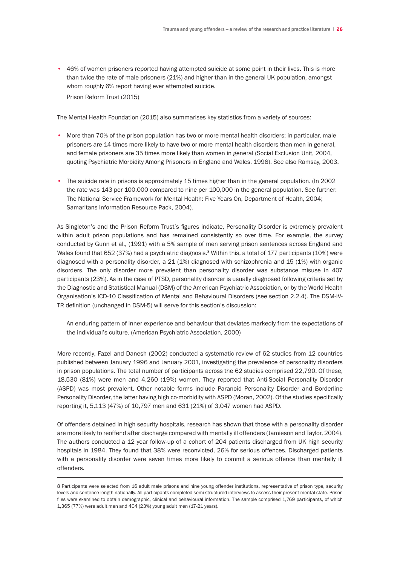• 46% of women prisoners reported having attempted suicide at some point in their lives. This is more than twice the rate of male prisoners (21%) and higher than in the general UK population, amongst whom roughly 6% report having ever attempted suicide. Prison Reform Trust (2015)

The Mental Health Foundation (2015) also summarises key statistics from a variety of sources:

- More than 70% of the prison population has two or more mental health disorders; in particular, male prisoners are 14 times more likely to have two or more mental health disorders than men in general, and female prisoners are 35 times more likely than women in general (Social Exclusion Unit, 2004, quoting Psychiatric Morbidity Among Prisoners in England and Wales, 1998). See also Ramsay, 2003.
- The suicide rate in prisons is approximately 15 times higher than in the general population. (In 2002 the rate was 143 per 100,000 compared to nine per 100,000 in the general population. See further: The National Service Framework for Mental Health: Five Years On, Department of Health, 2004; Samaritans Information Resource Pack, 2004).

As Singleton's and the Prison Reform Trust's figures indicate, Personality Disorder is extremely prevalent within adult prison populations and has remained consistently so over time. For example, the survey conducted by Gunn et al., (1991) with a 5% sample of men serving prison sentences across England and Wales found that 652 (37%) had a psychiatric diagnosis.<sup>8</sup> Within this, a total of 177 participants (10%) were diagnosed with a personality disorder, a 21 (1%) diagnosed with schizophrenia and 15 (1%) with organic disorders. The only disorder more prevalent than personality disorder was substance misuse in 407 participants (23%). As in the case of PTSD, personality disorder is usually diagnosed following criteria set by the Diagnostic and Statistical Manual (DSM) of the American Psychiatric Association, or by the World Health Organisation's ICD-10 Classification of Mental and Behavioural Disorders (see section 2.2.4). The DSM-IV-TR definition (unchanged in DSM-5) will serve for this section's discussion:

 An enduring pattern of inner experience and behaviour that deviates markedly from the expectations of the individual's culture. (American Psychiatric Association, 2000)

More recently, Fazel and Danesh (2002) conducted a systematic review of 62 studies from 12 countries published between January 1996 and January 2001, investigating the prevalence of personality disorders in prison populations. The total number of participants across the 62 studies comprised 22,790. Of these, 18,530 (81%) were men and 4,260 (19%) women. They reported that Anti-Social Personality Disorder (ASPD) was most prevalent. Other notable forms include Paranoid Personality Disorder and Borderline Personality Disorder, the latter having high co-morbidity with ASPD (Moran, 2002). Of the studies specifically reporting it, 5,113 (47%) of 10,797 men and 631 (21%) of 3,047 women had ASPD.

Of offenders detained in high security hospitals, research has shown that those with a personality disorder are more likely to reoffend after discharge compared with mentally ill offenders (Jamieson and Taylor, 2004). The authors conducted a 12 year follow-up of a cohort of 204 patients discharged from UK high security hospitals in 1984. They found that 38% were reconvicted, 26% for serious offences. Discharged patients with a personality disorder were seven times more likely to commit a serious offence than mentally ill offenders.

<sup>8</sup> Participants were selected from 16 adult male prisons and nine young offender institutions, representative of prison type, security levels and sentence length nationally. All participants completed semi-structured interviews to assess their present mental state. Prison files were examined to obtain demographic, clinical and behavioural information. The sample comprised 1,769 participants, of which 1,365 (77%) were adult men and 404 (23%) young adult men (17-21 years).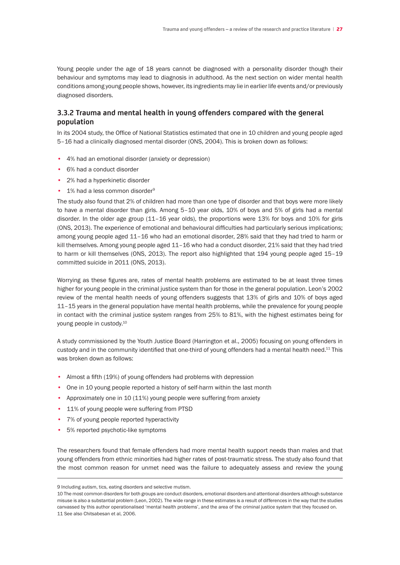Young people under the age of 18 years cannot be diagnosed with a personality disorder though their behaviour and symptoms may lead to diagnosis in adulthood. As the next section on wider mental health conditions among young people shows, however, its ingredients may lie in earlier life events and/or previously diagnosed disorders.

# **3.3.2 Trauma and mental health in young offenders compared with the general population**

In its 2004 study, the Office of National Statistics estimated that one in 10 children and young people aged 5–16 had a clinically diagnosed mental disorder (ONS, 2004). This is broken down as follows:

- 4% had an emotional disorder (anxiety or depression)
- 6% had a conduct disorder
- 2% had a hyperkinetic disorder
- 1% had a less common disorder<sup>9</sup>

The study also found that 2% of children had more than one type of disorder and that boys were more likely to have a mental disorder than girls. Among 5–10 year olds, 10% of boys and 5% of girls had a mental disorder. In the older age group (11–16 year olds), the proportions were 13% for boys and 10% for girls (ONS, 2013). The experience of emotional and behavioural difficulties had particularly serious implications; among young people aged 11–16 who had an emotional disorder, 28% said that they had tried to harm or kill themselves. Among young people aged 11-16 who had a conduct disorder, 21% said that they had tried to harm or kill themselves (ONS, 2013). The report also highlighted that 194 young people aged 15–19 committed suicide in 2011 (ONS, 2013).

Worrying as these figures are, rates of mental health problems are estimated to be at least three times higher for young people in the criminal justice system than for those in the general population. Leon's 2002 review of the mental health needs of young offenders suggests that 13% of girls and 10% of boys aged 11–15 years in the general population have mental health problems, while the prevalence for young people in contact with the criminal justice system ranges from 25% to 81%, with the highest estimates being for young people in custody.<sup>10</sup>

A study commissioned by the Youth Justice Board (Harrington et al., 2005) focusing on young offenders in custody and in the community identified that one-third of young offenders had a mental health need.<sup>11</sup> This was broken down as follows:

- Almost a fifth (19%) of young offenders had problems with depression
- One in 10 young people reported a history of self-harm within the last month
- Approximately one in 10 (11%) young people were suffering from anxiety
- 11% of young people were suffering from PTSD
- 7% of young people reported hyperactivity
- 5% reported psychotic-like symptoms

The researchers found that female offenders had more mental health support needs than males and that young offenders from ethnic minorities had higher rates of post-traumatic stress. The study also found that the most common reason for unmet need was the failure to adequately assess and review the young

<sup>9</sup> Including autism, tics, eating disorders and selective mutism.

<sup>10</sup> The most common disorders for both groups are conduct disorders, emotional disorders and attentional disorders although substance misuse is also a substantial problem (Leon, 2002). The wide range in these estimates is a result of differences in the way that the studies canvassed by this author operationalised 'mental health problems', and the area of the criminal justice system that they focused on. 11 See also Chitsabesan et al, 2006.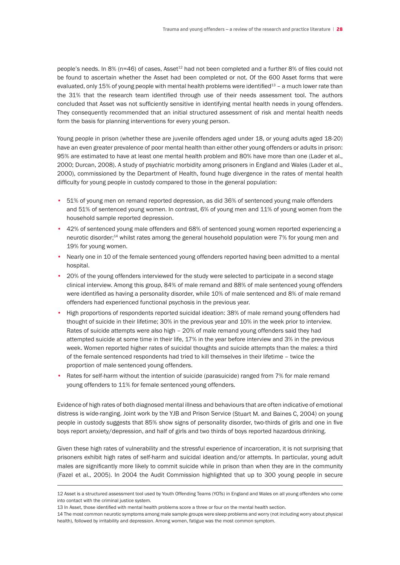people's needs. In 8% (n=46) of cases, Asset<sup>12</sup> had not been completed and a further 8% of files could not be found to ascertain whether the Asset had been completed or not. Of the 600 Asset forms that were evaluated, only 15% of young people with mental health problems were identified $^{13}$  – a much lower rate than the 31% that the research team identified through use of their needs assessment tool. The authors concluded that Asset was not sufficiently sensitive in identifying mental health needs in young offenders. They consequently recommended that an initial structured assessment of risk and mental health needs form the basis for planning interventions for every young person.

Young people in prison (whether these are juvenile offenders aged under 18, or young adults aged 18-20) have an even greater prevalence of poor mental health than either other young offenders or adults in prison: 95% are estimated to have at least one mental health problem and 80% have more than one (Lader et al., 2000; Durcan, 2008). A study of psychiatric morbidity among prisoners in England and Wales (Lader et al., 2000), commissioned by the Department of Health, found huge divergence in the rates of mental health difficulty for young people in custody compared to those in the general population:

- 51% of young men on remand reported depression, as did 36% of sentenced young male offenders and 51% of sentenced young women. In contrast, 6% of young men and 11% of young women from the household sample reported depression.
- 42% of sentenced young male offenders and 68% of sentenced young women reported experiencing a neurotic disorder;<sup>14</sup> whilst rates among the general household population were 7% for young men and 19% for young women.
- Nearly one in 10 of the female sentenced young offenders reported having been admitted to a mental hospital.
- 20% of the young offenders interviewed for the study were selected to participate in a second stage clinical interview. Among this group, 84% of male remand and 88% of male sentenced young offenders were identified as having a personality disorder, while 10% of male sentenced and 8% of male remand offenders had experienced functional psychosis in the previous year.
- High proportions of respondents reported suicidal ideation: 38% of male remand young offenders had thought of suicide in their lifetime; 30% in the previous year and 10% in the week prior to interview. Rates of suicide attempts were also high – 20% of male remand young offenders said they had attempted suicide at some time in their life, 17% in the year before interview and 3% in the previous week. Women reported higher rates of suicidal thoughts and suicide attempts than the males: a third of the female sentenced respondents had tried to kill themselves in their lifetime – twice the proportion of male sentenced young offenders.
- Rates for self-harm without the intention of suicide (parasuicide) ranged from 7% for male remand young offenders to 11% for female sentenced young offenders.

Evidence of high rates of both diagnosed mental illness and behaviours that are often indicative of emotional distress is wide-ranging. Joint work by the YJB and Prison Service (Stuart M. and Baines C, 2004) on young people in custody suggests that 85% show signs of personality disorder, two-thirds of girls and one in five boys report anxiety/depression, and half of girls and two thirds of boys reported hazardous drinking.

Given these high rates of vulnerability and the stressful experience of incarceration, it is not surprising that prisoners exhibit high rates of self-harm and suicidal ideation and/or attempts. In particular, young adult males are significantly more likely to commit suicide while in prison than when they are in the community (Fazel et al., 2005). In 2004 the Audit Commission highlighted that up to 300 young people in secure

<sup>12</sup> Asset is a structured assessment tool used by Youth Offending Teams (YOTs) in England and Wales on all young offenders who come into contact with the criminal justice system.

<sup>13</sup> In Asset, those identified with mental health problems score a three or four on the mental health section.

<sup>14</sup> The most common neurotic symptoms among male sample groups were sleep problems and worry (not including worry about physical health), followed by irritability and depression. Among women, fatigue was the most common symptom.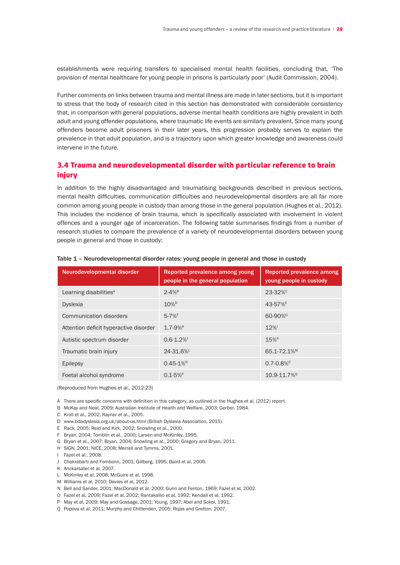establishments were requiring transfers to specialised mental health facilities, concluding that, 'The provision of mental healthcare for young people in prisons is particularly poor' (Audit Commission, 2004).

Further comments on links between trauma and mental illness are made in later sections, but it is important to stress that the body of research cited in this section has demonstrated with considerable consistency that, in comparison with general populations, adverse mental health conditions are highly prevalent in both adult and young offender populations, where traumatic life events are similarly prevalent. Since many young offenders become adult prisoners in their later years, this progression probably serves to explain the prevalence in that adult population, and is a trajectory upon which greater knowledge and awareness could intervene in the future.

# 3.4 Trauma and neurodevelopmental disorder with particular reference to brain injury

In addition to the highly disadvantaged and traumatising backgrounds described in previous sections, mental health difficulties, communication difficulties and neurodevelopmental disorders are all far more common among young people in custody than among those in the general population (Hughes et al., 2012). This includes the incidence of brain trauma, which is specifically associated with involvement in violent offences and a younger age of incarceration. The following table summarises findings from a number of research studies to compare the prevalence of a variety of neurodevelopmental disorders between young people in general and those in custody:

| Neurodevelopmental disorder            | Reported prevalence among young<br>people in the general population | Reported prevalence among<br>young people in custody |
|----------------------------------------|---------------------------------------------------------------------|------------------------------------------------------|
| Learning disabilities <sup>A</sup>     | $2 - 4%$ <sup>B</sup>                                               | $23 - 32%$                                           |
| <b>Dyslexia</b>                        | $10\%$ <sup>D</sup>                                                 | 43-57%E                                              |
| Communication disorders                | $5 - 7%$ F                                                          | 60-90% <sup>G</sup>                                  |
| Attention deficit hyperactive disorder | $1.7 - 9%$ <sup>H</sup>                                             | 12%                                                  |
| Autistic spectrum disorder             | $0.6 - 1.2%$                                                        | $15\%$ <sup>K</sup>                                  |
| Traumatic brain injury                 | 24-31.6%L                                                           | 65.1-72.1% <sup>M</sup>                              |
| Epilepsy                               | $0.45 - 1\%$ <sup>N</sup>                                           | $0.7 - 0.8\%$ <sup>o</sup>                           |
| Foetal alcohol syndrome                | $0.1 - 5%$ <sup>P</sup>                                             | 10.9-11.7% <sup>Q</sup>                              |

#### Table 1 – Neurodevelopmental disorder rates: young people in general and those in custody

(Reproduced from Hughes et al., 2012:23)

A There are specific concerns with definition in this category, as outlined in the Hughes et al. (2012) report.

- B McKay and Neal, 2009; Australian Institute of Health and Welfare, 2003; Gerber, 1984.
- C Kroll et al., 2002; Rayner et al., 2005.
- D www.bdadyslexia.org.uk/about-us.html (British Dyslexia Association, 2015).
- E Rack, 2005; Reid and Kirk, 2002; Snowling et al., 2000.
- F Bryan, 2004; Tomblin et al., 2000; Larsen and McKinley, 1995.
- G Bryan et al., 2007; Bryan, 2004; Snowling et al., 2000; Gregory and Bryan, 2011.
- H SIGN, 2001; NICE, 2008; Merrell and Tymms, 2001.
- I Fazel et al., 2008.
- J Chakrabarti and Fombonn, 2001; Gillberg, 1995; Baird et al, 2006.
- K Anckarsater et al, 2007.
- L. McKinley et al, 2008; McGuire et al, 1998.
- M Williams et al, 2010; Davies et al, 2012.
- N Bell and Sander, 2001; MacDonald et al, 2000; Gunn and Fenton, 1969; Fazel et al, 2002.
- O Fazel et al, 2009; Fazel et al, 2002; Rantakallio et al, 1992; Kendall et al, 1992.
- P May et al, 2009; May and Gossage, 2001; Young, 1997; Abel and Sokol, 1991.
- Q Popova et al, 2011; Murphy and Chittenden, 2005; Rojas and Gretton, 2007.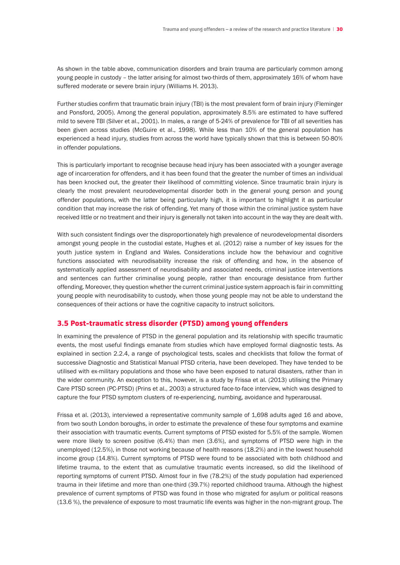As shown in the table above, communication disorders and brain trauma are particularly common among young people in custody – the latter arising for almost two-thirds of them, approximately 16% of whom have suffered moderate or severe brain injury (Williams H. 2013).

Further studies confirm that traumatic brain injury (TBI) is the most prevalent form of brain injury (Fleminger and Ponsford, 2005). Among the general population, approximately 8.5% are estimated to have suffered mild to severe TBI (Silver et al., 2001). In males, a range of 5-24% of prevalence for TBI of all severities has been given across studies (McGuire et al., 1998). While less than 10% of the general population has experienced a head injury, studies from across the world have typically shown that this is between 50-80% in offender populations.

This is particularly important to recognise because head injury has been associated with a younger average age of incarceration for offenders, and it has been found that the greater the number of times an individual has been knocked out, the greater their likelihood of committing violence. Since traumatic brain injury is clearly the most prevalent neurodevelopmental disorder both in the general young person and young offender populations, with the latter being particularly high, it is important to highlight it as particular condition that may increase the risk of offending. Yet many of those within the criminal justice system have received little or no treatment and their injury is generally not taken into account in the way they are dealt with.

With such consistent findings over the disproportionately high prevalence of neurodevelopmental disorders amongst young people in the custodial estate, Hughes et al. (2012) raise a number of key issues for the youth justice system in England and Wales. Considerations include how the behaviour and cognitive functions associated with neurodisability increase the risk of offending and how, in the absence of systematically applied assessment of neurodisability and associated needs, criminal justice interventions and sentences can further criminalise young people, rather than encourage desistance from further offending. Moreover, they question whether the current criminal justice system approach is fair in committing young people with neurodisability to custody, when those young people may not be able to understand the consequences of their actions or have the cognitive capacity to instruct solicitors.

#### 3.5 Post-traumatic stress disorder (PTSD) among young offenders

In examining the prevalence of PTSD in the general population and its relationship with specific traumatic events, the most useful findings emanate from studies which have employed formal diagnostic tests. As explained in section 2.2.4, a range of psychological tests, scales and checklists that follow the format of successive Diagnostic and Statistical Manual PTSD criteria, have been developed. They have tended to be utilised with ex-military populations and those who have been exposed to natural disasters, rather than in the wider community. An exception to this, however, is a study by Frissa et al. (2013) utilising the Primary Care PTSD screen (PC-PTSD) (Prins et al., 2003) a structured face-to-face interview, which was designed to capture the four PTSD symptom clusters of re-experiencing, numbing, avoidance and hyperarousal.

Frissa et al. (2013), interviewed a representative community sample of 1,698 adults aged 16 and above, from two south London boroughs, in order to estimate the prevalence of these four symptoms and examine their association with traumatic events. Current symptoms of PTSD existed for 5.5% of the sample. Women were more likely to screen positive (6.4%) than men (3.6%), and symptoms of PTSD were high in the unemployed (12.5%), in those not working because of health reasons (18.2%) and in the lowest household income group (14.8%). Current symptoms of PTSD were found to be associated with both childhood and lifetime trauma, to the extent that as cumulative traumatic events increased, so did the likelihood of reporting symptoms of current PTSD. Almost four in five (78.2%) of the study population had experienced trauma in their lifetime and more than one-third (39.7%) reported childhood trauma. Although the highest prevalence of current symptoms of PTSD was found in those who migrated for asylum or political reasons (13.6 %), the prevalence of exposure to most traumatic life events was higher in the non-migrant group. The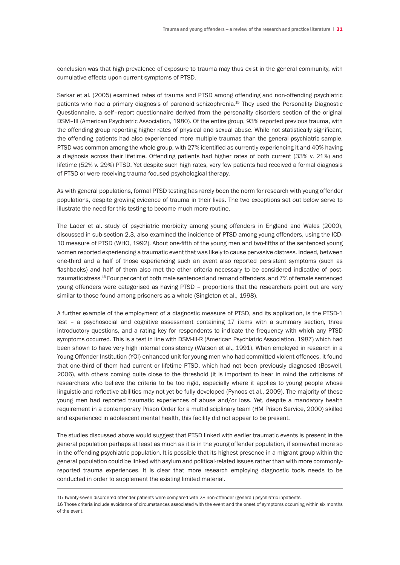conclusion was that high prevalence of exposure to trauma may thus exist in the general community, with cumulative effects upon current symptoms of PTSD.

Sarkar et al. (2005) examined rates of trauma and PTSD among offending and non-offending psychiatric patients who had a primary diagnosis of paranoid schizophrenia.15 They used the Personality Diagnostic Questionnaire, a self–report questionnaire derived from the personality disorders section of the original DSM–III (American Psychiatric Association, 1980). Of the entire group, 93% reported previous trauma, with the offending group reporting higher rates of physical and sexual abuse. While not statistically significant, the offending patients had also experienced more multiple traumas than the general psychiatric sample. PTSD was common among the whole group, with 27% identified as currently experiencing it and 40% having a diagnosis across their lifetime. Offending patients had higher rates of both current (33% v. 21%) and lifetime (52% v. 29%) PTSD. Yet despite such high rates, very few patients had received a formal diagnosis of PTSD or were receiving trauma-focused psychological therapy.

As with general populations, formal PTSD testing has rarely been the norm for research with young offender populations, despite growing evidence of trauma in their lives. The two exceptions set out below serve to illustrate the need for this testing to become much more routine.

The Lader et al. study of psychiatric morbidity among young offenders in England and Wales (2000), discussed in sub-section 2.3, also examined the incidence of PTSD among young offenders, using the ICD-10 measure of PTSD (WHO, 1992). About one-fifth of the young men and two-fifths of the sentenced young women reported experiencing a traumatic event that was likely to cause pervasive distress. Indeed, between one-third and a half of those experiencing such an event also reported persistent symptoms (such as flashbacks) and half of them also met the other criteria necessary to be considered indicative of posttraumatic stress.16 Four per cent of both male sentenced and remand offenders, and 7% of female sentenced young offenders were categorised as having PTSD – proportions that the researchers point out are very similar to those found among prisoners as a whole (Singleton et al., 1998).

A further example of the employment of a diagnostic measure of PTSD, and its application, is the PTSD-1 test – a psychosocial and cognitive assessment containing 17 items with a summary section, three introductory questions, and a rating key for respondents to indicate the frequency with which any PTSD symptoms occurred. This is a test in line with DSM-III-R (American Psychiatric Association, 1987) which had been shown to have very high internal consistency (Watson et al., 1991). When employed in research in a Young Offender Institution (YOI) enhanced unit for young men who had committed violent offences, it found that one-third of them had current or lifetime PTSD, which had not been previously diagnosed (Boswell, 2006), with others coming quite close to the threshold (it is important to bear in mind the criticisms of researchers who believe the criteria to be too rigid, especially where it applies to young people whose linguistic and reflective abilities may not yet be fully developed (Pynoos et al., 2009). The majority of these young men had reported traumatic experiences of abuse and/or loss. Yet, despite a mandatory health requirement in a contemporary Prison Order for a multidisciplinary team (HM Prison Service, 2000) skilled and experienced in adolescent mental health, this facility did not appear to be present.

The studies discussed above would suggest that PTSD linked with earlier traumatic events is present in the general population perhaps at least as much as it is in the young offender population, if somewhat more so in the offending psychiatric population. It is possible that its highest presence in a migrant group within the general population could be linked with asylum and political-related issues rather than with more commonlyreported trauma experiences. It is clear that more research employing diagnostic tools needs to be conducted in order to supplement the existing limited material.

<sup>15</sup> Twenty-seven disordered offender patients were compared with 28 non-offender (general) psychiatric inpatients.

<sup>16</sup> Those criteria include avoidance of circumstances associated with the event and the onset of symptoms occurring within six months of the event.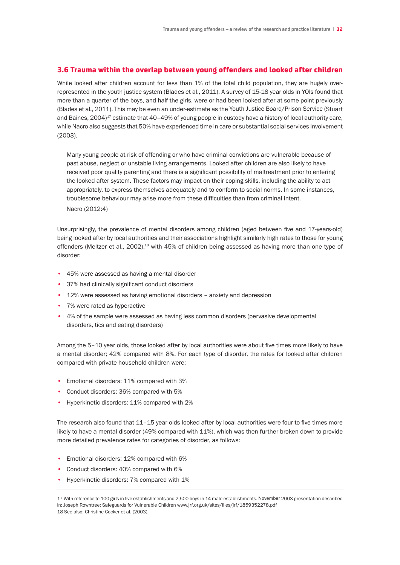### 3.6 Trauma within the overlap between young offenders and looked after children

While looked after children account for less than 1% of the total child population, they are hugely overrepresented in the youth justice system (Blades et al., 2011). A survey of 15-18 year olds in YOIs found that more than a quarter of the boys, and half the girls, were or had been looked after at some point previously (Blades et al., 2011). This may be even an under-estimate as the Youth Justice Board/Prison Service (Stuart and Baines, 2004)<sup>17</sup> estimate that 40-49% of young people in custody have a history of local authority care, while Nacro also suggests that 50% have experienced time in care or substantial social services involvement (2003).

 Many young people at risk of offending or who have criminal convictions are vulnerable because of past abuse, neglect or unstable living arrangements. Looked after children are also likely to have received poor quality parenting and there is a significant possibility of maltreatment prior to entering the looked after system. These factors may impact on their coping skills, including the ability to act appropriately, to express themselves adequately and to conform to social norms. In some instances, troublesome behaviour may arise more from these difficulties than from criminal intent.

 Nacro (2012:4)

Unsurprisingly, the prevalence of mental disorders among children (aged between five and 17-years-old) being looked after by local authorities and their associations highlight similarly high rates to those for young offenders (Meltzer et al., 2002), $^{18}$  with 45% of children being assessed as having more than one type of disorder:

- 45% were assessed as having a mental disorder
- 37% had clinically significant conduct disorders
- 12% were assessed as having emotional disorders anxiety and depression
- 7% were rated as hyperactive
- 4% of the sample were assessed as having less common disorders (pervasive developmental disorders, tics and eating disorders)

Among the 5–10 year olds, those looked after by local authorities were about five times more likely to have a mental disorder; 42% compared with 8%. For each type of disorder, the rates for looked after children compared with private household children were:

- Emotional disorders: 11% compared with 3%
- Conduct disorders: 36% compared with 5%
- Hyperkinetic disorders: 11% compared with 2%

The research also found that 11–15 year olds looked after by local authorities were four to five times more likely to have a mental disorder (49% compared with 11%), which was then further broken down to provide more detailed prevalence rates for categories of disorder, as follows:

- Emotional disorders: 12% compared with 6%
- Conduct disorders: 40% compared with 6%
- Hyperkinetic disorders: 7% compared with 1%

17 With reference to 100 girls in five establishments and 2,500 boys in 14 male establishments. November 2003 presentation described in: Joseph Rowntree: Safeguards for Vulnerable Children www.jrf.org.uk/sites/files/jrf/1859352278.pdf

18 See also: Christine Cocker et al. (2003).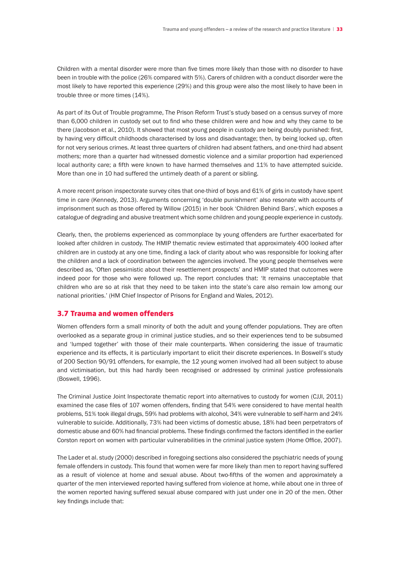Children with a mental disorder were more than five times more likely than those with no disorder to have been in trouble with the police (26% compared with 5%). Carers of children with a conduct disorder were the most likely to have reported this experience (29%) and this group were also the most likely to have been in trouble three or more times (14%).

As part of its Out of Trouble programme, The Prison Reform Trust's study based on a census survey of more than 6,000 children in custody set out to find who these children were and how and why they came to be there (Jacobson et al., 2010). It showed that most young people in custody are being doubly punished: first, by having very difficult childhoods characterised by loss and disadvantage; then, by being locked up, often for not very serious crimes. At least three quarters of children had absent fathers, and one-third had absent mothers; more than a quarter had witnessed domestic violence and a similar proportion had experienced local authority care; a fifth were known to have harmed themselves and 11% to have attempted suicide. More than one in 10 had suffered the untimely death of a parent or sibling.

A more recent prison inspectorate survey cites that one-third of boys and 61% of girls in custody have spent time in care (Kennedy, 2013). Arguments concerning 'double punishment' also resonate with accounts of imprisonment such as those offered by Willow (2015) in her book 'Children Behind Bars', which exposes a catalogue of degrading and abusive treatment which some children and young people experience in custody.

Clearly, then, the problems experienced as commonplace by young offenders are further exacerbated for looked after children in custody. The HMIP thematic review estimated that approximately 400 looked after children are in custody at any one time, finding a lack of clarity about who was responsible for looking after the children and a lack of coordination between the agencies involved. The young people themselves were described as, 'Often pessimistic about their resettlement prospects' and HMIP stated that outcomes were indeed poor for those who were followed up. The report concludes that: 'It remains unacceptable that children who are so at risk that they need to be taken into the state's care also remain low among our national priorities.' (HM Chief Inspector of Prisons for England and Wales, 2012).

### 3.7 Trauma and women offenders

Women offenders form a small minority of both the adult and young offender populations. They are often overlooked as a separate group in criminal justice studies, and so their experiences tend to be subsumed and 'lumped together' with those of their male counterparts. When considering the issue of traumatic experience and its effects, it is particularly important to elicit their discrete experiences. In Boswell's study of 200 Section 90/91 offenders, for example, the 12 young women involved had all been subject to abuse and victimisation, but this had hardly been recognised or addressed by criminal justice professionals (Boswell, 1996).

The Criminal Justice Joint Inspectorate thematic report into alternatives to custody for women (CJJI, 2011) examined the case files of 107 women offenders, finding that 54% were considered to have mental health problems, 51% took illegal drugs, 59% had problems with alcohol, 34% were vulnerable to self-harm and 24% vulnerable to suicide. Additionally, 73% had been victims of domestic abuse, 18% had been perpetrators of domestic abuse and 60% had financial problems. These findings confirmed the factors identified in the earlier Corston report on women with particular vulnerabilities in the criminal justice system (Home Office, 2007).

The Lader et al. study (2000) described in foregoing sections also considered the psychiatric needs of young female offenders in custody. This found that women were far more likely than men to report having suffered as a result of violence at home and sexual abuse. About two-fifths of the women and approximately a quarter of the men interviewed reported having suffered from violence at home, while about one in three of the women reported having suffered sexual abuse compared with just under one in 20 of the men. Other key findings include that: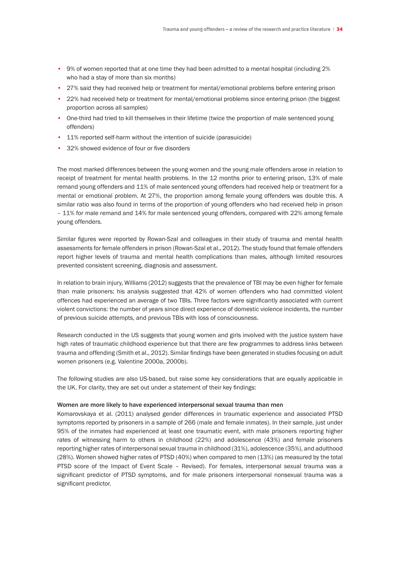- 9% of women reported that at one time they had been admitted to a mental hospital (including 2% who had a stay of more than six months)
- 27% said they had received help or treatment for mental/emotional problems before entering prison
- 22% had received help or treatment for mental/emotional problems since entering prison (the biggest proportion across all samples)
- One-third had tried to kill themselves in their lifetime (twice the proportion of male sentenced young offenders)
- 11% reported self-harm without the intention of suicide (parasuicide)
- 32% showed evidence of four or five disorders

The most marked differences between the young women and the young male offenders arose in relation to receipt of treatment for mental health problems. In the 12 months prior to entering prison, 13% of male remand young offenders and 11% of male sentenced young offenders had received help or treatment for a mental or emotional problem. At 27%, the proportion among female young offenders was double this. A similar ratio was also found in terms of the proportion of young offenders who had received help in prison – 11% for male remand and 14% for male sentenced young offenders, compared with 22% among female young offenders.

Similar figures were reported by Rowan-Szal and colleagues in their study of trauma and mental health assessments for female offenders in prison (Rowan-Szal et al., 2012). The study found that female offenders report higher levels of trauma and mental health complications than males, although limited resources prevented consistent screening, diagnosis and assessment.

In relation to brain injury, Williams (2012) suggests that the prevalence of TBI may be even higher for female than male prisoners; his analysis suggested that 42% of women offenders who had committed violent offences had experienced an average of two TBIs. Three factors were significantly associated with current violent convictions: the number of years since direct experience of domestic violence incidents, the number of previous suicide attempts, and previous TBIs with loss of consciousness.

Research conducted in the US suggests that young women and girls involved with the justice system have high rates of traumatic childhood experience but that there are few programmes to address links between trauma and offending (Smith et al., 2012). Similar findings have been generated in studies focusing on adult women prisoners (e.g. Valentine 2000a, 2000b).

The following studies are also US-based, but raise some key considerations that are equally applicable in the UK. For clarity, they are set out under a statement of their key findings:

#### Women are more likely to have experienced interpersonal sexual trauma than men

Komarovskaya et al. (2011) analysed gender differences in traumatic experience and associated PTSD symptoms reported by prisoners in a sample of 266 (male and female inmates). In their sample, just under 95% of the inmates had experienced at least one traumatic event, with male prisoners reporting higher rates of witnessing harm to others in childhood (22%) and adolescence (43%) and female prisoners reporting higher rates of interpersonal sexual trauma in childhood (31%), adolescence (35%), and adulthood (28%). Women showed higher rates of PTSD (40%) when compared to men (13%) (as measured by the total PTSD score of the Impact of Event Scale – Revised). For females, interpersonal sexual trauma was a significant predictor of PTSD symptoms, and for male prisoners interpersonal nonsexual trauma was a significant predictor.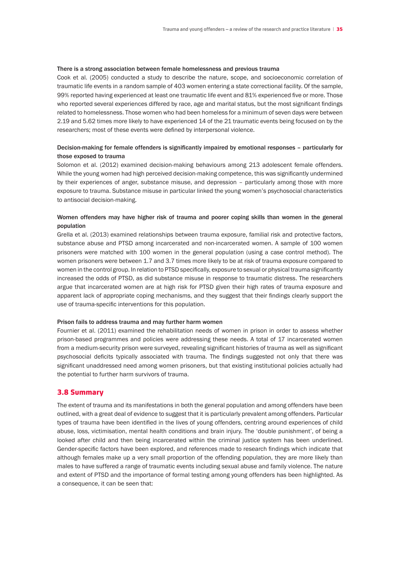#### There is a strong association between female homelessness and previous trauma

Cook et al. (2005) conducted a study to describe the nature, scope, and socioeconomic correlation of traumatic life events in a random sample of 403 women entering a state correctional facility. Of the sample, 99% reported having experienced at least one traumatic life event and 81% experienced five or more. Those who reported several experiences differed by race, age and marital status, but the most significant findings related to homelessness. Those women who had been homeless for a minimum of seven days were between 2.19 and 5.62 times more likely to have experienced 14 of the 21 traumatic events being focused on by the researchers; most of these events were defined by interpersonal violence.

# Decision-making for female offenders is significantly impaired by emotional responses – particularly for those exposed to trauma

Solomon et al. (2012) examined decision-making behaviours among 213 adolescent female offenders. While the young women had high perceived decision-making competence, this was significantly undermined by their experiences of anger, substance misuse, and depression – particularly among those with more exposure to trauma. Substance misuse in particular linked the young women's psychosocial characteristics to antisocial decision-making.

# Women offenders may have higher risk of trauma and poorer coping skills than women in the general population

Grella et al. (2013) examined relationships between trauma exposure, familial risk and protective factors, substance abuse and PTSD among incarcerated and non-incarcerated women. A sample of 100 women prisoners were matched with 100 women in the general population (using a case control method). The women prisoners were between 1.7 and 3.7 times more likely to be at risk of trauma exposure compared to women in the control group. In relation to PTSD specifically, exposure to sexual or physical trauma significantly increased the odds of PTSD, as did substance misuse in response to traumatic distress. The researchers argue that incarcerated women are at high risk for PTSD given their high rates of trauma exposure and apparent lack of appropriate coping mechanisms, and they suggest that their findings clearly support the use of trauma-specific interventions for this population.

#### Prison fails to address trauma and may further harm women

Fournier et al. (2011) examined the rehabilitation needs of women in prison in order to assess whether prison-based programmes and policies were addressing these needs. A total of 17 incarcerated women from a medium-security prison were surveyed, revealing significant histories of trauma as well as significant psychosocial deficits typically associated with trauma. The findings suggested not only that there was significant unaddressed need among women prisoners, but that existing institutional policies actually had the potential to further harm survivors of trauma.

#### 3.8 Summary

The extent of trauma and its manifestations in both the general population and among offenders have been outlined, with a great deal of evidence to suggest that it is particularly prevalent among offenders. Particular types of trauma have been identified in the lives of young offenders, centring around experiences of child abuse, loss, victimisation, mental health conditions and brain injury. The 'double punishment', of being a looked after child and then being incarcerated within the criminal justice system has been underlined. Gender-specific factors have been explored, and references made to research findings which indicate that although females make up a very small proportion of the offending population, they are more likely than males to have suffered a range of traumatic events including sexual abuse and family violence. The nature and extent of PTSD and the importance of formal testing among young offenders has been highlighted. As a consequence, it can be seen that: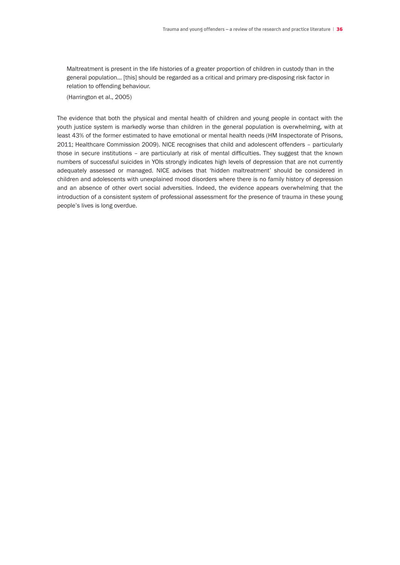Maltreatment is present in the life histories of a greater proportion of children in custody than in the general population… [this] should be regarded as a critical and primary pre-disposing risk factor in relation to offending behaviour.

 (Harrington et al., 2005)

The evidence that both the physical and mental health of children and young people in contact with the youth justice system is markedly worse than children in the general population is overwhelming, with at least 43% of the former estimated to have emotional or mental health needs (HM Inspectorate of Prisons, 2011; Healthcare Commission 2009). NICE recognises that child and adolescent offenders – particularly those in secure institutions – are particularly at risk of mental difficulties. They suggest that the known numbers of successful suicides in YOIs strongly indicates high levels of depression that are not currently adequately assessed or managed. NICE advises that 'hidden maltreatment' should be considered in children and adolescents with unexplained mood disorders where there is no family history of depression and an absence of other overt social adversities. Indeed, the evidence appears overwhelming that the introduction of a consistent system of professional assessment for the presence of trauma in these young people's lives is long overdue.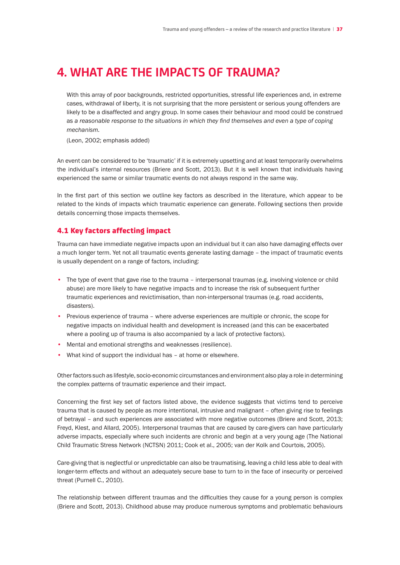# **4. WHAT ARE THE IMPACTS OF TRAUMA?**

 With this array of poor backgrounds, restricted opportunities, stressful life experiences and, in extreme cases, withdrawal of liberty, it is not surprising that the more persistent or serious young offenders are likely to be a disaffected and angry group. In some cases their behaviour and mood could be construed as *a reasonable response to the situations in which they find themselves and even a type of coping mechanism.*

 (Leon, 2002; emphasis added)

An event can be considered to be 'traumatic' if it is extremely upsetting and at least temporarily overwhelms the individual's internal resources (Briere and Scott, 2013). But it is well known that individuals having experienced the same or similar traumatic events do not always respond in the same way.

In the first part of this section we outline key factors as described in the literature, which appear to be related to the kinds of impacts which traumatic experience can generate. Following sections then provide details concerning those impacts themselves.

## 4.1 Key factors affecting impact

Trauma can have immediate negative impacts upon an individual but it can also have damaging effects over a much longer term. Yet not all traumatic events generate lasting damage – the impact of traumatic events is usually dependent on a range of factors, including:

- The type of event that gave rise to the trauma interpersonal traumas (e.g. involving violence or child abuse) are more likely to have negative impacts and to increase the risk of subsequent further traumatic experiences and revictimisation, than non-interpersonal traumas (e.g. road accidents, disasters).
- Previous experience of trauma where adverse experiences are multiple or chronic, the scope for negative impacts on individual health and development is increased (and this can be exacerbated where a pooling up of trauma is also accompanied by a lack of protective factors).
- Mental and emotional strengths and weaknesses (resilience).
- What kind of support the individual has at home or elsewhere.

Other factors such as lifestyle, socio-economic circumstances and environment also play a role in determining the complex patterns of traumatic experience and their impact.

Concerning the first key set of factors listed above, the evidence suggests that victims tend to perceive trauma that is caused by people as more intentional, intrusive and malignant – often giving rise to feelings of betrayal – and such experiences are associated with more negative outcomes (Briere and Scott, 2013; Freyd, Klest, and Allard, 2005). Interpersonal traumas that are caused by care-givers can have particularly adverse impacts, especially where such incidents are chronic and begin at a very young age (The National Child Traumatic Stress Network (NCTSN) 2011; Cook et al., 2005; van der Kolk and Courtois, 2005).

Care-giving that is neglectful or unpredictable can also be traumatising, leaving a child less able to deal with longer-term effects and without an adequately secure base to turn to in the face of insecurity or perceived threat (Purnell C., 2010).

The relationship between different traumas and the difficulties they cause for a young person is complex (Briere and Scott, 2013). Childhood abuse may produce numerous symptoms and problematic behaviours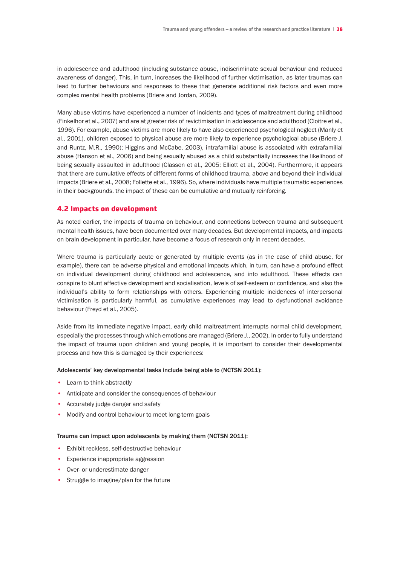in adolescence and adulthood (including substance abuse, indiscriminate sexual behaviour and reduced awareness of danger). This, in turn, increases the likelihood of further victimisation, as later traumas can lead to further behaviours and responses to these that generate additional risk factors and even more complex mental health problems (Briere and Jordan, 2009).

Many abuse victims have experienced a number of incidents and types of maltreatment during childhood (Finkelhor et al., 2007) and are at greater risk of revictimisation in adolescence and adulthood (Cloitre et al., 1996). For example, abuse victims are more likely to have also experienced psychological neglect (Manly et al., 2001), children exposed to physical abuse are more likely to experience psychological abuse (Briere J. and Runtz, M.R., 1990); Higgins and McCabe, 2003), intrafamilial abuse is associated with extrafamilial abuse (Hanson et al., 2006) and being sexually abused as a child substantially increases the likelihood of being sexually assaulted in adulthood (Classen et al., 2005; Elliott et al., 2004). Furthermore, it appears that there are cumulative effects of different forms of childhood trauma, above and beyond their individual impacts (Briere et al., 2008; Follette et al., 1996). So, where individuals have multiple traumatic experiences in their backgrounds, the impact of these can be cumulative and mutually reinforcing.

## 4.2 Impacts on development

As noted earlier, the impacts of trauma on behaviour, and connections between trauma and subsequent mental health issues, have been documented over many decades. But developmental impacts, and impacts on brain development in particular, have become a focus of research only in recent decades.

Where trauma is particularly acute or generated by multiple events (as in the case of child abuse, for example), there can be adverse physical and emotional impacts which, in turn, can have a profound effect on individual development during childhood and adolescence, and into adulthood. These effects can conspire to blunt affective development and socialisation, levels of self-esteem or confidence, and also the individual's ability to form relationships with others. Experiencing multiple incidences of interpersonal victimisation is particularly harmful, as cumulative experiences may lead to dysfunctional avoidance behaviour (Freyd et al., 2005).

Aside from its immediate negative impact, early child maltreatment interrupts normal child development, especially the processes through which emotions are managed (Briere J., 2002). In order to fully understand the impact of trauma upon children and young people, it is important to consider their developmental process and how this is damaged by their experiences:

### Adolescents' key developmental tasks include being able to (NCTSN 2011):

- Learn to think abstractly
- Anticipate and consider the consequences of behaviour
- Accurately judge danger and safety
- Modify and control behaviour to meet long-term goals

### Trauma can impact upon adolescents by making them (NCTSN 2011):

- Exhibit reckless, self-destructive behaviour
- Experience inappropriate aggression
- Over- or underestimate danger
- Struggle to imagine/plan for the future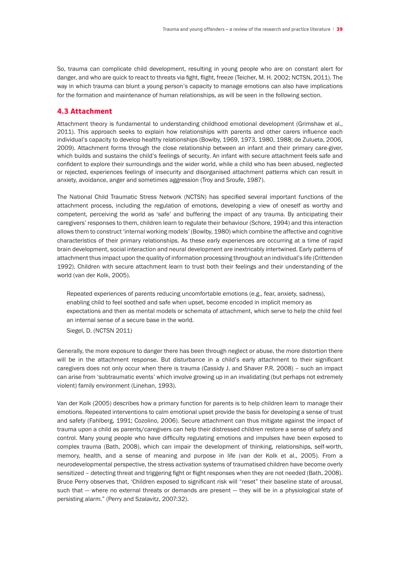So, trauma can complicate child development, resulting in young people who are on constant alert for danger, and who are quick to react to threats via fight, flight, freeze (Teicher, M. H. 2002; NCTSN, 2011). The way in which trauma can blunt a young person's capacity to manage emotions can also have implications for the formation and maintenance of human relationships, as will be seen in the following section.

# 4.3 Attachment

Attachment theory is fundamental to understanding childhood emotional development (Grimshaw et al., 2011). This approach seeks to explain how relationships with parents and other carers influence each individual's capacity to develop healthy relationships (Bowlby, 1969, 1973, 1980, 1988; de Zulueta, 2006, 2009). Attachment forms through the close relationship between an infant and their primary care-giver, which builds and sustains the child's feelings of security. An infant with secure attachment feels safe and confident to explore their surroundings and the wider world, while a child who has been abused, neglected or rejected, experiences feelings of insecurity and disorganised attachment patterns which can result in anxiety, avoidance, anger and sometimes aggression (Troy and Sroufe, 1987).

The National Child Traumatic Stress Network (NCTSN) has specified several important functions of the attachment process, including the regulation of emotions, developing a view of oneself as worthy and competent, perceiving the world as 'safe' and buffering the impact of any trauma. By anticipating their caregivers' responses to them, children learn to regulate their behaviour (Schore, 1994) and this interaction allows them to construct 'internal working models' (Bowlby, 1980) which combine the affective and cognitive characteristics of their primary relationships. As these early experiences are occurring at a time of rapid brain development, social interaction and neural development are inextricably intertwined. Early patterns of attachment thus impact upon the quality of information processing throughout an individual's life (Crittenden 1992). Children with secure attachment learn to trust both their feelings and their understanding of the world (van der Kolk, 2005).

 Repeated experiences of parents reducing uncomfortable emotions (e.g., fear, anxiety, sadness), enabling child to feel soothed and safe when upset, become encoded in implicit memory as expectations and then as mental models or schemata of attachment, which serve to help the child feel an internal sense of a secure base in the world. Siegel, D. (NCTSN 2011)

Generally, the more exposure to danger there has been through neglect or abuse, the more distortion there will be in the attachment response. But disturbance in a child's early attachment to their significant caregivers does not only occur when there is trauma (Cassidy J. and Shaver P.R. 2008) – such an impact can arise from 'subtraumatic events' which involve growing up in an invalidating (but perhaps not extremely violent) family environment (Linehan, 1993).

Van der Kolk (2005) describes how a primary function for parents is to help children learn to manage their emotions. Repeated interventions to calm emotional upset provide the basis for developing a sense of trust and safety (Fahlberg, 1991; Cozolino, 2006). Secure attachment can thus mitigate against the impact of trauma upon a child as parents/caregivers can help their distressed children restore a sense of safety and control. Many young people who have difficulty regulating emotions and impulses have been exposed to complex trauma (Bath, 2008), which can impair the development of thinking, relationships, self-worth, memory, health, and a sense of meaning and purpose in life (van der Kolk et al., 2005). From a neurodevelopmental perspective, the stress activation systems of traumatised children have become overly sensitized – detecting threat and triggering fight or flight responses when they are not needed (Bath, 2008). Bruce Perry observes that, 'Children exposed to significant risk will "reset" their baseline state of arousal, such that — where no external threats or demands are present — they will be in a physiological state of persisting alarm." (Perry and Szalavitz, 2007:32).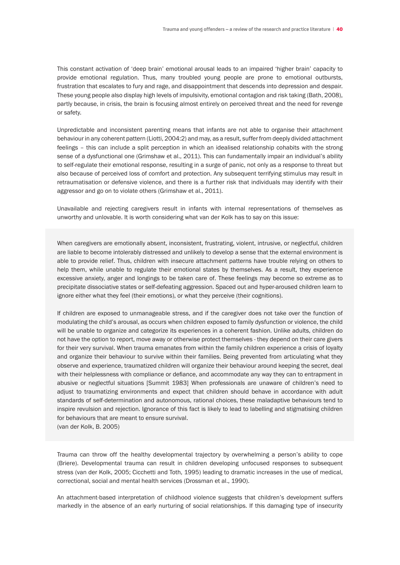This constant activation of 'deep brain' emotional arousal leads to an impaired 'higher brain' capacity to provide emotional regulation. Thus, many troubled young people are prone to emotional outbursts, frustration that escalates to fury and rage, and disappointment that descends into depression and despair. These young people also display high levels of impulsivity, emotional contagion and risk taking (Bath, 2008), partly because, in crisis, the brain is focusing almost entirely on perceived threat and the need for revenge or safety.

Unpredictable and inconsistent parenting means that infants are not able to organise their attachment behaviour in any coherent pattern (Liotti, 2004:2) and may, as a result, suffer from deeply divided attachment feelings – this can include a split perception in which an idealised relationship cohabits with the strong sense of a dysfunctional one (Grimshaw et al., 2011). This can fundamentally impair an individual's ability to self-regulate their emotional response, resulting in a surge of panic, not only as a response to threat but also because of perceived loss of comfort and protection. Any subsequent terrifying stimulus may result in retraumatisation or defensive violence, and there is a further risk that individuals may identify with their aggressor and go on to violate others (Grimshaw et al., 2011).

Unavailable and rejecting caregivers result in infants with internal representations of themselves as unworthy and unlovable. It is worth considering what van der Kolk has to say on this issue:

When caregivers are emotionally absent, inconsistent, frustrating, violent, intrusive, or neglectful, children are liable to become intolerably distressed and unlikely to develop a sense that the external environment is able to provide relief. Thus, children with insecure attachment patterns have trouble relying on others to help them, while unable to regulate their emotional states by themselves. As a result, they experience excessive anxiety, anger and longings to be taken care of. These feelings may become so extreme as to precipitate dissociative states or self-defeating aggression. Spaced out and hyper-aroused children learn to ignore either what they feel (their emotions), or what they perceive (their cognitions).

If children are exposed to unmanageable stress, and if the caregiver does not take over the function of modulating the child's arousal, as occurs when children exposed to family dysfunction or violence, the child will be unable to organize and categorize its experiences in a coherent fashion. Unlike adults, children do not have the option to report, move away or otherwise protect themselves - they depend on their care givers for their very survival. When trauma emanates from within the family children experience a crisis of loyalty and organize their behaviour to survive within their families. Being prevented from articulating what they observe and experience, traumatized children will organize their behaviour around keeping the secret, deal with their helplessness with compliance or defiance, and accommodate any way they can to entrapment in abusive or neglectful situations [Summit 1983] When professionals are unaware of children's need to adjust to traumatizing environments and expect that children should behave in accordance with adult standards of self-determination and autonomous, rational choices, these maladaptive behaviours tend to inspire revulsion and rejection. Ignorance of this fact is likely to lead to labelling and stigmatising children for behaviours that are meant to ensure survival.

(van der Kolk, B. 2005)

Trauma can throw off the healthy developmental trajectory by overwhelming a person's ability to cope (Briere). Developmental trauma can result in children developing unfocused responses to subsequent stress (van der Kolk, 2005; Cicchetti and Toth, 1995) leading to dramatic increases in the use of medical, correctional, social and mental health services (Drossman et al., 1990).

An attachment-based interpretation of childhood violence suggests that children's development suffers markedly in the absence of an early nurturing of social relationships. If this damaging type of insecurity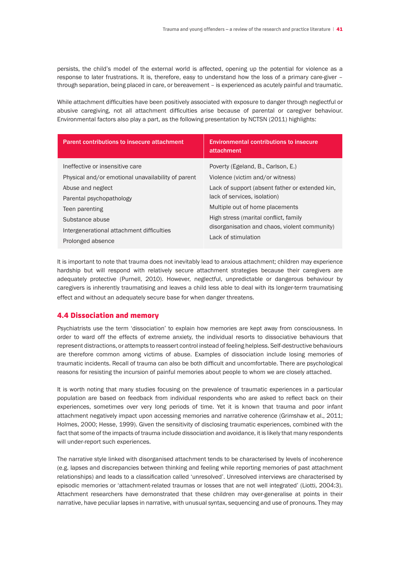persists, the child's model of the external world is affected, opening up the potential for violence as a response to later frustrations. It is, therefore, easy to understand how the loss of a primary care-giver – through separation, being placed in care, or bereavement – is experienced as acutely painful and traumatic.

While attachment difficulties have been positively associated with exposure to danger through neglectful or abusive caregiving, not all attachment difficulties arise because of parental or caregiver behaviour. Environmental factors also play a part, as the following presentation by NCTSN (2011) highlights:

| Parent contributions to insecure attachment        | <b>Environmental contributions to insecure</b><br>attachment |
|----------------------------------------------------|--------------------------------------------------------------|
| Ineffective or insensitive care                    | Poverty (Egeland, B., Carlson, E.)                           |
| Physical and/or emotional unavailability of parent | Violence (victim and/or witness)                             |
| Abuse and neglect                                  | Lack of support (absent father or extended kin,              |
| Parental psychopathology                           | lack of services, isolation)                                 |
| Teen parenting                                     | Multiple out of home placements                              |
| Substance abuse                                    | High stress (marital conflict, family                        |
| Intergenerational attachment difficulties          | disorganisation and chaos, violent community)                |
| Prolonged absence                                  | Lack of stimulation                                          |

It is important to note that trauma does not inevitably lead to anxious attachment; children may experience hardship but will respond with relatively secure attachment strategies because their caregivers are adequately protective (Purnell, 2010). However, neglectful, unpredictable or dangerous behaviour by caregivers is inherently traumatising and leaves a child less able to deal with its longer-term traumatising effect and without an adequately secure base for when danger threatens.

# 4.4 Dissociation and memory

Psychiatrists use the term 'dissociation' to explain how memories are kept away from consciousness. In order to ward off the effects of extreme anxiety, the individual resorts to dissociative behaviours that represent distractions, or attempts to reassert control instead of feeling helpless. Self-destructive behaviours are therefore common among victims of abuse. Examples of dissociation include losing memories of traumatic incidents. Recall of trauma can also be both difficult and uncomfortable. There are psychological reasons for resisting the incursion of painful memories about people to whom we are closely attached.

It is worth noting that many studies focusing on the prevalence of traumatic experiences in a particular population are based on feedback from individual respondents who are asked to reflect back on their experiences, sometimes over very long periods of time. Yet it is known that trauma and poor infant attachment negatively impact upon accessing memories and narrative coherence (Grimshaw et al., 2011; Holmes, 2000; Hesse, 1999). Given the sensitivity of disclosing traumatic experiences, combined with the fact that some of the impacts of trauma include dissociation and avoidance, it is likely that many respondents will under-report such experiences.

The narrative style linked with disorganised attachment tends to be characterised by levels of incoherence (e.g. lapses and discrepancies between thinking and feeling while reporting memories of past attachment relationships) and leads to a classification called 'unresolved'. Unresolved interviews are characterised by episodic memories or 'attachment-related traumas or losses that are not well integrated' (Liotti, 2004:3). Attachment researchers have demonstrated that these children may over-generalise at points in their narrative, have peculiar lapses in narrative, with unusual syntax, sequencing and use of pronouns. They may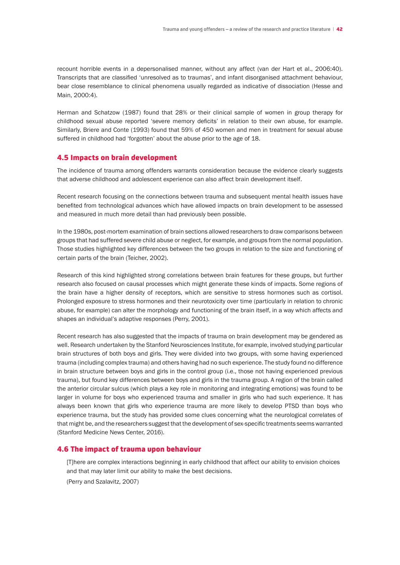recount horrible events in a depersonalised manner, without any affect (van der Hart et al., 2006:40). Transcripts that are classified 'unresolved as to traumas', and infant disorganised attachment behaviour, bear close resemblance to clinical phenomena usually regarded as indicative of dissociation (Hesse and Main, 2000:4).

Herman and Schatzow (1987) found that 28% or their clinical sample of women in group therapy for childhood sexual abuse reported 'severe memory deficits' in relation to their own abuse, for example. Similarly, Briere and Conte (1993) found that 59% of 450 women and men in treatment for sexual abuse suffered in childhood had 'forgotten' about the abuse prior to the age of 18.

### 4.5 Impacts on brain development

The incidence of trauma among offenders warrants consideration because the evidence clearly suggests that adverse childhood and adolescent experience can also affect brain development itself.

Recent research focusing on the connections between trauma and subsequent mental health issues have benefited from technological advances which have allowed impacts on brain development to be assessed and measured in much more detail than had previously been possible.

In the 1980s, post-mortem examination of brain sections allowed researchers to draw comparisons between groups that had suffered severe child abuse or neglect, for example, and groups from the normal population. Those studies highlighted key differences between the two groups in relation to the size and functioning of certain parts of the brain (Teicher, 2002).

Research of this kind highlighted strong correlations between brain features for these groups, but further research also focused on causal processes which might generate these kinds of impacts. Some regions of the brain have a higher density of receptors, which are sensitive to stress hormones such as cortisol. Prolonged exposure to stress hormones and their neurotoxicity over time (particularly in relation to chronic abuse, for example) can alter the morphology and functioning of the brain itself, in a way which affects and shapes an individual's adaptive responses (Perry, 2001).

Recent research has also suggested that the impacts of trauma on brain development may be gendered as well. Research undertaken by the Stanford Neurosciences Institute, for example, involved studying particular brain structures of both boys and girls. They were divided into two groups, with some having experienced trauma (including complex trauma) and others having had no such experience. The study found no difference in brain structure between boys and girls in the control group (i.e., those not having experienced previous trauma), but found key differences between boys and girls in the trauma group. A region of the brain called the anterior circular sulcus (which plays a key role in monitoring and integrating emotions) was found to be larger in volume for boys who experienced trauma and smaller in girls who had such experience. It has always been known that girls who experience trauma are more likely to develop PTSD than boys who experience trauma, but the study has provided some clues concerning what the neurological correlates of that might be, and the researchers suggest that the development of sex-specific treatments seems warranted (Stanford Medicine News Center, 2016).

#### 4.6 The impact of trauma upon behaviour

 [T]here are complex interactions beginning in early childhood that affect our ability to envision choices and that may later limit our ability to make the best decisions.

 (Perry and Szalavitz, 2007)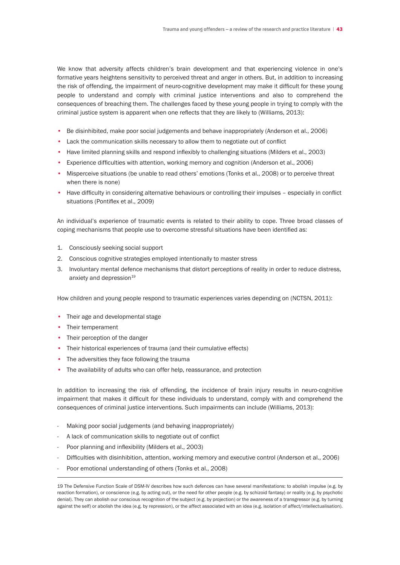We know that adversity affects children's brain development and that experiencing violence in one's formative years heightens sensitivity to perceived threat and anger in others. But, in addition to increasing the risk of offending, the impairment of neuro-cognitive development may make it difficult for these young people to understand and comply with criminal justice interventions and also to comprehend the consequences of breaching them. The challenges faced by these young people in trying to comply with the criminal justice system is apparent when one reflects that they are likely to (Williams, 2013):

- Be disinhibited, make poor social judgements and behave inappropriately (Anderson et al., 2006)
- Lack the communication skills necessary to allow them to negotiate out of conflict
- Have limited planning skills and respond inflexibly to challenging situations (Milders et al., 2003)
- Experience difficulties with attention, working memory and cognition (Anderson et al., 2006)
- Misperceive situations (be unable to read others' emotions (Tonks et al., 2008) or to perceive threat when there is none)
- Have difficulty in considering alternative behaviours or controlling their impulses especially in conflict situations (Pontiflex et al., 2009)

An individual's experience of traumatic events is related to their ability to cope. Three broad classes of coping mechanisms that people use to overcome stressful situations have been identified as:

- 1. Consciously seeking social support
- 2. Conscious cognitive strategies employed intentionally to master stress
- 3. Involuntary mental defence mechanisms that distort perceptions of reality in order to reduce distress, anxiety and depression<sup>19</sup>

How children and young people respond to traumatic experiences varies depending on (NCTSN, 2011):

- Their age and developmental stage
- Their temperament
- Their perception of the danger
- Their historical experiences of trauma (and their cumulative effects)
- The adversities they face following the trauma
- The availability of adults who can offer help, reassurance, and protection

In addition to increasing the risk of offending, the incidence of brain injury results in neuro-cognitive impairment that makes it difficult for these individuals to understand, comply with and comprehend the consequences of criminal justice interventions. Such impairments can include (Williams, 2013):

- Making poor social judgements (and behaving inappropriately)
- A lack of communication skills to negotiate out of conflict
- Poor planning and inflexibility (Milders et al., 2003)
- Difficulties with disinhibition, attention, working memory and executive control (Anderson et al., 2006)
- Poor emotional understanding of others (Tonks et al., 2008)

<sup>19</sup> The Defensive Function Scale of DSM-IV describes how such defences can have several manifestations: to abolish impulse (e.g. by reaction formation), or conscience (e.g. by acting out), or the need for other people (e.g. by schizoid fantasy) or reality (e.g. by psychotic denial). They can abolish our conscious recognition of the subject (e.g. by projection) or the awareness of a transgressor (e.g. by turning against the self) or abolish the idea (e.g. by repression), or the affect associated with an idea (e.g. isolation of affect/intellectualisation).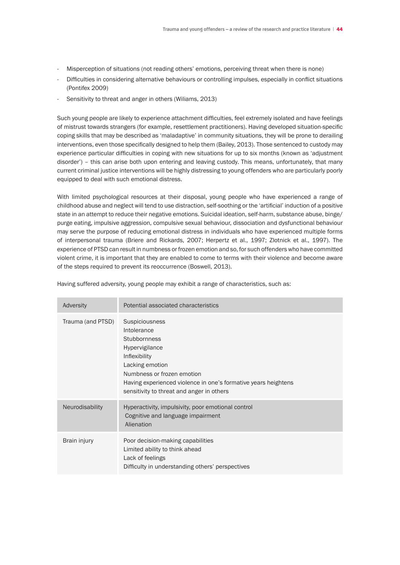- Misperception of situations (not reading others' emotions, perceiving threat when there is none)
- Difficulties in considering alternative behaviours or controlling impulses, especially in conflict situations (Pontifex 2009)
- Sensitivity to threat and anger in others (Wiliams, 2013)

Such young people are likely to experience attachment difficulties, feel extremely isolated and have feelings of mistrust towards strangers (for example, resettlement practitioners). Having developed situation-specific coping skills that may be described as 'maladaptive' in community situations, they will be prone to derailing interventions, even those specifically designed to help them (Bailey, 2013). Those sentenced to custody may experience particular difficulties in coping with new situations for up to six months (known as 'adjustment disorder') – this can arise both upon entering and leaving custody. This means, unfortunately, that many current criminal justice interventions will be highly distressing to young offenders who are particularly poorly equipped to deal with such emotional distress.

With limited psychological resources at their disposal, young people who have experienced a range of childhood abuse and neglect will tend to use distraction, self-soothing or the 'artificial' induction of a positive state in an attempt to reduce their negative emotions. Suicidal ideation, self-harm, substance abuse, binge/ purge eating, impulsive aggression, compulsive sexual behaviour, dissociation and dysfunctional behaviour may serve the purpose of reducing emotional distress in individuals who have experienced multiple forms of interpersonal trauma (Briere and Rickards, 2007; Herpertz et al., 1997; Zlotnick et al., 1997). The experience of PTSD can result in numbness or frozen emotion and so, for such offenders who have committed violent crime, it is important that they are enabled to come to terms with their violence and become aware of the steps required to prevent its reoccurrence (Boswell, 2013).

| Adversity         | Potential associated characteristics                                                                                                                                                                                                                           |
|-------------------|----------------------------------------------------------------------------------------------------------------------------------------------------------------------------------------------------------------------------------------------------------------|
| Trauma (and PTSD) | Suspiciousness<br>Intolerance<br><b>Stubbornness</b><br><b>Hypervigilance</b><br>Inflexibility<br>Lacking emotion<br>Numbness or frozen emotion<br>Having experienced violence in one's formative years heightens<br>sensitivity to threat and anger in others |
| Neurodisability   | Hyperactivity, impulsivity, poor emotional control<br>Cognitive and language impairment<br>Alienation                                                                                                                                                          |
| Brain injury      | Poor decision-making capabilities<br>Limited ability to think ahead<br>Lack of feelings<br>Difficulty in understanding others' perspectives                                                                                                                    |

Having suffered adversity, young people may exhibit a range of characteristics, such as: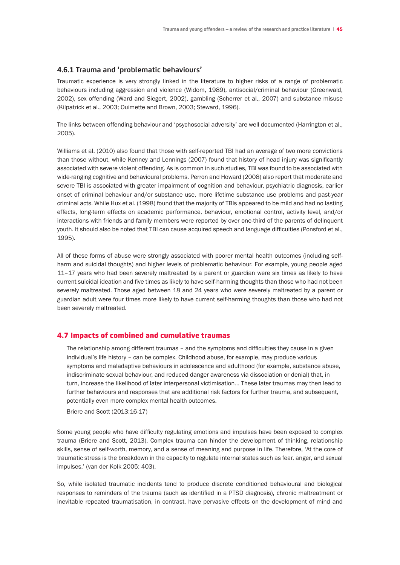# **4.6.1 Trauma and 'problematic behaviours'**

Traumatic experience is very strongly linked in the literature to higher risks of a range of problematic behaviours including aggression and violence (Widom, 1989), antisocial/criminal behaviour (Greenwald, 2002), sex offending (Ward and Siegert, 2002), gambling (Scherrer et al., 2007) and substance misuse (Kilpatrick et al., 2003; Ouimette and Brown, 2003; Steward, 1996).

The links between offending behaviour and 'psychosocial adversity' are well documented (Harrington et al., 2005).

Williams et al. (2010) also found that those with self-reported TBI had an average of two more convictions than those without, while Kenney and Lennings (2007) found that history of head injury was significantly associated with severe violent offending. As is common in such studies, TBI was found to be associated with wide-ranging cognitive and behavioural problems. Perron and Howard (2008) also report that moderate and severe TBI is associated with greater impairment of cognition and behaviour, psychiatric diagnosis, earlier onset of criminal behaviour and/or substance use, more lifetime substance use problems and past-year criminal acts. While Hux et al. (1998) found that the majority of TBIs appeared to be mild and had no lasting effects, long-term effects on academic performance, behaviour, emotional control, activity level, and/or interactions with friends and family members were reported by over one-third of the parents of delinquent youth. It should also be noted that TBI can cause acquired speech and language difficulties (Ponsford et al., 1995).

All of these forms of abuse were strongly associated with poorer mental health outcomes (including selfharm and suicidal thoughts) and higher levels of problematic behaviour. For example, young people aged 11–17 years who had been severely maltreated by a parent or guardian were six times as likely to have current suicidal ideation and five times as likely to have self-harming thoughts than those who had not been severely maltreated. Those aged between 18 and 24 years who were severely maltreated by a parent or guardian adult were four times more likely to have current self-harming thoughts than those who had not been severely maltreated.

# 4.7 Impacts of combined and cumulative traumas

 The relationship among different traumas – and the symptoms and difficulties they cause in a given individual's life history – can be complex. Childhood abuse, for example, may produce various symptoms and maladaptive behaviours in adolescence and adulthood (for example, substance abuse, indiscriminate sexual behaviour, and reduced danger awareness via dissociation or denial) that, in turn, increase the likelihood of later interpersonal victimisation... These later traumas may then lead to further behaviours and responses that are additional risk factors for further trauma, and subsequent, potentially even more complex mental health outcomes.

 Briere and Scott (2013:16-17)

Some young people who have difficulty regulating emotions and impulses have been exposed to complex trauma (Briere and Scott, 2013). Complex trauma can hinder the development of thinking, relationship skills, sense of self-worth, memory, and a sense of meaning and purpose in life. Therefore, 'At the core of traumatic stress is the breakdown in the capacity to regulate internal states such as fear, anger, and sexual impulses.' (van der Kolk 2005: 403).

So, while isolated traumatic incidents tend to produce discrete conditioned behavioural and biological responses to reminders of the trauma (such as identified in a PTSD diagnosis), chronic maltreatment or inevitable repeated traumatisation, in contrast, have pervasive effects on the development of mind and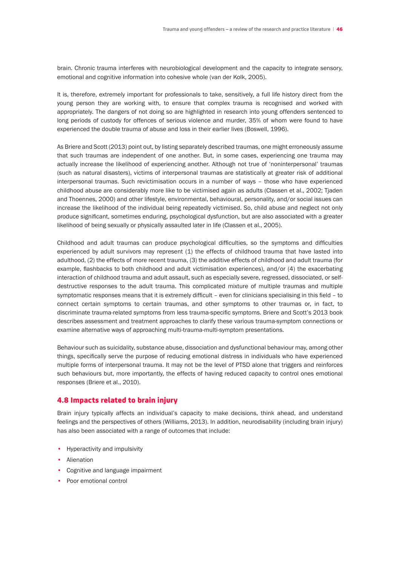brain. Chronic trauma interferes with neurobiological development and the capacity to integrate sensory, emotional and cognitive information into cohesive whole (van der Kolk, 2005).

It is, therefore, extremely important for professionals to take, sensitively, a full life history direct from the young person they are working with, to ensure that complex trauma is recognised and worked with appropriately. The dangers of not doing so are highlighted in research into young offenders sentenced to long periods of custody for offences of serious violence and murder, 35% of whom were found to have experienced the double trauma of abuse and loss in their earlier lives (Boswell, 1996).

As Briere and Scott (2013) point out, by listing separately described traumas, one might erroneously assume that such traumas are independent of one another. But, in some cases, experiencing one trauma may actually increase the likelihood of experiencing another. Although not true of 'noninterpersonal' traumas (such as natural disasters), victims of interpersonal traumas are statistically at greater risk of additional interpersonal traumas. Such revictimisation occurs in a number of ways – those who have experienced childhood abuse are considerably more like to be victimised again as adults (Classen et al., 2002; Tjaden and Thoennes, 2000) and other lifestyle, environmental, behavioural, personality, and/or social issues can increase the likelihood of the individual being repeatedly victimised. So, child abuse and neglect not only produce significant, sometimes enduring, psychological dysfunction, but are also associated with a greater likelihood of being sexually or physically assaulted later in life (Classen et al., 2005).

Childhood and adult traumas can produce psychological difficulties, so the symptoms and difficulties experienced by adult survivors may represent (1) the effects of childhood trauma that have lasted into adulthood, (2) the effects of more recent trauma, (3) the additive effects of childhood and adult trauma (for example, flashbacks to both childhood and adult victimisation experiences), and/or (4) the exacerbating interaction of childhood trauma and adult assault, such as especially severe, regressed, dissociated, or selfdestructive responses to the adult trauma. This complicated mixture of multiple traumas and multiple symptomatic responses means that it is extremely difficult – even for clinicians specialising in this field – to connect certain symptoms to certain traumas, and other symptoms to other traumas or, in fact, to discriminate trauma-related symptoms from less trauma-specific symptoms. Briere and Scott's 2013 book describes assessment and treatment approaches to clarify these various trauma-symptom connections or examine alternative ways of approaching multi-trauma-multi-symptom presentations.

Behaviour such as suicidality, substance abuse, dissociation and dysfunctional behaviour may, among other things, specifically serve the purpose of reducing emotional distress in individuals who have experienced multiple forms of interpersonal trauma. It may not be the level of PTSD alone that triggers and reinforces such behaviours but, more importantly, the effects of having reduced capacity to control ones emotional responses (Briere et al., 2010).

# 4.8 Impacts related to brain injury

Brain injury typically affects an individual's capacity to make decisions, think ahead, and understand feelings and the perspectives of others (Williams, 2013). In addition, neurodisability (including brain injury) has also been associated with a range of outcomes that include:

- Hyperactivity and impulsivity
- Alienation
- Cognitive and language impairment
- Poor emotional control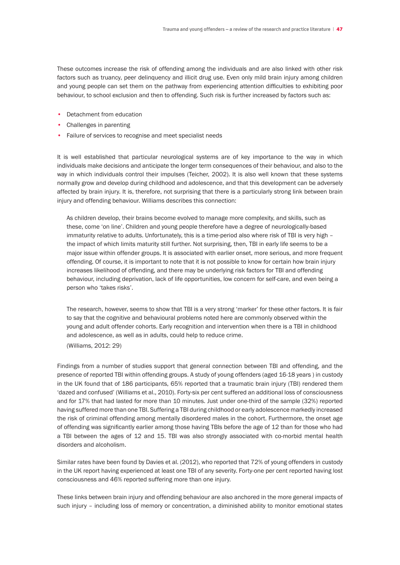These outcomes increase the risk of offending among the individuals and are also linked with other risk factors such as truancy, peer delinquency and illicit drug use. Even only mild brain injury among children and young people can set them on the pathway from experiencing attention difficulties to exhibiting poor behaviour, to school exclusion and then to offending. Such risk is further increased by factors such as:

- Detachment from education
- Challenges in parenting
- Failure of services to recognise and meet specialist needs

It is well established that particular neurological systems are of key importance to the way in which individuals make decisions and anticipate the longer term consequences of their behaviour, and also to the way in which individuals control their impulses (Teicher, 2002). It is also well known that these systems normally grow and develop during childhood and adolescence, and that this development can be adversely affected by brain injury. It is, therefore, not surprising that there is a particularly strong link between brain injury and offending behaviour. Williams describes this connection:

 As children develop, their brains become evolved to manage more complexity, and skills, such as these, come 'on line'. Children and young people therefore have a degree of neurologically-based immaturity relative to adults. Unfortunately, this is a time-period also where risk of TBI is very high – the impact of which limits maturity still further. Not surprising, then, TBI in early life seems to be a major issue within offender groups. It is associated with earlier onset, more serious, and more frequent offending. Of course, it is important to note that it is not possible to know for certain how brain injury increases likelihood of offending, and there may be underlying risk factors for TBI and offending behaviour, including deprivation, lack of life opportunities, low concern for self-care, and even being a person who 'takes risks'.

 The research, however, seems to show that TBI is a very strong 'marker' for these other factors. It is fair to say that the cognitive and behavioural problems noted here are commonly observed within the young and adult offender cohorts. Early recognition and intervention when there is a TBI in childhood and adolescence, as well as in adults, could help to reduce crime.

 (Williams, 2012: 29)

Findings from a number of studies support that general connection between TBI and offending, and the presence of reported TBI within offending groups. A study of young offenders (aged 16-18 years ) in custody in the UK found that of 186 participants, 65% reported that a traumatic brain injury (TBI) rendered them 'dazed and confused' (Williams et al., 2010). Forty-six per cent suffered an additional loss of consciousness and for 17% that had lasted for more than 10 minutes. Just under one-third of the sample (32%) reported having suffered more than one TBI. Suffering a TBI during childhood or early adolescence markedly increased the risk of criminal offending among mentally disordered males in the cohort. Furthermore, the onset age of offending was significantly earlier among those having TBIs before the age of 12 than for those who had a TBI between the ages of 12 and 15. TBI was also strongly associated with co-morbid mental health disorders and alcoholism.

Similar rates have been found by Davies et al. (2012), who reported that 72% of young offenders in custody in the UK report having experienced at least one TBI of any severity. Forty-one per cent reported having lost consciousness and 46% reported suffering more than one injury.

These links between brain injury and offending behaviour are also anchored in the more general impacts of such injury – including loss of memory or concentration, a diminished ability to monitor emotional states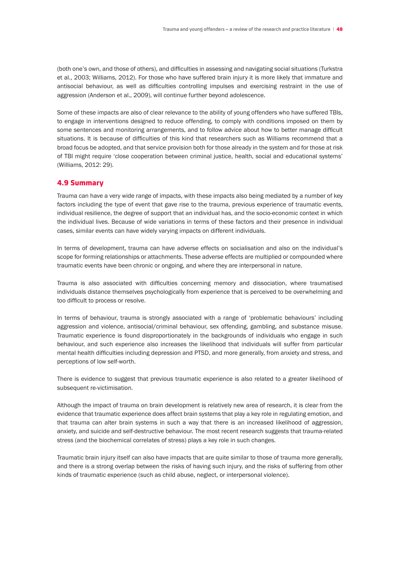(both one's own, and those of others), and difficulties in assessing and navigating social situations (Turkstra et al., 2003; Williams, 2012). For those who have suffered brain injury it is more likely that immature and antisocial behaviour, as well as difficulties controlling impulses and exercising restraint in the use of aggression (Anderson et al., 2009), will continue further beyond adolescence.

Some of these impacts are also of clear relevance to the ability of young offenders who have suffered TBIs, to engage in interventions designed to reduce offending, to comply with conditions imposed on them by some sentences and monitoring arrangements, and to follow advice about how to better manage difficult situations. It is because of difficulties of this kind that researchers such as Williams recommend that a broad focus be adopted, and that service provision both for those already in the system and for those at risk of TBI might require 'close cooperation between criminal justice, health, social and educational systems' (Williams, 2012: 29).

# 4.9 Summary

Trauma can have a very wide range of impacts, with these impacts also being mediated by a number of key factors including the type of event that gave rise to the trauma, previous experience of traumatic events, individual resilience, the degree of support that an individual has, and the socio-economic context in which the individual lives. Because of wide variations in terms of these factors and their presence in individual cases, similar events can have widely varying impacts on different individuals.

In terms of development, trauma can have adverse effects on socialisation and also on the individual's scope for forming relationships or attachments. These adverse effects are multiplied or compounded where traumatic events have been chronic or ongoing, and where they are interpersonal in nature.

Trauma is also associated with difficulties concerning memory and dissociation, where traumatised individuals distance themselves psychologically from experience that is perceived to be overwhelming and too difficult to process or resolve.

In terms of behaviour, trauma is strongly associated with a range of 'problematic behaviours' including aggression and violence, antisocial/criminal behaviour, sex offending, gambling, and substance misuse. Traumatic experience is found disproportionately in the backgrounds of individuals who engage in such behaviour, and such experience also increases the likelihood that individuals will suffer from particular mental health difficulties including depression and PTSD, and more generally, from anxiety and stress, and perceptions of low self-worth.

There is evidence to suggest that previous traumatic experience is also related to a greater likelihood of subsequent re-victimisation.

Although the impact of trauma on brain development is relatively new area of research, it is clear from the evidence that traumatic experience does affect brain systems that play a key role in regulating emotion, and that trauma can alter brain systems in such a way that there is an increased likelihood of aggression, anxiety, and suicide and self-destructive behaviour. The most recent research suggests that trauma-related stress (and the biochemical correlates of stress) plays a key role in such changes.

Traumatic brain injury itself can also have impacts that are quite similar to those of trauma more generally, and there is a strong overlap between the risks of having such injury, and the risks of suffering from other kinds of traumatic experience (such as child abuse, neglect, or interpersonal violence).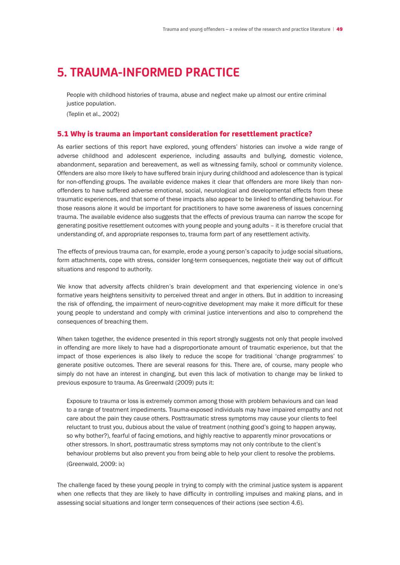# **5. TRAUMA-INFORMED PRACTICE**

 People with childhood histories of trauma, abuse and neglect make up almost our entire criminal justice population.

(Teplin et al., 2002)

## 5.1 Why is trauma an important consideration for resettlement practice?

As earlier sections of this report have explored, young offenders' histories can involve a wide range of adverse childhood and adolescent experience, including assaults and bullying, domestic violence, abandonment, separation and bereavement, as well as witnessing family, school or community violence. Offenders are also more likely to have suffered brain injury during childhood and adolescence than is typical for non-offending groups. The available evidence makes it clear that offenders are more likely than nonoffenders to have suffered adverse emotional, social, neurological and developmental effects from these traumatic experiences, and that some of these impacts also appear to be linked to offending behaviour. For those reasons alone it would be important for practitioners to have some awareness of issues concerning trauma. The available evidence also suggests that the effects of previous trauma can narrow the scope for generating positive resettlement outcomes with young people and young adults – it is therefore crucial that understanding of, and appropriate responses to, trauma form part of any resettlement activity.

The effects of previous trauma can, for example, erode a young person's capacity to judge social situations, form attachments, cope with stress, consider long-term consequences, negotiate their way out of difficult situations and respond to authority.

We know that adversity affects children's brain development and that experiencing violence in one's formative years heightens sensitivity to perceived threat and anger in others. But in addition to increasing the risk of offending, the impairment of neuro-cognitive development may make it more difficult for these young people to understand and comply with criminal justice interventions and also to comprehend the consequences of breaching them.

When taken together, the evidence presented in this report strongly suggests not only that people involved in offending are more likely to have had a disproportionate amount of traumatic experience, but that the impact of those experiences is also likely to reduce the scope for traditional 'change programmes' to generate positive outcomes. There are several reasons for this. There are, of course, many people who simply do not have an interest in changing, but even this lack of motivation to change may be linked to previous exposure to trauma. As Greenwald (2009) puts it:

 Exposure to trauma or loss is extremely common among those with problem behaviours and can lead to a range of treatment impediments. Trauma-exposed individuals may have impaired empathy and not care about the pain they cause others. Posttraumatic stress symptoms may cause your clients to feel reluctant to trust you, dubious about the value of treatment (nothing good's going to happen anyway, so why bother?), fearful of facing emotions, and highly reactive to apparently minor provocations or other stressors. In short, posttraumatic stress symptoms may not only contribute to the client's behaviour problems but also prevent you from being able to help your client to resolve the problems. (Greenwald, 2009: ix)

The challenge faced by these young people in trying to comply with the criminal justice system is apparent when one reflects that they are likely to have difficulty in controlling impulses and making plans, and in assessing social situations and longer term consequences of their actions (see section 4.6).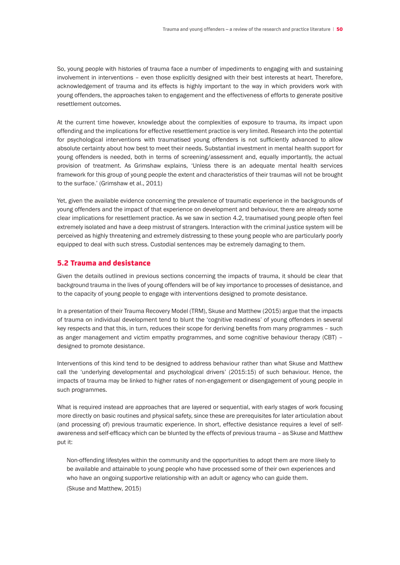So, young people with histories of trauma face a number of impediments to engaging with and sustaining involvement in interventions – even those explicitly designed with their best interests at heart. Therefore, acknowledgement of trauma and its effects is highly important to the way in which providers work with young offenders, the approaches taken to engagement and the effectiveness of efforts to generate positive resettlement outcomes.

At the current time however, knowledge about the complexities of exposure to trauma, its impact upon offending and the implications for effective resettlement practice is very limited. Research into the potential for psychological interventions with traumatised young offenders is not sufficiently advanced to allow absolute certainty about how best to meet their needs. Substantial investment in mental health support for young offenders is needed, both in terms of screening/assessment and, equally importantly, the actual provision of treatment. As Grimshaw explains, 'Unless there is an adequate mental health services framework for this group of young people the extent and characteristics of their traumas will not be brought to the surface.' (Grimshaw et al., 2011)

Yet, given the available evidence concerning the prevalence of traumatic experience in the backgrounds of young offenders and the impact of that experience on development and behaviour, there are already some clear implications for resettlement practice. As we saw in section 4.2, traumatised young people often feel extremely isolated and have a deep mistrust of strangers. Interaction with the criminal justice system will be perceived as highly threatening and extremely distressing to these young people who are particularly poorly equipped to deal with such stress. Custodial sentences may be extremely damaging to them.

# 5.2 Trauma and desistance

Given the details outlined in previous sections concerning the impacts of trauma, it should be clear that background trauma in the lives of young offenders will be of key importance to processes of desistance, and to the capacity of young people to engage with interventions designed to promote desistance.

In a presentation of their Trauma Recovery Model (TRM), Skuse and Matthew (2015) argue that the impacts of trauma on individual development tend to blunt the 'cognitive readiness' of young offenders in several key respects and that this, in turn, reduces their scope for deriving benefits from many programmes – such as anger management and victim empathy programmes, and some cognitive behaviour therapy (CBT) – designed to promote desistance.

Interventions of this kind tend to be designed to address behaviour rather than what Skuse and Matthew call the 'underlying developmental and psychological drivers' (2015:15) of such behaviour. Hence, the impacts of trauma may be linked to higher rates of non-engagement or disengagement of young people in such programmes.

What is required instead are approaches that are layered or sequential, with early stages of work focusing more directly on basic routines and physical safety, since these are prerequisites for later articulation about (and processing of) previous traumatic experience. In short, effective desistance requires a level of selfawareness and self-efficacy which can be blunted by the effects of previous trauma – as Skuse and Matthew put it:

 Non-offending lifestyles within the community and the opportunities to adopt them are more likely to be available and attainable to young people who have processed some of their own experiences and who have an ongoing supportive relationship with an adult or agency who can guide them. (Skuse and Matthew, 2015)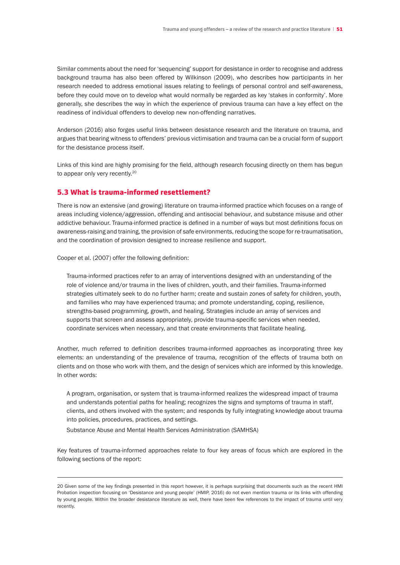Similar comments about the need for 'sequencing' support for desistance in order to recognise and address background trauma has also been offered by Wilkinson (2009), who describes how participants in her research needed to address emotional issues relating to feelings of personal control and self-awareness, before they could move on to develop what would normally be regarded as key 'stakes in conformity'. More generally, she describes the way in which the experience of previous trauma can have a key effect on the readiness of individual offenders to develop new non-offending narratives.

Anderson (2016) also forges useful links between desistance research and the literature on trauma, and argues that bearing witness to offenders' previous victimisation and trauma can be a crucial form of support for the desistance process itself.

Links of this kind are highly promising for the field, although research focusing directly on them has begun to appear only very recently.<sup>20</sup>

# 5.3 What is trauma-informed resettlement?

There is now an extensive (and growing) literature on trauma-informed practice which focuses on a range of areas including violence/aggression, offending and antisocial behaviour, and substance misuse and other addictive behaviour. Trauma-informed practice is defined in a number of ways but most definitions focus on awareness-raising and training, the provision of safe environments, reducing the scope for re-traumatisation, and the coordination of provision designed to increase resilience and support.

Cooper et al. (2007) offer the following definition:

 Trauma-informed practices refer to an array of interventions designed with an understanding of the role of violence and/or trauma in the lives of children, youth, and their families. Trauma-informed strategies ultimately seek to do no further harm; create and sustain zones of safety for children, youth, and families who may have experienced trauma; and promote understanding, coping, resilience, strengths-based programming, growth, and healing. Strategies include an array of services and supports that screen and assess appropriately, provide trauma-specific services when needed, coordinate services when necessary, and that create environments that facilitate healing.

Another, much referred to definition describes trauma-informed approaches as incorporating three key elements: an understanding of the prevalence of trauma, recognition of the effects of trauma both on clients and on those who work with them, and the design of services which are informed by this knowledge. In other words:

 A program, organisation, or system that is trauma-informed realizes the widespread impact of trauma and understands potential paths for healing; recognizes the signs and symptoms of trauma in staff, clients, and others involved with the system; and responds by fully integrating knowledge about trauma into policies, procedures, practices, and settings.

Substance Abuse and Mental Health Services Administration (SAMHSA)

Key features of trauma-informed approaches relate to four key areas of focus which are explored in the following sections of the report:

<sup>20</sup> Given some of the key findings presented in this report however, it is perhaps surprising that documents such as the recent HMI Probation inspection focusing on 'Desistance and young people' (HMIP, 2016) do not even mention trauma or its links with offending by young people. Within the broader desistance literature as well, there have been few references to the impact of trauma until very recently.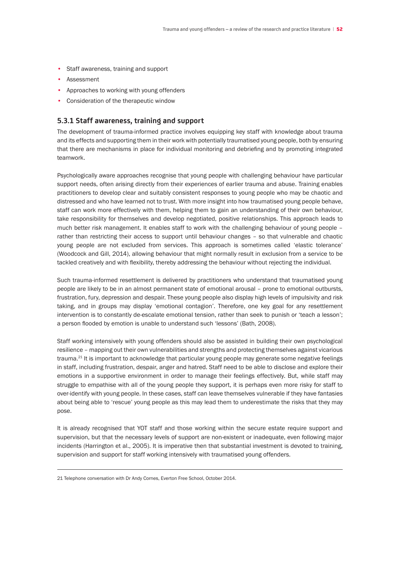- Staff awareness, training and support
- Assessment
- Approaches to working with young offenders
- Consideration of the therapeutic window

# **5.3.1 Staff awareness, training and support**

The development of trauma-informed practice involves equipping key staff with knowledge about trauma and its effects and supporting them in their work with potentially traumatised young people, both by ensuring that there are mechanisms in place for individual monitoring and debriefing and by promoting integrated teamwork.

Psychologically aware approaches recognise that young people with challenging behaviour have particular support needs, often arising directly from their experiences of earlier trauma and abuse. Training enables practitioners to develop clear and suitably consistent responses to young people who may be chaotic and distressed and who have learned not to trust. With more insight into how traumatised young people behave, staff can work more effectively with them, helping them to gain an understanding of their own behaviour, take responsibility for themselves and develop negotiated, positive relationships. This approach leads to much better risk management. It enables staff to work with the challenging behaviour of young people – rather than restricting their access to support until behaviour changes – so that vulnerable and chaotic young people are not excluded from services. This approach is sometimes called 'elastic tolerance' (Woodcock and Gill, 2014), allowing behaviour that might normally result in exclusion from a service to be tackled creatively and with flexibility, thereby addressing the behaviour without rejecting the individual.

Such trauma-informed resettlement is delivered by practitioners who understand that traumatised young people are likely to be in an almost permanent state of emotional arousal – prone to emotional outbursts, frustration, fury, depression and despair. These young people also display high levels of impulsivity and risk taking, and in groups may display 'emotional contagion'. Therefore, one key goal for any resettlement intervention is to constantly de-escalate emotional tension, rather than seek to punish or 'teach a lesson'; a person flooded by emotion is unable to understand such 'lessons' (Bath, 2008).

Staff working intensively with young offenders should also be assisted in building their own psychological resilience – mapping out their own vulnerabilities and strengths and protecting themselves against vicarious trauma.<sup>21</sup> It is important to acknowledge that particular young people may generate some negative feelings in staff, including frustration, despair, anger and hatred. Staff need to be able to disclose and explore their emotions in a supportive environment in order to manage their feelings effectively. But, while staff may struggle to empathise with all of the young people they support, it is perhaps even more risky for staff to over-identify with young people. In these cases, staff can leave themselves vulnerable if they have fantasies about being able to 'rescue' young people as this may lead them to underestimate the risks that they may pose.

It is already recognised that YOT staff and those working within the secure estate require support and supervision, but that the necessary levels of support are non-existent or inadequate, even following major incidents (Harrington et al., 2005). It is imperative then that substantial investment is devoted to training, supervision and support for staff working intensively with traumatised young offenders.

<sup>21</sup> Telephone conversation with Dr Andy Cornes, Everton Free School, October 2014.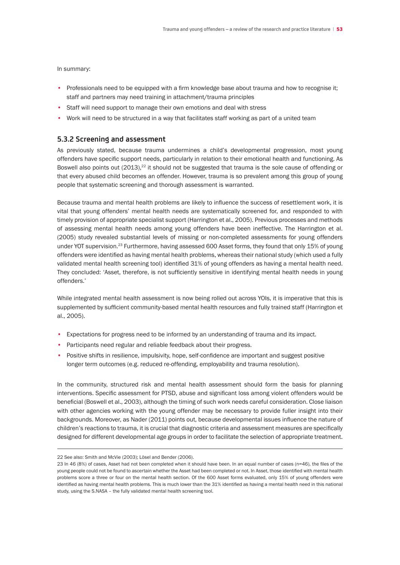In summary:

- Professionals need to be equipped with a firm knowledge base about trauma and how to recognise it; staff and partners may need training in attachment/trauma principles
- Staff will need support to manage their own emotions and deal with stress
- Work will need to be structured in a way that facilitates staff working as part of a united team

# **5.3.2 Screening and assessment**

As previously stated, because trauma undermines a child's developmental progression, most young offenders have specific support needs, particularly in relation to their emotional health and functioning. As Boswell also points out (2013),<sup>22</sup> it should not be suggested that trauma is the sole cause of offending or that every abused child becomes an offender. However, trauma is so prevalent among this group of young people that systematic screening and thorough assessment is warranted.

Because trauma and mental health problems are likely to influence the success of resettlement work, it is vital that young offenders' mental health needs are systematically screened for, and responded to with timely provision of appropriate specialist support (Harrington et al., 2005). Previous processes and methods of assessing mental health needs among young offenders have been ineffective. The Harrington et al. (2005) study revealed substantial levels of missing or non-completed assessments for young offenders under YOT supervision.<sup>23</sup> Furthermore, having assessed 600 Asset forms, they found that only 15% of young offenders were identified as having mental health problems, whereas their national study (which used a fully validated mental health screening tool) identified 31% of young offenders as having a mental health need. They concluded: 'Asset, therefore, is not sufficiently sensitive in identifying mental health needs in young offenders.'

While integrated mental health assessment is now being rolled out across YOIs, it is imperative that this is supplemented by sufficient community-based mental health resources and fully trained staff (Harrington et al., 2005).

- Expectations for progress need to be informed by an understanding of trauma and its impact.
- Participants need regular and reliable feedback about their progress.
- Positive shifts in resilience, impulsivity, hope, self-confidence are important and suggest positive longer term outcomes (e.g. reduced re-offending, employability and trauma resolution).

In the community, structured risk and mental health assessment should form the basis for planning interventions. Specific assessment for PTSD, abuse and significant loss among violent offenders would be beneficial (Boswell et al., 2003), although the timing of such work needs careful consideration. Close liaison with other agencies working with the young offender may be necessary to provide fuller insight into their backgrounds. Moreover, as Nader (2011) points out, because developmental issues influence the nature of children's reactions to trauma, it is crucial that diagnostic criteria and assessment measures are specifically designed for different developmental age groups in order to facilitate the selection of appropriate treatment.

<sup>22</sup> See also: Smith and McVie (2003); Lösel and Bender (2006).

<sup>23</sup> In 46 (8%) of cases, Asset had not been completed when it should have been. In an equal number of cases (n=46), the files of the young people could not be found to ascertain whether the Asset had been completed or not. In Asset, those identified with mental health problems score a three or four on the mental health section. Of the 600 Asset forms evaluated, only 15% of young offenders were identified as having mental health problems. This is much lower than the 31% identified as having a mental health need in this national study, using the S.NASA – the fully validated mental health screening tool.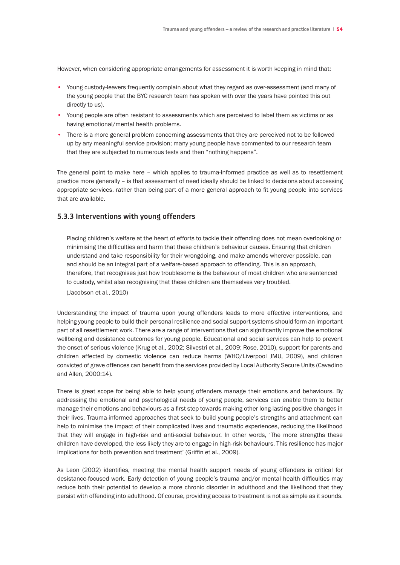However, when considering appropriate arrangements for assessment it is worth keeping in mind that:

- Young custody-leavers frequently complain about what they regard as over-assessment (and many of the young people that the BYC research team has spoken with over the years have pointed this out directly to us).
- Young people are often resistant to assessments which are perceived to label them as victims or as having emotional/mental health problems.
- There is a more general problem concerning assessments that they are perceived not to be followed up by any meaningful service provision; many young people have commented to our research team that they are subjected to numerous tests and then "nothing happens".

The general point to make here – which applies to trauma-informed practice as well as to resettlement practice more generally – is that assessment of need ideally should be linked to decisions about accessing appropriate services, rather than being part of a more general approach to fit young people into services that are available.

# **5.3.3 Interventions with young offenders**

 Placing children's welfare at the heart of efforts to tackle their offending does not mean overlooking or minimising the difficulties and harm that these children's behaviour causes. Ensuring that children understand and take responsibility for their wrongdoing, and make amends wherever possible, can and should be an integral part of a welfare-based approach to offending. This is an approach, therefore, that recognises just how troublesome is the behaviour of most children who are sentenced to custody, whilst also recognising that these children are themselves very troubled.

(Jacobson et al., 2010)

Understanding the impact of trauma upon young offenders leads to more effective interventions, and helping young people to build their personal resilience and social support systems should form an important part of all resettlement work. There are a range of interventions that can significantly improve the emotional wellbeing and desistance outcomes for young people. Educational and social services can help to prevent the onset of serious violence (Krug et al., 2002; Silvestri et al., 2009; Rose, 2010), support for parents and children affected by domestic violence can reduce harms (WHO/Liverpool JMU, 2009), and children convicted of grave offences can benefit from the services provided by Local Authority Secure Units (Cavadino and Allen, 2000:14).

There is great scope for being able to help young offenders manage their emotions and behaviours. By addressing the emotional and psychological needs of young people, services can enable them to better manage their emotions and behaviours as a first step towards making other long-lasting positive changes in their lives. Trauma-informed approaches that seek to build young people's strengths and attachment can help to minimise the impact of their complicated lives and traumatic experiences, reducing the likelihood that they will engage in high-risk and anti-social behaviour. In other words, 'The more strengths these children have developed, the less likely they are to engage in high-risk behaviours. This resilience has major implications for both prevention and treatment' (Griffin et al., 2009).

As Leon (2002) identifies, meeting the mental health support needs of young offenders is critical for desistance-focused work. Early detection of young people's trauma and/or mental health difficulties may reduce both their potential to develop a more chronic disorder in adulthood and the likelihood that they persist with offending into adulthood. Of course, providing access to treatment is not as simple as it sounds.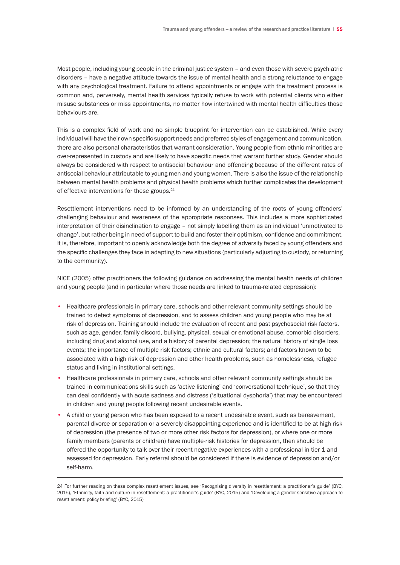Most people, including young people in the criminal justice system – and even those with severe psychiatric disorders – have a negative attitude towards the issue of mental health and a strong reluctance to engage with any psychological treatment. Failure to attend appointments or engage with the treatment process is common and, perversely, mental health services typically refuse to work with potential clients who either misuse substances or miss appointments, no matter how intertwined with mental health difficulties those behaviours are.

This is a complex field of work and no simple blueprint for intervention can be established. While every individual will have their own specific support needs and preferred styles of engagement and communication, there are also personal characteristics that warrant consideration. Young people from ethnic minorities are over-represented in custody and are likely to have specific needs that warrant further study. Gender should always be considered with respect to antisocial behaviour and offending because of the different rates of antisocial behaviour attributable to young men and young women. There is also the issue of the relationship between mental health problems and physical health problems which further complicates the development of effective interventions for these groups.<sup>24</sup>

Resettlement interventions need to be informed by an understanding of the roots of young offenders' challenging behaviour and awareness of the appropriate responses. This includes a more sophisticated interpretation of their disinclination to engage – not simply labelling them as an individual 'unmotivated to change', but rather being in need of support to build and foster their optimism, confidence and commitment. It is, therefore, important to openly acknowledge both the degree of adversity faced by young offenders and the specific challenges they face in adapting to new situations (particularly adjusting to custody, or returning to the community).

NICE (2005) offer practitioners the following guidance on addressing the mental health needs of children and young people (and in particular where those needs are linked to trauma-related depression):

- Healthcare professionals in primary care, schools and other relevant community settings should be trained to detect symptoms of depression, and to assess children and young people who may be at risk of depression. Training should include the evaluation of recent and past psychosocial risk factors, such as age, gender, family discord, bullying, physical, sexual or emotional abuse, comorbid disorders, including drug and alcohol use, and a history of parental depression; the natural history of single loss events; the importance of multiple risk factors; ethnic and cultural factors; and factors known to be associated with a high risk of depression and other health problems, such as homelessness, refugee status and living in institutional settings.
- Healthcare professionals in primary care, schools and other relevant community settings should be trained in communications skills such as 'active listening' and 'conversational technique', so that they can deal confidently with acute sadness and distress ('situational dysphoria') that may be encountered in children and young people following recent undesirable events.
- A child or young person who has been exposed to a recent undesirable event, such as bereavement, parental divorce or separation or a severely disappointing experience and is identified to be at high risk of depression (the presence of two or more other risk factors for depression), or where one or more family members (parents or children) have multiple-risk histories for depression, then should be offered the opportunity to talk over their recent negative experiences with a professional in tier 1 and assessed for depression. Early referral should be considered if there is evidence of depression and/or self-harm.

<sup>24</sup> For further reading on these complex resettlement issues, see 'Recognising diversity in resettlement: a practitioner's guide' (BYC, 2015), 'Ethnicity, faith and culture in resettlement: a practitioner's guide' (BYC, 2015) and 'Developing a gender-sensitive approach to resettlement: policy briefing' (BYC, 2015)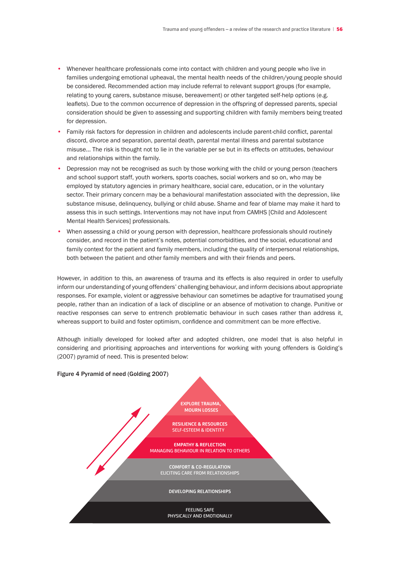- Whenever healthcare professionals come into contact with children and young people who live in families undergoing emotional upheaval, the mental health needs of the children/young people should be considered. Recommended action may include referral to relevant support groups (for example, relating to young carers, substance misuse, bereavement) or other targeted self-help options (e.g. leaflets). Due to the common occurrence of depression in the offspring of depressed parents, special consideration should be given to assessing and supporting children with family members being treated for depression.
- Family risk factors for depression in children and adolescents include parent-child conflict, parental discord, divorce and separation, parental death, parental mental illness and parental substance misuse... The risk is thought not to lie in the variable per se but in its effects on attitudes, behaviour and relationships within the family.
- Depression may not be recognised as such by those working with the child or young person (teachers and school support staff, youth workers, sports coaches, social workers and so on, who may be employed by statutory agencies in primary healthcare, social care, education, or in the voluntary sector. Their primary concern may be a behavioural manifestation associated with the depression, like substance misuse, delinquency, bullying or child abuse. Shame and fear of blame may make it hard to assess this in such settings. Interventions may not have input from CAMHS [Child and Adolescent Mental Health Services] professionals.
- When assessing a child or young person with depression, healthcare professionals should routinely consider, and record in the patient's notes, potential comorbidities, and the social, educational and family context for the patient and family members, including the quality of interpersonal relationships, both between the patient and other family members and with their friends and peers.

However, in addition to this, an awareness of trauma and its effects is also required in order to usefully inform our understanding of young offenders' challenging behaviour, and inform decisions about appropriate responses. For example, violent or aggressive behaviour can sometimes be adaptive for traumatised young people, rather than an indication of a lack of discipline or an absence of motivation to change. Punitive or reactive responses can serve to entrench problematic behaviour in such cases rather than address it, whereas support to build and foster optimism, confidence and commitment can be more effective.

Although initially developed for looked after and adopted children, one model that is also helpful in considering and prioritising approaches and interventions for working with young offenders is Golding's (2007) pyramid of need. This is presented below:

# Figure 4 Pyramid of need (Golding 2007) FEELING SAFE PHYSICALLY AND EMOTIONALLY **DEVELOPING RELATIONSHIPS COMFORT & CO-REGULATION** ELICITING CARE FROM RELATIONSHIPS **EMPATHY & REFLECTION** MANAGING BEHAVIOUR IN RELATION TO OTHERS **RESILIENCE & RESOURCES** SELF-ESTEEM & IDENTITY **EXPLORE TRAUMA, MOURN LOSSES**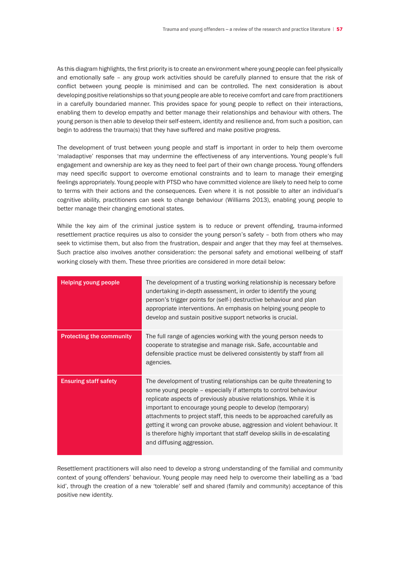As this diagram highlights, the first priority is to create an environment where young people can feel physically and emotionally safe – any group work activities should be carefully planned to ensure that the risk of conflict between young people is minimised and can be controlled. The next consideration is about developing positive relationships so that young people are able to receive comfort and care from practitioners in a carefully boundaried manner. This provides space for young people to reflect on their interactions, enabling them to develop empathy and better manage their relationships and behaviour with others. The young person is then able to develop their self-esteem, identity and resilience and, from such a position, can begin to address the trauma(s) that they have suffered and make positive progress.

The development of trust between young people and staff is important in order to help them overcome 'maladaptive' responses that may undermine the effectiveness of any interventions. Young people's full engagement and ownership are key as they need to feel part of their own change process. Young offenders may need specific support to overcome emotional constraints and to learn to manage their emerging feelings appropriately. Young people with PTSD who have committed violence are likely to need help to come to terms with their actions and the consequences. Even where it is not possible to alter an individual's cognitive ability, practitioners can seek to change behaviour (Williams 2013), enabling young people to better manage their changing emotional states.

While the key aim of the criminal justice system is to reduce or prevent offending, trauma-informed resettlement practice requires us also to consider the young person's safety – both from others who may seek to victimise them, but also from the frustration, despair and anger that they may feel at themselves. Such practice also involves another consideration: the personal safety and emotional wellbeing of staff working closely with them. These three priorities are considered in more detail below:

| <b>Helping young people</b>     | The development of a trusting working relationship is necessary before<br>undertaking in-depth assessment, in order to identify the young<br>person's trigger points for (self-) destructive behaviour and plan<br>appropriate interventions. An emphasis on helping young people to<br>develop and sustain positive support networks is crucial.                                                                                                                                                                                           |
|---------------------------------|---------------------------------------------------------------------------------------------------------------------------------------------------------------------------------------------------------------------------------------------------------------------------------------------------------------------------------------------------------------------------------------------------------------------------------------------------------------------------------------------------------------------------------------------|
| <b>Protecting the community</b> | The full range of agencies working with the young person needs to<br>cooperate to strategise and manage risk. Safe, accountable and<br>defensible practice must be delivered consistently by staff from all<br>agencies.                                                                                                                                                                                                                                                                                                                    |
| <b>Ensuring staff safety</b>    | The development of trusting relationships can be quite threatening to<br>some young people - especially if attempts to control behaviour<br>replicate aspects of previously abusive relationships. While it is<br>important to encourage young people to develop (temporary)<br>attachments to project staff, this needs to be approached carefully as<br>getting it wrong can provoke abuse, aggression and violent behaviour. It<br>is therefore highly important that staff develop skills in de-escalating<br>and diffusing aggression. |

Resettlement practitioners will also need to develop a strong understanding of the familial and community context of young offenders' behaviour. Young people may need help to overcome their labelling as a 'bad kid', through the creation of a new 'tolerable' self and shared (family and community) acceptance of this positive new identity.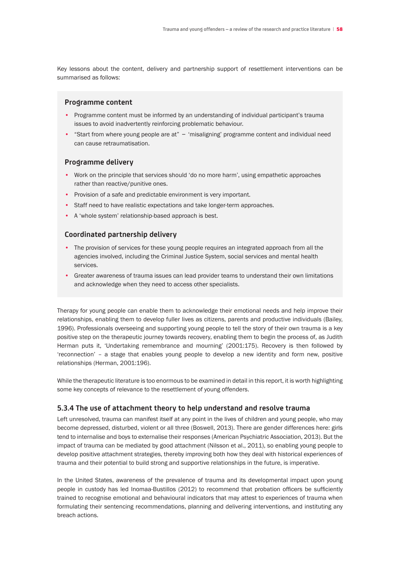Key lessons about the content, delivery and partnership support of resettlement interventions can be summarised as follows:

# **Programme content**

- Programme content must be informed by an understanding of individual participant's trauma issues to avoid inadvertently reinforcing problematic behaviour.
- "Start from where young people are at" 'misaligning' programme content and individual need can cause retraumatisation.

## **Programme delivery**

- Work on the principle that services should 'do no more harm', using empathetic approaches rather than reactive/punitive ones.
- Provision of a safe and predictable environment is very important.
- Staff need to have realistic expectations and take longer-term approaches.
- A 'whole system' relationship-based approach is best.

## **Coordinated partnership delivery**

- The provision of services for these young people requires an integrated approach from all the agencies involved, including the Criminal Justice System, social services and mental health services.
- Greater awareness of trauma issues can lead provider teams to understand their own limitations and acknowledge when they need to access other specialists.

Therapy for young people can enable them to acknowledge their emotional needs and help improve their relationships, enabling them to develop fuller lives as citizens, parents and productive individuals (Bailey, 1996). Professionals overseeing and supporting young people to tell the story of their own trauma is a key positive step on the therapeutic journey towards recovery, enabling them to begin the process of, as Judith Herman puts it, 'Undertaking remembrance and mourning' (2001:175). Recovery is then followed by 'reconnection' – a stage that enables young people to develop a new identity and form new, positive relationships (Herman, 2001:196).

While the therapeutic literature is too enormous to be examined in detail in this report, it is worth highlighting some key concepts of relevance to the resettlement of young offenders.

### **5.3.4 The use of attachment theory to help understand and resolve trauma**

Left unresolved, trauma can manifest itself at any point in the lives of children and young people, who may become depressed, disturbed, violent or all three (Boswell, 2013). There are gender differences here: girls tend to internalise and boys to externalise their responses (American Psychiatric Association, 2013). But the impact of trauma can be mediated by good attachment (Nilsson et al., 2011), so enabling young people to develop positive attachment strategies, thereby improving both how they deal with historical experiences of trauma and their potential to build strong and supportive relationships in the future, is imperative.

In the United States, awareness of the prevalence of trauma and its developmental impact upon young people in custody has led Inomaa-Bustillos (2012) to recommend that probation officers be sufficiently trained to recognise emotional and behavioural indicators that may attest to experiences of trauma when formulating their sentencing recommendations, planning and delivering interventions, and instituting any breach actions.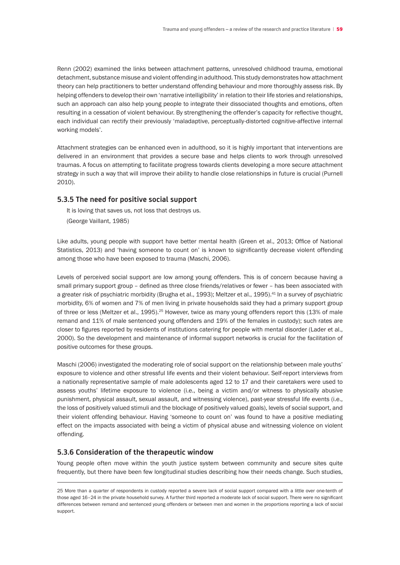Renn (2002) examined the links between attachment patterns, unresolved childhood trauma, emotional detachment, substance misuse and violent offending in adulthood. This study demonstrates how attachment theory can help practitioners to better understand offending behaviour and more thoroughly assess risk. By helping offenders to develop their own 'narrative intelligibility' in relation to their life stories and relationships, such an approach can also help young people to integrate their dissociated thoughts and emotions, often resulting in a cessation of violent behaviour. By strengthening the offender's capacity for reflective thought, each individual can rectify their previously 'maladaptive, perceptually-distorted cognitive-affective internal working models'.

Attachment strategies can be enhanced even in adulthood, so it is highly important that interventions are delivered in an environment that provides a secure base and helps clients to work through unresolved traumas. A focus on attempting to facilitate progress towards clients developing a more secure attachment strategy in such a way that will improve their ability to handle close relationships in future is crucial (Purnell 2010).

## **5.3.5 The need for positive social support**

 It is loving that saves us, not loss that destroys us.

 (George Vaillant, 1985)

Like adults, young people with support have better mental health (Green et al., 2013; Office of National Statistics, 2013) and 'having someone to count on' is known to significantly decrease violent offending among those who have been exposed to trauma (Maschi, 2006).

Levels of perceived social support are low among young offenders. This is of concern because having a small primary support group – defined as three close friends/relatives or fewer – has been associated with a greater risk of psychiatric morbidity (Brugha et al., 1993); Meltzer et al., 1995).<sup>41</sup> In a survey of psychiatric morbidity, 6% of women and 7% of men living in private households said they had a primary support group of three or less (Meltzer et al., 1995).<sup>25</sup> However, twice as many young offenders report this (13% of male remand and 11% of male sentenced young offenders and 19% of the females in custody); such rates are closer to figures reported by residents of institutions catering for people with mental disorder (Lader et al., 2000). So the development and maintenance of informal support networks is crucial for the facilitation of positive outcomes for these groups.

Maschi (2006) investigated the moderating role of social support on the relationship between male youths' exposure to violence and other stressful life events and their violent behaviour. Self-report interviews from a nationally representative sample of male adolescents aged 12 to 17 and their caretakers were used to assess youths' lifetime exposure to violence (i.e., being a victim and/or witness to physically abusive punishment, physical assault, sexual assault, and witnessing violence), past-year stressful life events (i.e., the loss of positively valued stimuli and the blockage of positively valued goals), levels of social support, and their violent offending behaviour. Having 'someone to count on' was found to have a positive mediating effect on the impacts associated with being a victim of physical abuse and witnessing violence on violent offending.

# **5.3.6 Consideration of the therapeutic window**

Young people often move within the youth justice system between community and secure sites quite frequently, but there have been few longitudinal studies describing how their needs change. Such studies,

<sup>25</sup> More than a quarter of respondents in custody reported a severe lack of social support compared with a little over one-tenth of those aged 16–24 in the private household survey. A further third reported a moderate lack of social support. There were no significant differences between remand and sentenced young offenders or between men and women in the proportions reporting a lack of social support.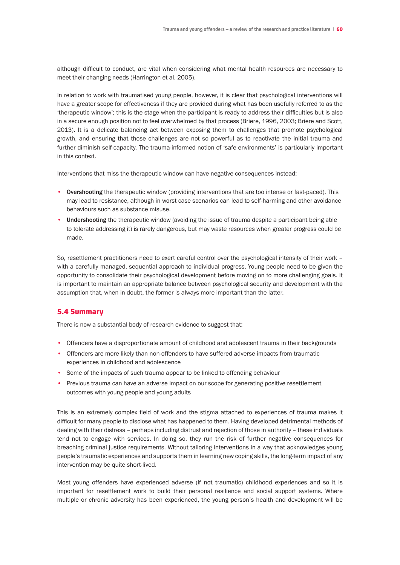although difficult to conduct, are vital when considering what mental health resources are necessary to meet their changing needs (Harrington et al. 2005).

In relation to work with traumatised young people, however, it is clear that psychological interventions will have a greater scope for effectiveness if they are provided during what has been usefully referred to as the 'therapeutic window'; this is the stage when the participant is ready to address their difficulties but is also in a secure enough position not to feel overwhelmed by that process (Briere, 1996, 2003; Briere and Scott, 2013). It is a delicate balancing act between exposing them to challenges that promote psychological growth, and ensuring that those challenges are not so powerful as to reactivate the initial trauma and further diminish self-capacity. The trauma-informed notion of 'safe environments' is particularly important in this context.

Interventions that miss the therapeutic window can have negative consequences instead:

- Overshooting the therapeutic window (providing interventions that are too intense or fast-paced). This may lead to resistance, although in worst case scenarios can lead to self-harming and other avoidance behaviours such as substance misuse.
- Undershooting the therapeutic window (avoiding the issue of trauma despite a participant being able to tolerate addressing it) is rarely dangerous, but may waste resources when greater progress could be made.

So, resettlement practitioners need to exert careful control over the psychological intensity of their work – with a carefully managed, sequential approach to individual progress. Young people need to be given the opportunity to consolidate their psychological development before moving on to more challenging goals. It is important to maintain an appropriate balance between psychological security and development with the assumption that, when in doubt, the former is always more important than the latter.

# 5.4 Summary

There is now a substantial body of research evidence to suggest that:

- Offenders have a disproportionate amount of childhood and adolescent trauma in their backgrounds
- Offenders are more likely than non-offenders to have suffered adverse impacts from traumatic experiences in childhood and adolescence
- Some of the impacts of such trauma appear to be linked to offending behaviour
- Previous trauma can have an adverse impact on our scope for generating positive resettlement outcomes with young people and young adults

This is an extremely complex field of work and the stigma attached to experiences of trauma makes it difficult for many people to disclose what has happened to them. Having developed detrimental methods of dealing with their distress – perhaps including distrust and rejection of those in authority – these individuals tend not to engage with services. In doing so, they run the risk of further negative consequences for breaching criminal justice requirements. Without tailoring interventions in a way that acknowledges young people's traumatic experiences and supports them in learning new coping skills, the long-term impact of any intervention may be quite short-lived.

Most young offenders have experienced adverse (if not traumatic) childhood experiences and so it is important for resettlement work to build their personal resilience and social support systems. Where multiple or chronic adversity has been experienced, the young person's health and development will be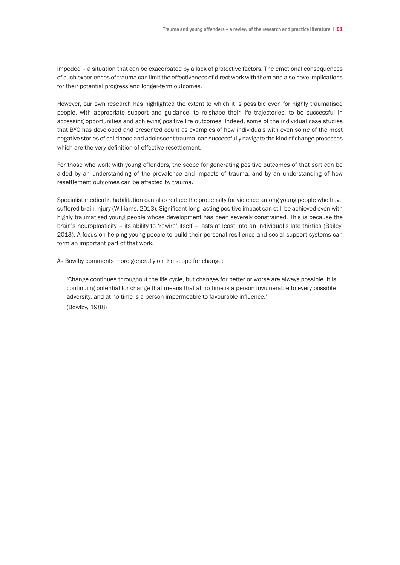impeded – a situation that can be exacerbated by a lack of protective factors. The emotional consequences of such experiences of trauma can limit the effectiveness of direct work with them and also have implications for their potential progress and longer-term outcomes.

However, our own research has highlighted the extent to which it is possible even for highly traumatised people, with appropriate support and guidance, to re-shape their life trajectories, to be successful in accessing opportunities and achieving positive life outcomes. Indeed, some of the individual case studies that BYC has developed and presented count as examples of how individuals with even some of the most negative stories of childhood and adolescent trauma, can successfully navigate the kind of change processes which are the very definition of effective resettlement.

For those who work with young offenders, the scope for generating positive outcomes of that sort can be aided by an understanding of the prevalence and impacts of trauma, and by an understanding of how resettlement outcomes can be affected by trauma.

Specialist medical rehabilitation can also reduce the propensity for violence among young people who have suffered brain injury (Williams, 2013). Significant long-lasting positive impact can still be achieved even with highly traumatised young people whose development has been severely constrained. This is because the brain's neuroplasticity – its ability to 'rewire' itself – lasts at least into an individual's late thirties (Bailey, 2013). A focus on helping young people to build their personal resilience and social support systems can form an important part of that work.

As Bowlby comments more generally on the scope for change:

 'Change continues throughout the life cycle, but changes for better or worse are always possible. It is continuing potential for change that means that at no time is a person invulnerable to every possible adversity, and at no time is a person impermeable to favourable influence.'

 (Bowlby, 1988)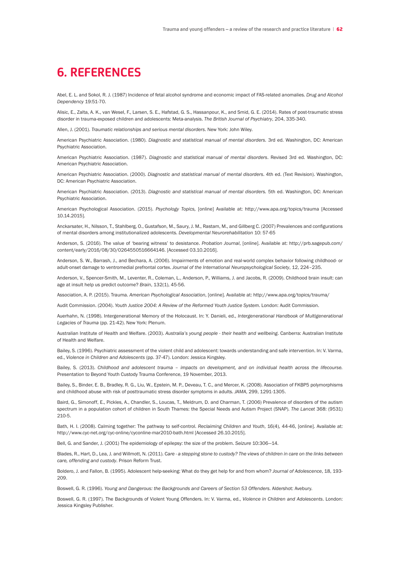# **6. REFERENCES**

Abel, E. L. and Sokol, R. J. (1987) Incidence of fetal alcohol syndrome and economic impact of FAS-related anomalies. *Drug and Alcohol Dependency* 19:51-70.

Alisic, E., Zalta, A. K., van Wesel, F., Larsen, S. E., Hafstad, G. S., Hassanpour, K., and Smid, G. E. (2014). Rates of post-traumatic stress disorder in trauma-exposed children and adolescents: Meta-analysis. *The British Journal of Psychiatry*, 204, 335-340.

Allen, J. (2001). *Traumatic relationships and serious mental disorders*. New York: John Wiley.

American Psychiatric Association. (1980). *Diagnostic and statistical manual of mental disorders.* 3rd ed. Washington, DC: American Psychiatric Association.

American Psychiatric Association. (1987). *Diagnostic and statistical manual of mental disorders*. Revised 3rd ed. Washington, DC: American Psychiatric Association.

American Psychiatric Association. (2000). *Diagnostic and statistical manual of mental disorders*. 4th ed. (Text Revision). Washington, DC: American Psychiatric Association.

American Psychiatric Association. (2013). *Diagnostic and statistical manual of mental disorders.* 5th ed. Washington, DC: American Psychiatric Association.

American Psychological Association. (2015). *Psychology Topics,* [online] Available at: http://www.apa.org/topics/trauma [Accessed 10.14.2015].

Anckarsater, H., Nilsson, T., Stahlberg, O., Gustafson, M., Saury, J. M., Rastam, M., and Gillberg C. (2007) Prevalences and configurations of mental disorders among institutionalized adolescents. *Developmental Neurorehabilitation* 10: 57-65

Anderson, S. (2016). The value of 'bearing witness' to desistance. *Probation Journal*, [online]. Available at: http://prb.sagepub.com/ content/early/2016/08/30/0264550516664146. [Accessed 03.10.2016].

Anderson, S. W., Barrash, J., and Bechara, A. (2006). Impairments of emotion and real-world complex behavior following childhood- or adult-onset damage to ventromedial prefrontal cortex. *Journal of the International Neuropsychological Society*, 12, 224–235.

Anderson, V., Spencer-Smith, M., Leventer, R., Coleman, L., Anderson, P., Williams, J. and Jacobs, R. (2009). Childhood brain insult: can age at insult help us predict outcome? *Brain*, 132(1), 45-56.

Association, A. P. (2015). Trauma. *American Psychological Association*, [online]. Available at: http://www.apa.org/topics/trauma/

Audit Commission. (2004). *Youth Justice 2004: A Review of the Reformed Youth Justice System*. London: Audit Commission.

Auerhahn, N. (1998). Intergenerational Memory of the Holocaust. In: Y. Danieli, ed., *Intergenerational Handbook of Multigenerational Legacies of Trauma* (pp. 21-42). New York: Plenum.

Australian Institute of Health and Welfare. (2003). *Australia's young people - their health and wellbeing*. Canberra: Australian Institute of Health and Welfare.

Bailey, S. (1996). Psychiatric assessment of the violent child and adolescent: towards understanding and safe intervention. In: V. Varma, ed., *Violence in Children and Adolescents* (pp. 37-47). London: Jessica Kingsley.

Bailey, S. (2013). *Childhood and adolescent trauma – impacts on development, and on individual health across the lifecourse.*  Presentation to Beyond Youth Custody Trauma Conference, 19 November, 2013.

Bailey, S., Binder, E. B., Bradley, R. G., Liu, W., Epstein, M. P., Deveau, T. C., and Mercer, K. (2008). Association of FKBP5 polymorphisms and childhood abuse with risk of posttraumatic stress disorder symptoms in adults. *JAMA*, 299, 1291-1305.

Baird, G., Simonoff, E., Pickles, A., Chandler, S., Loucas, T., Meldrum, D. and Charman, T. (2006) Prevalence of disorders of the autism spectrum in a population cohort of children in South Thames: the Special Needs and Autism Project (SNAP). *The Lancet* 368: (9531) 210-5.

Bath, H. I. (2008). Calming together: The pathway to self-control. *Reclaiming Children and Youth*, 16(4), 44-46, [online]. Available at: http://www.cyc-net.org/cyc-online/cyconline-mar2010-bath.html [Accessed 26.10.2015].

Bell, G. and Sander, J. (2001) The epidemiology of epilepsy: the size of the problem. *Seizure* 10:306—14.

Blades, R., Hart, D., Lea, J. and Willmott, N. (2011). C*are - a stepping stone to custody? The views of children in care on the links between care, offending and custody*. Prison Reform Trust.

Boldero, J. and Fallon, B. (1995). Adolescent help-seeking: What do they get help for and from whom? *Journal of Adolescence*, 18, 193- 209.

Boswell, G. R. (1996). *Young and Dangerous: the Backgrounds and Careers of Section 53 Offenders*. Aldershot: Avebury.

Boswell, G. R. (1997). The Backgrounds of Violent Young Offenders. In: V. Varma, ed., *Violence in Children and Adolescents*. London: Jessica Kingsley Publisher.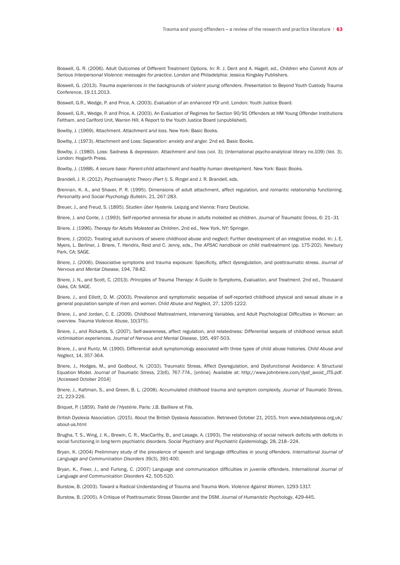Boswell, G. R. (2006). Adult Outcomes of Different Treatment Options. In: R. J. Dent and A. Hagell, ed., *Children who Commit Acts of Serious Interpersonal Violence: messages for practice*. London and Philadelphia: Jessica Kingsley Publishers.

Boswell, G. (2013). *Trauma experiences in the backgrounds of violent young offenders*. Presentation to Beyond Youth Custody Trauma Conference, 19.11.2013.

Boswell, G.R., Wedge, P. and Price, A. (2003). *Evaluation of an enhanced YOI unit.* London: Youth Justice Board.

Boswell, G.R., Wedge, P. and Price, A. (2003). An Evaluation of Regimes for Section 90/91 Offenders at HM Young Offender Institutions Feltham, and Carlford Unit, Warren Hill. A Report to the Youth Justice Board (unpublished).

Bowlby, J. (1969). Attachment. *Attachment and loss.* New York: Basic Books.

Bowlby, J. (1973). Attachment and Loss: *Separation: anxiety and anger.* 2nd ed. Basic Books.

Bowlby, J. (1980). Loss: Sadness & depression. *Attachment and loss* (vol. 3); (International psycho-analytical library no.109) (Vol. 3). London: Hogarth Press.

Bowlby, J. (1988). *A secure base: Parent-child attachment and healthy human development*. New York: Basic Books.

Brandell, J. R. (2012). *Psychoanalytic Theory (Part I)*. S. Ringel and J. R. Brandell, eds.

Brennan, K. A., and Shaver, P. R. (1995). Dimensions of adult attachment, affect regulation, and romantic relationship functioning. *Personality and Social Psychology Bulletin*, 21, 267-283.

Breuer, J., and Freud, S. (1895). *Studien über Hysterie*. Leipzig and Vienna: Franz Deuticke.

Briere, J. and Conte, J. (1993). Self-reported amnesia for abuse in adults molested as children. *Journal of Traumatic Stress*, 6: 21–31

Briere, J. (1996). *Therapy for Adults Molested as Children*. 2nd ed., New York, NY: Springer.

Briere, J. (2002). Treating adult survivors of severe childhood abuse and neglect: Further development of an integrative model. In: J. E. Myers, L. Berliner, J. Briere, T. Hendrix, Reid and C. Jenny, eds., *The APSAC handbook on child maltreatment* (pp. 175-202). Newbury Park, CA: SAGE.

Briere, J. (2006). Dissociative symptoms and trauma exposure: Specificity, affect dysregulation, and posttraumatic stress. *Journal of Nervous and Mental Disease*, 194, 78-82.

Briere, J. N., and Scott, C. (2013). *Principles of Trauma Therapy: A Guide to Symptoms, Evaluation, and Treatment.* 2nd ed., Thousand Oaks, CA: SAGE.

Briere, J., and Elliott, D. M. (2003). Prevalence and symptomatic sequelae of self-reported childhood physical and sexual abuse in a general population sample of men and women. *Child Abuse and Neglect*, 27, 1205-1222.

Briere, J., and Jordan, C. E. (2009). Childhood Maltreatment, Intervening Variables, and Adult Psychological Difficulties in Women: an overview. *Trauma Violence Abuse*, 10(375).

Briere, J., and Rickards, S. (2007). Self-awareness, affect regulation, and relatedness: Differential sequels of childhood versus adult victimisation experiences. *Journal of Nervous and Mental Disease*, 195, 497-503.

Briere, J., and Runtz, M. (1990). Differential adult symptomology associated with three types of child abuse histories. *Child Abuse and Neglect*, 14, 357-364.

Briere, J., Hodges, M., and Godbout, N. (2010). Traumatic Stress, Affect Dysregulation, and Dysfunctional Avoidance: A Structural Equation Model. *Journal of Traumatic Stress*, 23(6), 767-774., [online]. Available at: http://www.johnbriere.com/dysf\_avoid\_JTS.pdf. [Accessed October 2014]

Briere, J., Kaltman, S., and Green, B. L. (2008). Accumulated childhood trauma and symptom complexity. *Journal of Traumatic Stress*, 21, 223-226.

Briquet, P. (1859). *Traité de l'Hystérie*. Paris: J.B. Bailliere et Fils.

British Dyslexia Association. (2015). About the British Dyslexia Association. Retrieved October 21, 2015, from www.bdadyslexia.org.uk/ about-us.html

Brugha, T. S., Wing, J. K., Brewin, C. R., MacCarthy, B., and Lesage, A. (1993). The relationship of social network deficits with deficits in social functioning in long-term psychiatric disorders. *Social Psychiatry and Psychiatric Epidemiology,* 28, 218–224.

Bryan, K. (2004) Preliminary study of the prevalence of speech and language difficulties in young offenders. *International Journal of Language and Communication Disorders* 39(3), 391-400.

Bryan, K., Freer, J., and Furlong, C. (2007) Language and communication difficulties in juvenile offenders. *International Journal of Language and Communication Disorders* 42, 505-520.

Burstow, B. (2003). Toward a Radical Understanding of Trauma and Trauma Work. *Violence Against Women*, 1293-1317.

Burstow, B. (2005). A Critique of Posttraumatic Stress Disorder and the DSM. *Journal of Humanistic Psychology*, 429-445.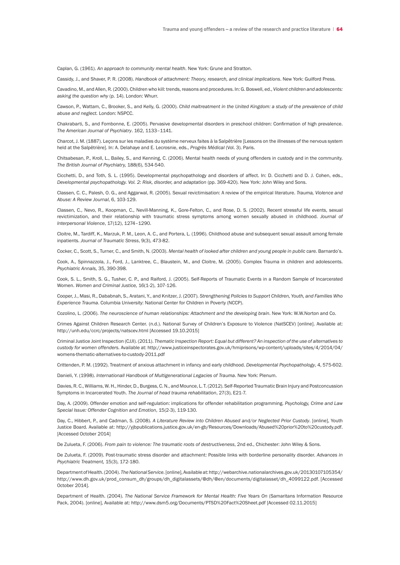Caplan, G. (1961). *An approach to community mental health*. New York: Grune and Stratton.

Cassidy, J., and Shaver, P. R. (2008). *Handbook of attachment: Theory, research, and clinical implications*. New York: Guilford Press.

Cavadino, M., and Allen, R. (2000). Children who kill: trends, reasons and procedures. In: G. Boswell, ed., *Violent children and adolescents: asking the question why* (p. 14). London: Whurr.

Cawson, P., Wattam, C., Brooker, S., and Kelly, G. (2000). *Child maltreatment in the United Kingdom: a study of the prevalence of child abuse and neglect.* London: NSPCC.

Chakrabarti, S., and Fombonne, E. (2005). Pervasive developmental disorders in preschool children: Confirmation of high prevalence. *The American Journal of Psychiatry*. 162, 1133–1141.

Charcot, J. M. (1887). Leçons sur les maladies du système nerveux faites à la Salpêtrière [Lessons on the illnesses of the nervous system held at the Salpêtrière]. In: A. Delahaye and E. Lecrosnie, eds., *Progrès Médical* (Vol. 3). Paris.

Chitsabesan, P., Kroll, L., Bailey, S., and Kenning, C. (2006). Mental health needs of young offenders in custody and in the community. *The British Journal of Psychiatry,* 188(6), 534-540.

Cicchetti, D., and Toth, S. L. (1995). Developmental psychopathology and disorders of affect. In: D. Cicchetti and D. J. Cohen, eds., *Developmental psychopathology. Vol. 2: Risk, disorder, and adaptation* (pp. 369-420). New York: John Wiley and Sons.

Classen, C. C., Palesh, O. G., and Aggarwal, R. (2005). Sexual revictimisation: A review of the empirical literature. *Trauma, Violence and Abuse: A Review Journal*, 6, 103-129.

Classen, C., Nevo, R., Koopman, C., Nevill-Manning, K., Gore-Felton, C., and Rose, D. S. (2002). Recent stressful life events, sexual revictimization, and their relationship with traumatic stress symptoms among women sexually abused in childhood. *Journal of Interpersonal Violence*, 17(12), 1274–1290.

Cloitre, M., Tardiff, K., Marzuk, P. M., Leon, A. C., and Portera, L. (1996). Childhood abuse and subsequent sexual assault among female inpatients. *Journal of Traumatic Stress*, 9(3), 473-82.

Cocker, C., Scott, S., Turner, C., and Smith, N. (2003). *Mental health of looked after children and young people in public care.* Barnardo's.

Cook, A., Spinnazzola, J., Ford, J., Lanktree, C., Blaustein, M., and Cloitre, M. (2005). Complex Trauma in children and adolescents. *Psychiatric Annals,* 35, 390-398.

Cook, S. L., Smith, S. G., Tusher, C. P., and Raiford, J. (2005). Self-Reports of Traumatic Events in a Random Sample of Incarcerated Women. *Women and Criminal Justice,* 16(1-2), 107-126.

Cooper, J., Masi, R., Dababnah, S., Aratani, Y., and Knitzer, J. (2007). *Strengthening Policies to Support Children, Youth, and Families Who Experience Trauma*. Columbia University: National Center for Children in Poverty (NCCP).

Cozolino, L. (2006). *The neuroscience of human relationships: Attachment and the developing brain*. New York: W.W.Norton and Co.

Crimes Against Children Research Center. (n.d.). National Survey of Children's Exposure to Violence (NatSCEV) [online]. Available at: http://unh.edu/ccrc/projects/natscev.html [Accessed 19.10.2015]

CriminalJustice Joint Inspection (CJJI). (2011). *Thematic Inspection Report: Equal but different? An inspection of the use of alternatives to custody for women offenders.* Available at: http://www.justiceinspectorates.gov.uk/hmiprisons/wp-content/uploads/sites/4/2014/04/ womens-thematic-alternatives-to-custody-2011.pdf

Crittenden, P. M. (1992). Treatment of anxious attachment in infancy and early childhood. *Developmental Psychopathology*, 4, 575-602.

Danieli, Y. (1998). *Internationall Handbook of Multigenerational Legacies of Trauma*. New York: Plenum.

Davies, R. C., Williams, W. H., Hinder, D., Burgess, C.N., and Mounce, L. T. (2012). Self-Reported Traumatic Brain Injury and Postconcussion Symptoms in Incarcerated Youth. *The Journal of head trauma rehabilitation*, 27(3), E21-7.

Day, A. (2009). Offender emotion and self-regulation: implications for offender rehabilitation programming. *Psychology, Crime and Law Special Issue: Offender Cognition and Emotion*, 15(2-3), 119-130.

Day, C., Hibbert, P., and Cadman, S. (2008). *A Literature Review into Children Abused and/or Neglected Prior Custody*. [online], Youth Justice Board. Available at: http://yjbpublications.justice.gov.uk/en-gb/Resources/Downloads/Abused%20prior%20to%20custody.pdf. [Accessed October 2014]

De Zulueta, F. (2006). *From pain to violence: The traumatic roots of destructiveness*, 2nd ed., Chichester: John Wiley & Sons.

De Zulueta, F. (2009). Post-traumatic stress disorder and attachment: Possible links with borderline personality disorder. *Advances in Psychiatric Treatment,* 15(3), 172-180.

Department of Health. (2004). *The National Service*.[online],Availableat:http://webarchive.nationalarchives.gov.uk/20130107105354/ http://www.dh.gov.uk/prod\_consum\_dh/groups/dh\_digitalassets/@dh/@en/documents/digitalasset/dh\_4099122.pdf. [Accessed October 2014].

Department of Health. (2004). *The National Service Framework for Mental Health: Five Years On* (Samaritans Information Resource Pack, 2004). [online], Available at: http://www.dsm5.org/Documents/PTSD%20Fact%20Sheet.pdf [Accessed 02.11.2015]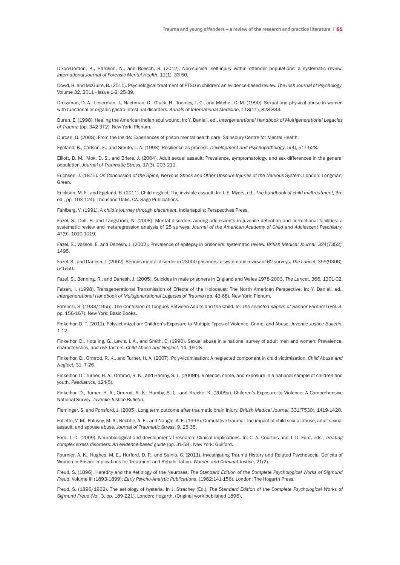Dixon-Gordon, K., Harrison, N., and Roesch, R. (2012). Non-suicidal self-injury within offender populations: a systematic review. *International Journal of Forensic Mental Health*, 11(1), 33-50.

Dowd, H. and McGuire, B. (2011). Psychological treatment of PTSD in children: an evidence-based review. *The Irish Journal of Psychology*, Volume 32, 2011 - Issue 1-2: 25-39.

Drossman, D. A., Leserman, J., Nachman, G., Gluck, H., Toomey, T. C., and Mitchel, C. M. (1990). Sexual and physical abuse in women with functional or organic gastro intestinal disorders. *Annals of International Medicine*, 113(11), 828-833.

Duran, E. (1998). Healing the American Indian soul wound. In: Y. Danieli, ed., *Intergenerational Handbook of Multigenerational Legacies of Trauma* (pp. 342-372). New York: Plenum.

Durcan, G. (2008). From the Inside: Experiences of prison mental health care. Sainsbury Centre for Mental Health.

Egeland, B., Carlson, E., and Sroufe, L. A. (1993). Resilience as process. *Development and Psychopathology*, 5(4), 517-528.

Elliott, D. M., Mok, D. S., and Briere, J. (2004). Adult sexual assault: Prevalence, symptomatology, and sex differences in the general population. *Journal of Traumatic Stress*, 17(3), 203-211.

Erichsen, J. (1875). *On Concussion of the Spine, Nervous Shock and Other Obscure Injuries of the Nervous System*. London: Longman, Green.

Erickson, M. F., and Egeland, B. (2011). Child neglect: The invisible assault. In: J. E. Myers, ed., *The handbook of child maltreatment,* 3rd ed., pp. 103-124). Thousand Oaks, CA: Sage Publications.

Fahlberg, V. (1991). *A child's journey through placement.* Indianapolis: Perspectives Press.

Fazel, S., Doll, H. and Langstrom, N. (2008). Mental disorders among adolescents in juvenile detention and correctional facilities: a systematic review and metaregression analysis of 25 surveys. *Journal of the American Academy of Child and Adolescent Psychiatry*, 47(9): 1010-1019.

Fazel, S., Vassos, E. and Danesh, J. (2002). Prevalence of epilepsy in prisoners: systematic review. *British Medical Journal*. 324(7352): 1495.

Fazel, S., and Danesh, J. (2002). Serious mental disorder in 23000 prisoners: a systematic review of 62 surveys. *The Lancet,* 359(9306), 545-50.

Fazel, S., Benning, R., and Danesh, J. (2005). Suicides in male prisoners in England and Wales 1978-2003. *The Lancet*, 366, 1301-02.

Felsen, I. (1998). Transgenerational Transmission of Effects of the Holocaust: The North American Perspective. In: Y. Danieli, ed., *Intergenerational Handbook of Multigenerational Legacies of Trauma* (pp. 43-68). New York: Plenum.

Ferenczi, S. (1933/1955). The Confusion of Tongues Between Adults and the Child. In: *The selected papers of Sandor Ferenczi* (Vol. 3, pp. 156-167). New York: Basic Books.

Finkelhor, D. T. (2011). Polyvictimization: Children's Exposure to Multiple Types of Violence, Crime, and Abuse. *Juvenile Justice Bulletin*, 1-12.

Finkelhor, D., Hotaling, G., Lewis, I. A., and Smith, C. (1990). Sexual abuse in a national survey of adult men and women: Prevalence, characteristics, and risk factors. *Child Abuse and Neglect*, 14, 19-28.

Finkelhor, D., Ormrod, R. K., and Turner, H. A. (2007). Poly-victimisation: A neglected component in child victimisation. *Child Abuse and Neglect,* 31, 7-26.

Finkelhor, D., Turner, H. A., Ormrod, R. K., and Hamby, S. L. (2009b). Violence, crime, and exposure in a national sample of children and youth. *Paediatrics*, 124(5).

Finkelhor, D., Turner, H. A., Ormrod, R. K., Hamby, S. L., and Kracke, K. (2009a). Children's Exposure to Violence: A Comprehensive National Survey. *Juvenile Justice Bulletin.*

Fleminger, S. and Ponsford, J. (2005). Long term outcome after traumatic brain injury. *British Medical Journal*, 331(7530), 1419-1420.

Follette, V. M., Polusny, M. A., Bechtle, A. E., and Naugle, A. E. (1996). Cumulative trauma: The impact of child sexual abuse, adult sexual assault, and spouse abuse. *Journal of Traumatic Stress*, 9, 25-35.

Ford, J. D. (2009). Neurobiological and developmental research: Clinical implications. In: C. A. Courtois and J. D. Ford, eds., *Treating complex stress disorders: An evidence-based guide* (pp. 31-58). New York: Guilford.

Fournier, A. K., Hughes, M. E., Hurford, D. P., and Sainio, C. (2011). Investigating Trauma History and Related Psychosocial Deficits of Women in Prison: Implications for Treatment and Rehabilitation. *Women and Criminal Justice*, 21(2).

Freud, S. (1896). Heredity and the Aetiology of the Neuroses. *The Standard Edition of the Complete Psychological Works of Sigmund Freud*, Volume III (1893-1899): *Early Psycho-Analytic Publications*, (1962:141-156). London: The Hogarth Press.

Freud, S. (1896/1962). The aetiology of hysteria. In J. Strachey (Ed.), *The Standard Edition of the Complete Psychological Works of Sigmund Freud* (Vol. 3, pp. 189-221). London: Hogarth. (Original work published 1896).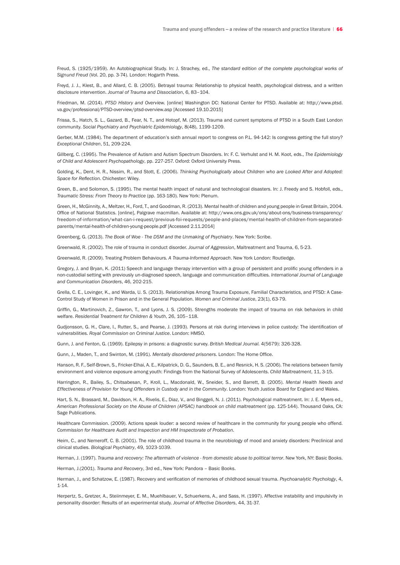Freud, S. (1925/1959). An Autobiographical Study. In: J. Strachey, ed., *The standard edition of the complete psychological works of Signund Freud* (Vol. 20, pp. 3-74). London: Hogarth Press.

Freyd, J. J., Klest, B., and Allard, C. B. (2005). Betrayal trauma: Relationship to physical health, psychological distress, and a written disclosure intervention. *Journal of Trauma and Dissociation*, 6, 83–104.

Friedman, M. (2014). *PTSD History and Overview.* [online] Washington DC: National Center for PTSD. Available at: http://www.ptsd. va.gov/professional/PTSD-overview/ptsd-overview.asp [Accessed 19.10.2015]

Frissa, S., Hatch, S. L., Gazard, B., Fear, N. T., and Hotopf, M. (2013). Trauma and current symptoms of PTSD in a South East London community. *Social Psychiatry and Psychiatric Epidemiology*, 8(48), 1199-1209.

Gerber, M.M. (1984). The department of education's sixth annual report to congress on P.L. 94-142: Is congress getting the full story? *Exceptional Children*, 51, 209-224.

Gillberg, C. (1995). The Prevalence of Autism and Autism Spectrum Disorders. In: F. C. Verhulst and H. M. Koot, eds., *The Epidemiology of Child and Adolescent Psychopathology*, pp. 227-257. Oxford: Oxford University Press.

Golding, K., Dent, H. R., Nissim, R., and Stott, E. (2006). *Thinking Psychologically about Children who are Looked After and Adopted: Space for Reflection*. Chichester: Wiley.

Green, B., and Solomon, S. (1995). The mental health impact of natural and technological disasters. In: J. Freedy and S. Hobfoll, eds., *Traumatic Stress: From Theory to Practice* (pp. 163-180). New York: Plenum.

Green, H., McGinnity, A., Meltzer, H., Ford, T., and Goodman, R. (2013). Mental health of children and young people in Great Britain, 2004. Office of National Statistics. [online], Palgrave macmillan. Available at: http://www.ons.gov.uk/ons/about-ons/business-transparency/ freedom-of-information/what-can-i-request/previous-foi-requests/people-and-places/mental-health-of-children-from-separatedparents/mental-health-of-children-young-people.pdf [Accessed 2.11.2014]

Greenberg, G. (2013). *The Book of Woe - The DSM and the Unmaking of Psychiatry*. New York: Scribe.

Greenwald, R. (2002). The role of trauma in conduct disorder. *Journal of Aggression*, Maltreatment and Trauma, 6, 5-23.

Greenwald, R. (2009). Treating Problem Behaviours. *A Trauma-Informed Approach*. New York London: Routledge.

Gregory, J. and Bryan, K. (2011) Speech and language therapy intervention with a group of persistent and prolific young offenders in a non-custodial setting with previously un-diagnosed speech, language and communication difficulties. *International Journal of Language and Communication Disorders*, 46, 202-215.

Grella, C. E., Lovinger, K., and Warda, U. S. (2013). Relationships Among Trauma Exposure, Familial Characteristics, and PTSD: A Case-Control Study of Women in Prison and in the General Population. *Women and Criminal Justice*, 23(1), 63-79.

Griffin, G., Martinovich, Z., Gawron, T., and Lyons, J. S. (2009). Strengths moderate the impact of trauma on risk behaviors in child welfare. *Residential Treatment for Children & Youth*, 26, 105–118.

Gudjonsson, G. H., Clare, I., Rutter, S., and Pearse, J. (1993). Persons at risk during interviews in police custody: The identification of vulnerabilities. *Royal Commission on Criminal Justice*. London: HMSO.

Gunn, J. and Fenton, G. (1969). Epilepsy in prisons: a diagnostic survey. *British Medical Journal.* 4(5679): 326-328.

Gunn, J., Maden, T., and Swinton, M. (1991). *Mentally disordered prisoners*. London: The Home Office.

Hanson, R. F., Self-Brown, S., Fricker-Elhai, A. E., Kilpatrick, D. G., Saunders, B. E., and Resnick, H. S. (2006). The relations between family environment and violence exposure among youth: Findings from the National Survey of Adolescents. *Child Maltreatment*, 11, 3-15.

Harrington, R., Bailey, S., Chitsabesan, P., Kroll, L., Macdonald, W., Sneider, S., and Barrett, B. (2005). *Mental Health Needs and Effectiveness of Provision for Young Offenders in Custody and in the Community*. London: Youth Justice Board for England and Wales.

Hart, S. N., Brassard, M., Davidson, H. A., Rivelis, E., Diaz, V., and Binggeli, N. J. (2011). Psychological maltreatment. In: J. E. Myers ed., *American Professional Society on the Abuse of Children (APSAC) handbook on child maltreatment* (pp. 125-144). Thousand Oaks, CA: Sage Publications.

Healthcare Commission. (2009). Actions speak louder: a second review of healthcare in the community for young people who offend. *Commission for Healthcare Audit and Inspection and HM Inspectorate of Probation.*

Heim, C., and Nemeroff, C. B. (2001). The role of childhood trauma in the neurobiology of mood and anxiety disorders: Preclinical and clinical studies. *Biological Psychiatry*, 49, 1023-1039.

Herman, J. (1997). *Trauma and recovery: The aftermath of violence - from domestic abuse to political terror*. New York, NY: Basic Books.

Herman, J.(2001). *Trauma and Recovery*, 3rd ed., New York: Pandora – Basic Books.

Herman, J., and Schatzow, E. (1987). Recovery and verification of memories of childhood sexual trauma. *Psychoanalytic Psychology*, 4, 1-14.

Herpertz, S., Gretzer, A., Steiinmeyer, E. M., Muehlbauer, V., Schuerkens, A., and Sass, H. (1997). Affective instability and impulsivity in personality disorder: Results of an experimental study. *Journal of Affective Disorders*, 44, 31-37.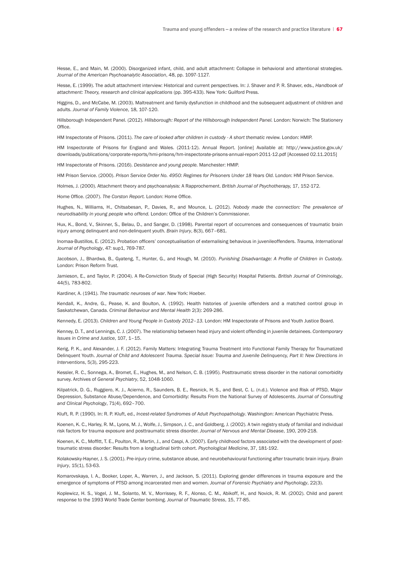Hesse, E., and Main, M. (2000). Disorganized infant, child, and adult attachment: Collapse in behavioral and attentional strategies. *Journal of the American Psychoanalytic Association*, 48, pp. 1097-1127.

Hesse, E. (1999). The adult attachment interview: Historical and current perspectives. In: J. Shaver and P. R. Shaver, eds., *Handbook of attachment: Theory, research and clinical applications* (pp. 395-433). New York: Guilford Press.

Higgins, D., and McCabe, M. (2003). Maltreatment and family dysfunction in childhood and the subsequent adjustment of children and adults. *Journal of Family Violence*, 18, 107-120.

Hillsborough Independent Panel. (2012). *Hillsborough: Report of the Hillsborough Independent Panel.* London: Norwich: The Stationery Office.

HM Inspectorate of Prisons. (2011). *The care of looked after children in custody - A short thematic review.* London: HMIP.

HM Inspectorate of Prisons for England and Wales. (2011-12). Annual Report. [online] Available at: http://www.justice.gov.uk/ downloads/publications/corporate-reports/hmi-prisons/hm-inspectorate-prisons-annual-report-2011-12.pdf [Accessed 02.11.2015]

HM Inspectorate of Prisons. (2016). *Desistance and young people.* Manchester: HMIP.

HM Prison Service. (2000). *Prison Service Order No. 4950: Regimes for Prisoners Under 18 Years Old.* London: HM Prison Service.

Holmes, J. (2000). Attachment theory and psychoanalysis: A Rapprochement. *British Journal of Psychotherapy,* 17, 152-172.

Home Office. (2007). *The Corston Report.* London: Home Office.

Hughes, N., Williams, H., Chitsabesan, P., Davies, R., and Mounce, L. (2012). *Nobody made the connection: The prevalence of neurodisability in young people who offend.* London: Office of the Children's Commissioner.

Hux, K., Bond, V., Skinner, S., Belau, D., and Sanger, D. (1998). Parental report of occurrences and consequences of traumatic brain injury among delinquent and non-delinquent youth. *Brain Injury*, 8(3), 667–681.

Inomaa-Bustillos, E. (2012). Probation officers' conceptualisation of externalising behavious in juvenileoffenders. *Trauma, International Journal of Psychology*, 47: sup1, 769-787.

Jacobson, J., Bhardwa, B., Gyateng, T., Hunter, G., and Hough, M. (2010). *Punishing Disadvantage: A Profile of Children in Custody.*  London: Prison Reform Trust.

Jamieson, E., and Taylor, P. (2004). A Re-Conviction Study of Special (High Security) Hospital Patients. *British Journal of Criminology*, 44(5), 783-802.

Kardiner, A. (1941). *The traumatic neuroses of war*. New York: Hoeber.

Kendall, K., Andre, G., Pease, K. and Boulton, A. (1992). Health histories of juvenile offenders and a matched control group in Saskatchewan, Canada. *Criminal Behaviour and Mental Health* 2(3): 269-286.

Kennedy, E. (2013). *Children and Young People in Custody 2012–13.* London: HM Inspectorate of Prisons and Youth Justice Board.

Kenney, D. T., and Lennings, C. J. (2007). The relationship between head injury and violent offending in juvenile detainees. *Contemporary Issues in Crime and Justice*, 107, 1–15.

Kerig, P. K., and Alexander, J. F. (2012). Family Matters: Integrating Trauma Treatment into Functional Family Therapy for Traumatized Delinquent Youth. *Journal of Child and Adolescent Trauma. Special Issue: Trauma and Juvenile Delinquency, Part II: New Directions in Interventions*, 5(3), 295-223.

Kessler, R. C., Sonnega, A., Bromet, E., Hughes, M., and Nelson, C. B. (1995). Posttraumatic stress disorder in the national comorbidity survey. Archives of *General Psychiatry*, 52, 1048-1060.

Kilpatrick, D. G., Ruggiero, K. J., Acierno, R., Saunders, B. E., Resnick, H. S., and Best, C. L. (n.d.). Violence and Risk of PTSD, Major Depression, Substance Abuse/Dependence, and Comorbidity: Results From the National Survey of Adolescents. *Journal of Consulting and Clinical Psychology*, 71(4), 692–700.

Kluft, R. P. (1990). In: R. P. Kluft, ed., *Incest-related Syndromes of Adult Psychopathology*. Washington: American Psychiatric Press.

Koenen, K. C., Harley, R. M., Lyons, M. J., Wolfe, J., Simpson, J. C., and Goldberg, J. (2002). A twin registry study of familial and individual risk factors for trauma exposure and posttraumatic stress disorder. *Journal of Nervous and Mental Disease*, 190, 209-218.

Koenen, K. C., Moffitt, T. E., Poulton, R., Martin, J., and Caspi, A. (2007). Early childhood factors associated with the development of posttraumatic stress disorder: Results from a longitudinal birth cohort. *Psychological Medicine*, 37, 181-192.

Kolakowsky-Hayner, J. S. (2001). Pre-injury crime, substance abuse, and neurobehavioural functioning after traumatic brain injury. *Brain Injury*, 15(1), 53-63.

Komarovskaya, I. A., Booker, Loper, A., Warren, J., and Jackson, S. (2011). Exploring gender differences in trauma exposure and the emergence of symptoms of PTSD among incarcerated men and women. *Journal of Forensic Psychiatry and Psychology*, 22(3).

Koplewicz, H. S., Vogel, J. M., Solanto, M. V., Morrissey, R. F., Alonso, C. M., Abikoff, H., and Novick, R. M. (2002). Child and parent response to the 1993 World Trade Center bombing. *Journal of Traumatic Stress*, 15, 77-85.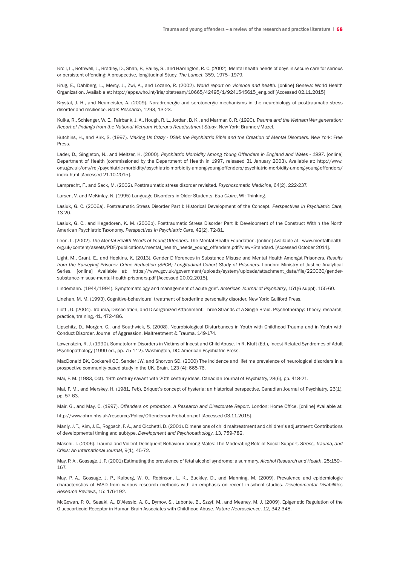Kroll, L., Rothwell, J., Bradley, D., Shah, P., Bailey, S., and Harrington, R. C. (2002). Mental health needs of boys in secure care for serious or persistent offending: A prospective, longitudinal Study. *The Lancet,* 359, 1975–1979.

Krug, E., Dahlberg, L., Mercy, J., Zwi, A., and Lozano, R. (2002). *World report on violence and health.* [online] Geneva: World Health Organization. Available at: http://apps.who.int/iris/bitstream/10665/42495/1/9241545615\_eng.pdf [Accessed 02.11.2015]

Krystal, J. H., and Neumeister, A. (2009). Noradrenergic and serotonergic mechanisms in the neurobiology of posttraumatic stress disorder and resilience. *Brain Research*, 1293, 13-23.

Kulka, R., Schlenger, W. E., Fairbank, J. A., Hough, R. L., Jordan, B. K., and Marmar, C. R. (1990). *Trauma and the Vietnam War generation: Report of findings from the National Vietnam Veterans Readjustment Study*. New York: Brunner/Mazel.

Kutchins, H., and Kirk, S. (1997). *Making Us Crazy - DSM: the Psychiatric Bible and the Creation of Mental Disorders*. New York: Free Press.

Lader, D., Singleton, N., and Meltzer, H. (2000). *Psychiatric Morbidity Among Young Offenders in England and Wales - 1997*. [online] Department of Health (commissioned by the Department of Health in 1997, released 31 January 2003). Available at: http://www. ons.gov.uk/ons/rel/psychiatric-morbidity/psychiatric-morbidity-among-young-offenders/psychiatric-morbidity-among-young-offenders/ index.html [Accessed 21.10.2015].

Lamprecht, F., and Sack, M. (2002). Posttraumatic stress disorder revisited. *Psychosomatic Medicine*, 64(2), 222-237.

Larsen, V. and McKinlay, N. (1995) Language Disorders in Older Students. *Eau Claire*, WI: Thinking.

Lasiuk, G. C. (2006a). Postraumatic Stress Disorder Part I: Historical Development of the Concept. *Perspectives in Psychiatric Care*, 13-20.

Lasiuk, G. C., and Hegadoren, K. M. (2006b). Posttraumatic Stress Disorder Part II: Development of the Construct Within the North American Psychiatric Taxonomy. *Perspectives in Psychiatric Care*, 42(2), 72-81.

Leon, L. (2002). *The Mental Health Needs of Young Offenders*. The Mental Health Foundation. [online] Available at: www.mentalhealth. org.uk/content/assets/PDF/publications/mental\_health\_needs\_young\_offenders.pdf?view=Standard. [Accessed October 2014].

Light, M., Grant, E., and Hopkins, K. (2013). Gender Differences in Substance Misuse and Mental Health Amongst Prisoners. *Results from the Surveying Prisoner Crime Reduction (SPCR) Longitudinal Cohort Study of Prisoners.* London: Ministry of Justice Analytical Series. [online] Available at: https://www.gov.uk/government/uploads/system/uploads/attachment\_data/file/220060/gendersubstance-misuse-mental-health-prisoners.pdf [Accessed 20.02.2015].

Lindemann. (1944/1994). Symptomatology and management of acute grief. *American Journal of Psychiatry*, 151(6 suppl), 155-60.

Linehan, M. M. (1993). Cognitive-behavioural treatment of borderline personality disorder. New York: Guilford Press.

Liotti, G. (2004). Trauma, Dissociation, and Disorganized Attachment: Three Strands of a Single Braid. Psychotherapy: Theory, research, practice, training, 41, 472-486.

Lipschitz, D., Morgan, C., and Southwick, S. (2008). Neurobiological Disturbances in Youth with Childhood Trauma and in Youth with Conduct Disorder. Journal of Aggression, Maltreatment & Trauma, 149-174.

Lowenstein, R. J. (1990). Somatoform Disorders in Victims of Incest and Child Abuse. In R. Kluft (Ed.), Incest-Related Syndromes of Adult Psychopathology (1990 ed., pp. 75-112). Washington, DC: American Psychiatric Press.

MacDonald BK, Cockerell OC, Sander JW, and Shorvon SD. (2000) The incidence and lifetime prevalence of neurological disorders in a prospective community-based study in the UK. Brain. 123 (4): 665-76.

Mai, F. M. (1983, Oct). 19th century savant with 20th century ideas. Canadian Journal of Psychiatry, 28(6), pp. 418-21.

Mai, F. M., and Merskey, H. (1981, Feb). Briquet's concept of hysteria: an historical perspective. Canadian Journal of Psychiatry, 26(1), pp. 57-63.

Mair, G., and May, C. (1997). *Offenders on probation. A Research and Directorate Report*. London: Home Office. [online] Available at:

http://www.ohrn.nhs.uk/resource/Policy/OffendersonProbation.pdf [Accessed 03.11.2015].

Manly, J. T., Kim, J. E., Rogosch, F. A., and Cicchetti, D. (2001). Dimensions of child maltreatment and children's adjustment: Contributions of developmental timing and subtype. *Development and Psychopathology*, 13, 759-782.

Maschi, T. (2006). Trauma and Violent Delinquent Behaviour among Males: The Moderating Role of Social Support. *Stress, Trauma, and Crisis: An International Journal*, 9(1), 45-72.

May, P. A., Gossage, J. P. (2001) Estimating the prevalence of fetal alcohol syndrome: a summary. *Alcohol Research and Health*. 25:159– 167.

May, P. A., Gossage, J. P., Kalberg, W. 0., Robinson, L. K., Buckley, D., and Manning, M. (2009). Prevalence and epidemiologic characteristics of FASD from various research methods with an emphasis on recent in-school studies. *Developmental Disabilities Research Reviews*, 15: 176-192.

McGowan, P. O., Sasaki, A., D'Alessio, A. C., Dymov, S., Labonte, B., Szzyf, M., and Meaney, M. J. (2009). Epigenetic Regulation of the Glucocorticoid Receptor in Human Brain Associates with Childhood Abuse. *Nature Neuroscience*, 12, 342-348.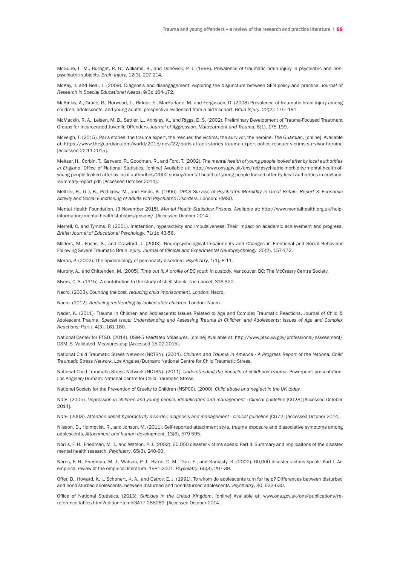McGuire, L. M., Burright, R. G., Williams, R., and Donovick, P. J. (1998). Prevalence of traumatic brain injury in psychiatric and nonpsychiatric subjects. *Brain Injury*, 12(3), 207-214.

McKay, J. and Neal, J. (2009). Diagnosis and disengagement: exploring the disjuncture between SEN policy and practice. *Journal of Research in Special Educational Needs*. 9(3): 164-172.

McKinlay, A., Grace, R., Horwood, L., Ridder, E., MacFarlane, M. and Fergusson, D. (2008) Prevalence of traumatic brain injury among children, adolescents, and young adults: prospective evidenced from a birth cohort. *Brain Injury*. 22(2): 175–181.

McMackin, R. A., Leisen, M. B., Sattler, L., Krinsley, K., and Riggs, D. S. (2002). Preliminary Development of Trauma-Focused Treatment Groups for Incarcerated Juvenile Offenders. *Journal of Aggression, Maltreatment and Trauma*, 6(1), 175-199.

McVeigh, T. (2015). Paris stories: the trauma expert, the rescuer, the victims, the survivor, the heroine. *The Guardian*, [online]. Available at: https://www.theguardian.com/world/2015/nov/22/paris-attack-stories-trauma-expert-police-rescuer-victims-survivor-heroine [Accessed 22.11.2015].

Meltzer, H., Corbin, T., Gatward, R., Goodman, R., and Ford, T. (2002). *The mental health of young people looked after by local authorities in England.* Office of National Statistics. [online] Available at: http://www.ons.gov.uk/ons/rel/psychiatric-morbidity/mental-health-ofyoung-people-looked-after-by-local-authorities/2002-survey/mental-health-of-young-people-looked-after-by-local-authorities-in-england- -summary-report.pdf. [Accessed October 2014].

Meltzer, H., Gill, B., Petticrew, M., and Hinds, K. (1995). *OPCS Surveys of Psychiatric Morbidity in Great Britain, Report 3: Economic Activity and Social Functioning of Adults with Psychiatric Disorders*. London: HMSO.

Mental Health Foundation. (3 November 2015). *Mental Health Statistics: Prisons*. Available at: http://www.mentalhealth.org.uk/helpinformation/mental-health-statistics/prisons/. [Accessed October 2014].

Merrell, C. and Tymms, P. (2001). Inattention, hyperactivity and impulsiveness: Their impact on academic achievement and progress. *British Journal of Educational Psychology*. 71(1): 43-56.

Milders, M., Fuchs, S., and Crawford, J. (2003). Neuropsychological Impairments and Changes in Emotional and Social Behaviour Following Severe Traumatic Brain Injury. *Journal of Clinical and Experimental Neuropsychology*, 25(2), 157-172.

Moran, P. (2002). The epidemiology of personality disorders. *Psychiatry*, 1(1), 8-11.

Murphy, A., and Chittenden, M. (2005). *Time out II: A profile of BC youth in custody*. Vancouver, BC: The McCreary Centre Society.

Myers, C. S. (1915). A contribution to the study of shell shock. *The Lancet*, 316-320.

Nacro. (2003). *Counting the cost, reducing child imprisonment.* London: Nacro.

Nacro. (2012). *Reducing reoffending by looked after children*. London: Nacro.

Nader, K. (2011). Trauma in Children and Adolescents: Issues Related to Age and Complex Traumatic Reactions. Journal of Child & Adolescent Trauma. *Special Issue: Understanding and Assessing Trauma in Children and Adolescents: Issues of Age and Complex Reactions: Part I*, 4(3), 161-180.

National Center for PTSD. (2014). *DSM-5 Validated Measures*. [online] Available at: http://www.ptsd.va.gov/professional/assessment/ DSM\_5\_Validated\_Measures.asp [Accessed 15.02.2015].

National Child Traumatic Stress Network (NCTSN). (2004). *Children and Trauma in America - A Progress Report of the National Child Traumatic Stress Network*. Los Angeles/Durham: National Centre for Child Traumatic Stress.

National Child Traumatic Stress Network (NCTSN). (2011). *Understanding the impacts of childhood trauma*. Powerpoint presentation; Los Angeles/Durham: National Centre for Child Traumatic Stress.

National Society for the Prevention of Cruelty to Children (NSPCC). (2000). *Child abuse and neglect in the UK today.* 

NICE. (2005). *Depression in children and young people: identification and management - Clinical guideline* [CG28] [Accessed October 2014].

NICE. (2008). *Attention deficit hyperactivity disorder: diagnosis and management - clinical guideline* [CG72] [Accessed October 2014].

Nilsson, D., Holmqvist, R., and Jonson, M. (2011). Self-reported attachment style, trauma exposure and dissociative symptoms among adolescents. *Attachment and human development*, 13(6), 579-595.

Norris, F. H., Friedman, M. J., and Watson, P. J. (2002). 60,000 disaster victims speak: Part II. Summary and implicaitons of the disaster mental health research. *Psychiatry*, 65(3), 240-60.

Norris, F. H., Friedman, M. J., Watson, P. J., Byrne, C. M., Diaz, E., and Kaniasty, K. (2002). 60,000 disaster victims speak: Part I, An empirical review of the empirical literature, 1981-2001. *Psychiatry*, 65(3), 207-39.

Offer, D., Howard, K. I., Schonert, K. A., and Ostrov, E. J. (1991). To whom do adolescents turn for help? Differences between disturbed and nondisturbed adolescents. between disturbed and nondisturbed adolescents. *Psychiatry*, 30, 623-630.

Office of National Statistics. (2013). *Suicides in the United Kingdom*. [online] Available at: www.ons.gov.uk/ons/publications/rereference-tables.html?edition=tcm%3A77-288089. [Accessed October 2014].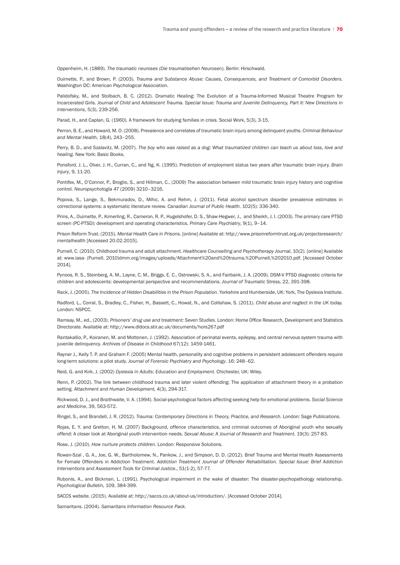Oppenheim, H. (1889). *The traumatic neuroses (Die traumatisehen Neurosen)*. Berlin: Hirschwald.

Ouimette, P., and Brown, P. (2003). *Trauma and Substance Abuse: Causes, Consequences, and Treatment of Comorbid Disorders*. Washington DC: American Psychological Association.

Palidofsky, M., and Stolbach, B. C. (2012). Dramatic Healing: The Evolution of a Trauma-Informed Musical Theatre Program for Incarcerated Girls. *Journal of Child and Adolescent Trauma. Special Issue: Trauma and Juvenile Delinquency, Part II: New Directions in Interventions*, 5(3), 239-256.

Parad, H., and Caplan, G. (1960). A framework for studying families in crisis. Social Work, 5(3), 3-15.

Perron, B. E., and Howard, M. O. (2008). Prevalence and correlates of traumatic brain injury among delinquent youths. *Criminal Behaviour and Mental Health*, 18(4), 243–255.

Perry, B. D., and Szalavitz, M. (2007). *The boy who was raised as a dog: What traumatized children can teach us about loss, love and healing.* New York: Basic Books.

Ponsford, J. L., Olver, J. H., Curran, C., and Ng, K. (1995). Prediction of employment status two years after traumatic brain injury. *Brain Injury*, 9, 11-20.

Pontifex, M., O'Connor, P., Broglio, S., and Hillman, C., (2009) The association between mild traumatic brain injury history and cognitive control. *Neuropsychologia 47* (2009) 3210–3216.

Popova, S., Lange, S., Bekmuradov, D., Mihic, A. and Rehm, J. (2011). Fetal alcohol spectrum disorder prevalence estimates in correctional systems: a systematic literature review. *Canadian Journal of Public Health*. 102(5): 336-340.

Prins, A., Ouimette, P., Kimerling, R., Cameron, R. P., Hugelshofer, D. S., Shaw-Hegwer, J., and Sheikh, J. I. (2003). The primary care PTSD screen (PC-PTSD): development and operating characteristics. *Primary Care Psychiatry*, 9(1), 9–14.

Prison Reform Trust. (2015). *Mental Health Care in Prisons*. [online] Available at: http://www.prisonreformtrust.org.uk/projectsresearch/ mentalhealth [Accessed 20.02.2015].

Purnell, C. (2010). Childhood trauma and adult attachment. *Healthcare Counselling and Psychotherapy Journal*, 10(2). [online] Available at: www.iasa- (Purnell, 2010)dmm.org/images/uploads/Attachment%20and%20trauma,%20Purnell,%202010.pdf. [Accessed October 2014].

Pynoos, R. S., Steinberg, A. M., Layne, C. M., Briggs, E. C., Ostrowski, S. A., and Fairbank, J. A. (2009). DSM-V PTSD diagnostic criteria for children and adolescents: developmental perspective and recommendations. *Journal of Traumatic Stress,* 22, 391-398.

Rack, J. (2005). The *Incidence of Hidden Disabilities in the Prison Population*. Yorkshire and Humberside. UK: York, The Dyslexia Institute.

Radford, L., Corral, S., Bradley, C., Fisher, H., Bassett, C., Howat, N., and Collishaw, S. (2011). *Child abuse and neglect in the UK today.* London: NSPCC.

Ramsay, M., ed., (2003). *Prisoners' drug use and treatment: Seven Studies*. London: Home Office Research, Development and Statistics Directorate. Available at: http://www.dldocs.stir.ac.uk/documents/hors267.pdf

Rantakallio, P., Koiranen, M. and Mottonen, J. (1992). Association of perinatal events, epilepsy, and central nervous system trauma with juvenile delinquency. *Archives of Disease in Childhood* 67(12): 1459-1461.

Rayner J., Kelly T. P. and Graham F. (2005) Mental health, personality and cognitive problems in persistent adolescent offenders require long-term solutions: a pilot study. *Journal of Forensic Psychiatry and Psychology*. 16: 248–62.

Reid, G. and Kirk, J. (2002) *Dyslexia in Adults: Education and Employment.* Chichester, UK: Wiley.

Renn, P. (2002). The link between childhood trauma and later violent offending: The application of attachment theory in a probation setting. *Attachment and Human Development,* 4(3), 294-317.

Rickwood, D. J., and Braithwaite, V. A. (1994). Social-psychological factors affecting seeking help for emotional problems. *Social Science and Medicine*, 39, 563-572.

Ringel, S., and Brandell, J. R. (2012). *Trauma: Contemporary Directions in Theory, Practice, and Research*. London: Sage Publications.

Rojas, E. Y. and Gretton, H. M. (2007) Background, offence characteristics, and criminal outcomes of Aboriginal youth who sexually offend: A closer look at Aboriginal youth intervention needs. *Sexual Abuse: A Journal of Research and Treatment.* 19(3): 257-83.

Rose, J. (2010). *How nurture protects children*. London: Responsive Solutions.

Rowan-Szal , G. A., Joe, G. W., Bartholomew, N., Pankow, J., and Simpson, D. D. (2012). Brief Trauma and Mental Health Assessments for Female Offenders in Addiction Treatment. *Addiction Treatment Journal of Offender Rehabilitation. Special Issue: Brief Addiction Interventions and Assessment Tools for Criminal Justice*., 51(1-2), 57-77.

Rubonis, A., and Bickman, L. (1991). Psychological impairment in the wake of disaster: The disaster-psychopathology relationship. *Psychological Bulletin,* 109, 384-399.

SACCS website. (2015). Available at: http://saccs.co.uk/about-us/introduction/. [Accessed October 2014].

Samaritans. (2004). *Samaritans Information Resource Pack.*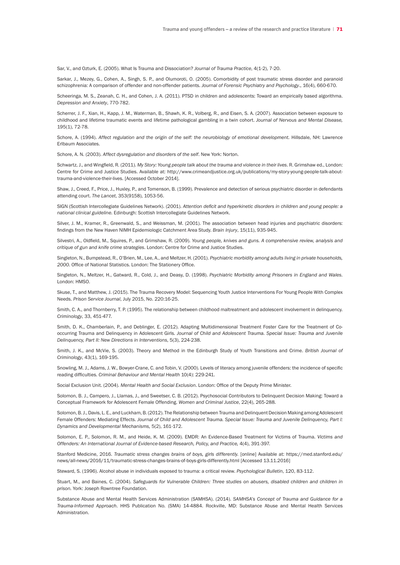Sar, V., and Ozturk, E. (2005). What Is Trauma and Dissociation? *Journal of Trauma Practice*, 4(1-2), 7-20.

Sarkar, J., Mezey, G., Cohen, A., Singh, S. P., and Olumoroti, O. (2005). Comorbidity of post traumatic stress disorder and paranoid schizophrenia: A comparison of offender and non-offender patients. *Journal of Forensic Psychiatry and Psychology*., 16(4), 660-670.

Scheeringa, M. S., Zeanah, C. H., and Cohen, J. A. (2011). PTSD in children and adolescents: Toward an empirically based algorithma. *Depression and Anxiety*, 770-782.

Scherrer, J. F., Xian, H., Kapp, J. M., Waterman, B., Shawh, K. R., Volberg, R., and Eisen, S. A. (2007). Association between exposure to childhood and lifetime traumatic events and lifetime pathological gambling in a twin cohort. *Journal of Nervous and Mental Disease,* 195(1), 72-78.

Schore, A. (1994). *Affect regulation and the origin of the self: the neurobiology of emotional development.* Hillsdale, NH: Lawrence Erlbaum Associates.

Schore, A. N. (2003). *Affect dysregulation and disorders of the self*. New York: Norton.

Schwartz, J., and Wingfield, R. (2011). *My Story: Young people talk about the trauma and violence in their lives*. R. Grimshaw ed., London: Centre for Crime and Justice Studies. Available at: http://www.crimeandjustice.org.uk/publications/my-story-young-people-talk-abouttrauma-and-violence-their-lives. [Accessed October 2014].

Shaw, J., Creed, F., Price, J., Huxley, P., and Tomenson, B. (1999). Prevalence and detection of serious psychiatric disorder in defendants attending court. *The Lancet*, 353(9158), 1053-56.

SIGN (Scottish Intercollegiate Guidelines Network). (2001). *Attention deficit and hyperkinetic disorders in children and young people: a national clinical guideline.* Edinburgh: Scottish Intercollegiate Guidelines Network.

Silver, J. M., Kramer, R., Greenwald, S., and Weissman, M. (2001). The association between head injuries and psychiatric disorders: findings from the New Haven NIMH Epidemiologic Catchment Area Study. *Brain Injury*, 15(11), 935-945.

Silvestri, A., Oldfield, M., Squires, P., and Grimshaw, R. (2009). *Young people, knives and guns. A comprehensive review, analysis and critique of gun and knife crime strategies*. London: Centre for Crime and Justice Studies.

Singleton, N., Bumpstead, R., O'Brien, M., Lee, A., and Meltzer, H. (2001). *Psychiatric morbidity among adults living in private households, 2000*. Office of National Statistics. London: The Stationery Office.

Singleton, N., Meltzer, H., Gatward, R., Cold, J., and Deasy, D. (1998). *Psychiatric Morbidity among Prisoners in England and Wales*. London: HMSO.

Skuse, T., and Matthew, J. (2015). The Trauma Recovery Model: Sequencing Youth Justice Interventions For Young People With Complex Needs. *Prison Service Journal*, July 2015, No. 220:16-25.

Smith, C. A., and Thornberry, T. P. (1995). The relationship between childhood maltreatment and adolescent involvement in delinquency. *Criminology*, 33, 451-477.

Smith, D. K., Chamberlain, P., and Deblinger, E. (2012). Adapting Multidimensional Treatment Foster Care for the Treatment of Cooccurring Trauma and Delinquency in Adolescent Girls. *Journal of Child and Adolescent Trauma. Special Issue: Trauma and Juvenile Delinquency, Part II: New Directions in Interventions*, 5(3), 224-238.

Smith, J. K., and McVie, S. (2003). Theory and Method in the Edinburgh Study of Youth Transitions and Crime. *British Journal of Criminology*, 43(1), 169-195.

Snowling, M. J., Adams, J. W., Bowyer-Crane, C. and Tobin, V. (2000). Levels of literacy among juvenile offenders: the incidence of specific reading difficulties. *Criminal Behaviour and Mental Health* 10(4): 229-241.

Social Exclusion Unit. (2004). *Mental Health and Social Exclusion*. London: Office of the Deputy Prime Minister.

Solomon, B. J., Campero, J., Llamas, J., and Sweetser, C. B. (2012). Psychosocial Contributors to Delinquent Decision Making: Toward a Conceptual Framework for Adolescent Female Offending. *Women and Criminal Justice*, 22(4), 265-288.

Solomon, B.J.,Davis, L. E., and Luckham, B. (2012). The Relationship between Trauma andDelinquentDecision Making among Adolescent Female Offenders: Mediating Effects. *Journal of Child and Adolescent Trauma. Special Issue: Trauma and Juvenile Delinquency, Part I: Dynamics and Developmental Mechanisms,* 5(2), 161-172.

Solomon, E. P., Solomon, R. M., and Heide, K. M. (2009). EMDR: An Evidence-Based Treatment for Victims of Trauma. *Victims and Offenders: An International Journal of Evidence-based Research, Policy, and Practice,* 4(4), 391-397.

Stanford Medicine, 2016. *Traumatic stress changes brains of boys, girls differently.* [online] Available at: https://med.stanford.edu/ news/all-news/2016/11/traumatic-stress-changes-brains-of-boys-girls-differently.html [Accessed 13.11.2016]

Steward, S. (1996). Alcohol abuse in individuals exposed to trauma: a critical review. *Psychological Bulletin*, 120, 83-112.

Stuart, M., and Baines, C. (2004). *Safeguards for Vulnerable Children: Three studies on abusers, disabled children and children in prison.* York: Joseph Rowntree Foundation.

Substance Abuse and Mental Health Services Administration (SAMHSA). (2014). *SAMHSA's Concept of Trauma and Guidance for a Trauma-Informed Approach*. HHS Publication No. (SMA) 14-4884. Rockville, MD: Substance Abuse and Mental Health Services Administration.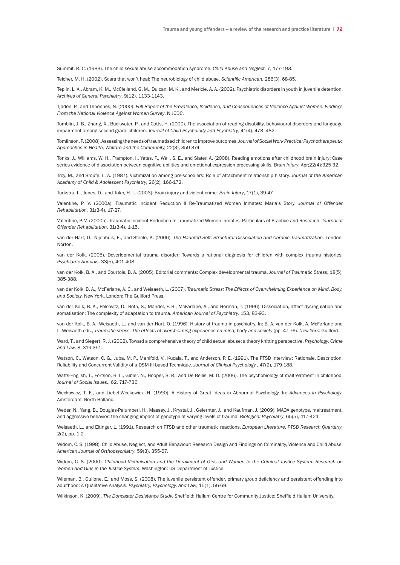Summit, R. C. (1983). The child sexual abuse accommodation syndrome. *Child Abuse and Neglect,* 7, 177-193.

Teicher, M. H. (2002). Scars that won't heal: The neurobiology of child abuse. *Scientific American*, 286(3), 68-85.

Teplin, L. A., Abram, K. M., McClelland, G. M., Dulcan, M. K., and Mericle, A. A. (2002). Psychiatric disorders in youth in juvenile detention. *Archives of General Psychiatry*, 9(12), 1133-1143.

Tjaden, P., and Thoennes, N. (2000). *Full Report of the Prevalence, Incidence, and Consequences of Violence Against Women: Findings From the National Violence Against Women Survey*. NIJCDC.

Tomblin, J. B., Zhang, X., Buckwater, P., and Catts, H. (2000). The association of reading disability, behavioural disorders and language impairment among second-grade children. *Journal of Child Psychology and Psychiatry*, 41(4), 473- 482.

Tomlinson,P.(2008).Assessing theneedsoftraumatisedchildrentoimproveoutcomes.*Journal of Social Work Practice: Psychotherapeutic Approaches in Health, Welfare and the Community,* 22(3), 359-374.

Tonks, J., Williams, W. H., Frampton, I., Yates, P., Wall, S. E., and Slater, A. (2008). Reading emotions after childhood brain injury: Case series evidence of dissociation between cognitive abilities and emotional expression processing skills. *Brain Injury*, Apr;22(4):325-32.

Troy, M., and Sroufe, L. A. (1987). Victimization among pre-schoolers: Role of attachment relationship history. *Journal of the American Academy of Child & Adolescent Psychiatry*, 26(2), 166-172.

Turkstra, L., Jones, D., and Toler, H. L. (2003). Brain injury and violent crime. *Brain Injury*, 17(1), 39-47.

Valentine, P. V. (2000a). Traumatic Incident Reduction II Re-Traumatized Women Inmates: Maria's Story. *Journal of Offender Rehabilitation,* 31(3-4), 17-27.

Valentine, P. V. (2000b). Traumatic Incident Reduction In Traumatized Women Inmates: Particulars of Practice and Research. *Journal of Offender Rehabilitation*, 31(3-4), 1-15.

van der Hart, O., Nijenhuis, E., and Steele, K. (2006). *The Haunted Self: Structural Dissociation and Chronic Traumatization*. London: Norton.

van der Kolk. (2005). Deverlopmental trauma disorder: Towards a rational diagnosis for children with complex trauma histories. *Psychiatric Annuals,* 33(5), 401-408.

van der Kolk, B. A., and Courtois, B. A. (2005). Editorial comments: Complex developmental trauma. *Journal of Traumatic Stress*, 18(5), 385-388.

van der Kolk, B. A., McFarlane, A. C., and Weisaeth, L. (2007). *Traumatic Stress: The Effects of Overwhelming Experience on Mind, Body, and Society.* New York, London: The Guilford Press.

van der Kolk, B. A., Pelcovitz, D., Roth, S., Mandel, F. S., McFarlane, A., and Herman, J. (1996). Dissociation, affect dysregulation and somatisation: The complexity of adaptation to trauma. *American Journal of Psychiatry,* 153, 83-93.

van der Kolk, B. A., Weisaeth, L., and van der Hart, O. (1996). History of trauma in psychiatry. In: B. A. van der Kolk, A. McFarlane and L. Weisaeth eds., *Traumatic stress: The effects of overshelming experience on mind, body and society* (pp. 47-76). New York: Guilford.

Ward, T., and Siegert, R. J. (2002). Toward a comprehensive theory of child sexual abuse: a theory knitting perspective. *Psychology, Crime and Law,* 8, 319-351.

Watson, C., Watson, C. G., Juba, M. P., Manifold, V., Kucala, T., and Anderson, P. E. (1991). The PTSD Interview: Rationale, Description, Reliability and Concurrent Validity of a DSM-III-based Technique. *Journal of Clinical Psychology* , 47(2), 179-188.

Watts-English, T., Fortson, B. L., Gibler, N., Hooper, S. R., and De Bellis, M. D. (2006). The psychobiology of maltreatment in childhood. *Journal of Social Issues*., 62, 717-736.

Weckowicz, T. E., and Liebel-Weckowicz, H. (1990). A History of Great Ideas in Abnormal Psychology. In: *Advances in Psychology*. Amsterdam: North-Holland.

Weder, N., Yang, B., Douglas-Palumberi, H., Massey, J., Krystal, J., Gelernter, J., and Kaufman, J. (2009). MAOA genotype, maltreatment, and aggressive behavior: the changing impact of genotype at varying levels of trauma. *Biological Psychiatry*, 65(5), 417-424.

Weisaeth, L., and Eitinger, L. (1991). Research on PTSD and other traumatic reactions. *European Literature. PTSD Research Quarterly*, 2(2), pp. 1-2.

Widom, C. S. (1998). Child Abuse, Neglect, and Adult Behaviour: Research Design and Findings on Criminality, Violence and Child Abuse. *American Journal of Orthopsychiatry*, 59(3), 355-67.

Widom, C. S. (2000). *Childhood Victimisation and the Derailment of Girls and Women to the Criminal Justice System: Research on Women and Girls in the Justice System*. Washington: US Department of Justice.

Wileman, B., Gullone, E., and Moss, S. (2008). The juvenile persistent offender, primary group deficiency and persistent offending into adulthood: A Qualitative Analysis. *Psychiatry, Psychology, and Law*, 15(1), 56-69.

Wilkinson, K. (2009). *The Doncaster Desistance Study*. Sheffield: Hallam Centre for Community Justice; Sheffield Hallam University.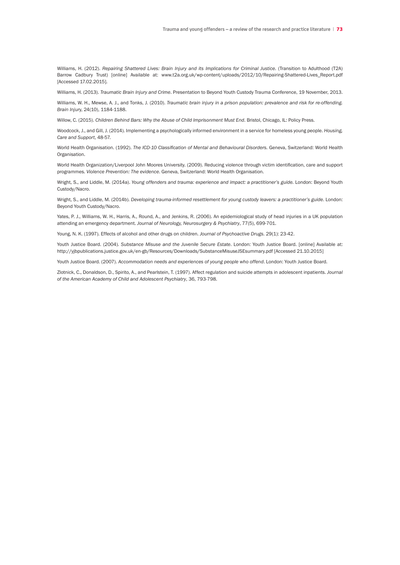Williams, H. (2012). *Repairing Shattered Lives: Brain Injury and its Implications for Criminal Justice.* (Transition to Adulthood (T2A) Barrow Cadbury Trust) [online] Available at: www.t2a.org.uk/wp-content/uploads/2012/10/Repairing-Shattered-Lives\_Report.pdf [Accessed 17.02.2015].

Williams, H. (2013). *Traumatic Brain Injury and Crime*. Presentation to Beyond Youth Custody Trauma Conference, 19 November, 2013.

Williams, W. H., Mewse, A. J., and Tonks, J. (2010). *Traumatic brain injury in a prison population: prevalence and risk for re-offending. Brain Injur*y, 24(10), 1184-1188.

Willow, C. (2015). *Children Behind Bars: Why the Abuse of Child Imprisonment Must End. Bristol, Chicago, IL: Policy Press.* 

Woodcock, J., and Gill, J. (2014). Implementing a psychologically informed environment in a service for homeless young people. *Housing, Care and Support*, 48-57.

World Health Organisation. (1992). *The ICD-10 Classification of Mental and Behavioural Disorders.* Geneva, Switzerland: World Health Organisation.

World Health Organization/Liverpool John Moores University. (2009). Reducing violence through victim identification, care and support programmes. *Violence Prevention: The evidence*. Geneva, Switzerland: World Health Organisation.

Wright, S., and Liddle, M. (2014a). *Young offenders and trauma: experience and impact: a practitioner's guide.* London: Beyond Youth Custody/Nacro.

Wright, S., and Liddle, M. (2014b). *Developing trauma-informed resettlement for young custody leavers: a practitioner's guide*. London: Beyond Youth Custody/Nacro.

Yates, P. J., Williams, W. H., Harris, A., Round, A., and Jenkins, R. (2006). An epidemiological study of head injuries in a UK population attending an emergency department. *Journal of Neurology, Neurosurgery & Psychiatry*, 77(5), 699-701.

Young, N. K. (1997). Effects of alcohol and other drugs on children. *Journal of Psychoactive Drugs*. 29(1): 23-42.

Youth Justice Board. (2004). *Substance Misuse and the Juvenile Secure Estate*. London: Youth Justice Board. [online] Available at: http://yjbpublications.justice.gov.uk/en-gb/Resources/Downloads/SubstanceMisuseJSEsummary.pdf [Accessed 21.10.2015]

Youth Justice Board. (2007). *Accommodation needs and experiences of young people who offend*. London: Youth Justice Board.

Zlotnick, C., Donaldson, D., Spirito, A., and Pearlstein, T. (1997). Affect regulation and suicide attempts in adolescent inpatients. *Journal of the American Academy of Child and Adolescent Psychiatry*, 36, 793-798.